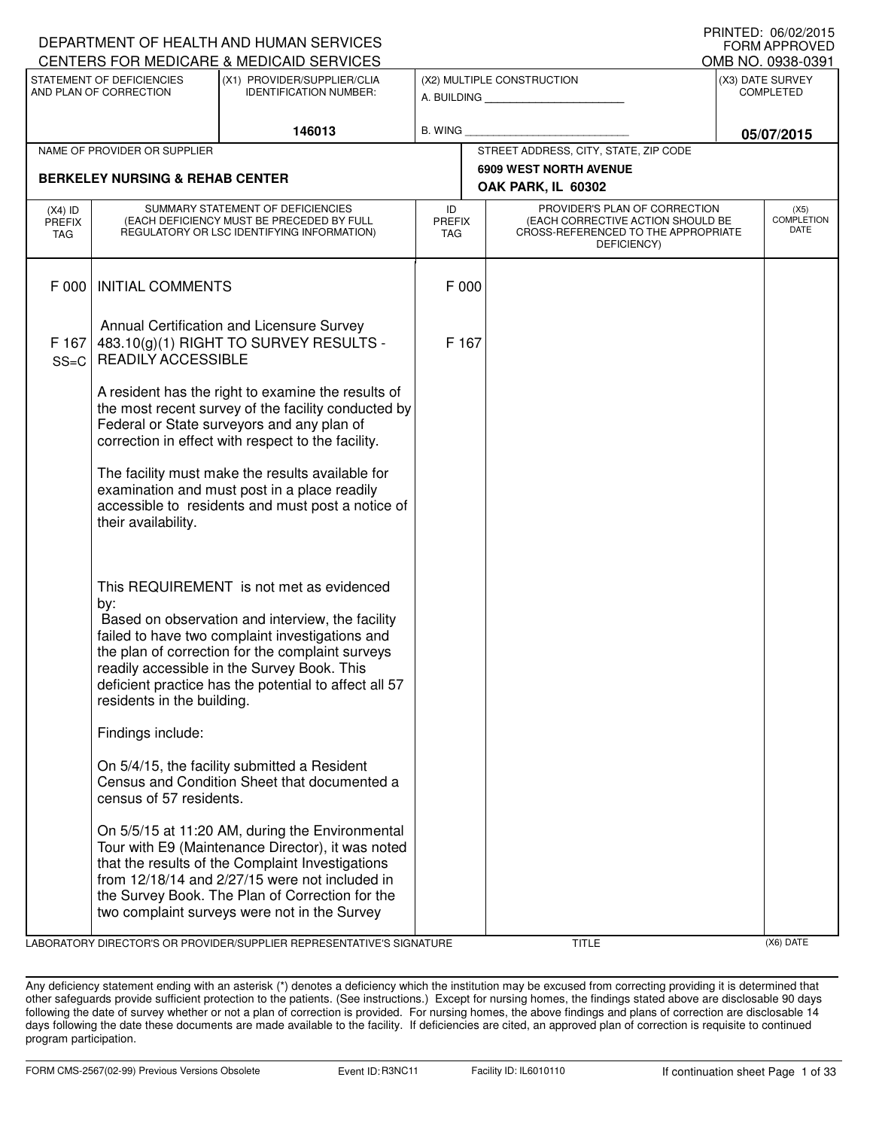|                            |                                                     | DEPARTMENT OF HEALTH AND HUMAN SERVICES                                                                                                                                                                                                                                                                       |                                   |                                                              |                                                                                                                          |                   | <b>U INTILL</b> , UU/UZ/ZUTJ<br><b>FORM APPROVED</b> |
|----------------------------|-----------------------------------------------------|---------------------------------------------------------------------------------------------------------------------------------------------------------------------------------------------------------------------------------------------------------------------------------------------------------------|-----------------------------------|--------------------------------------------------------------|--------------------------------------------------------------------------------------------------------------------------|-------------------|------------------------------------------------------|
|                            |                                                     | CENTERS FOR MEDICARE & MEDICAID SERVICES                                                                                                                                                                                                                                                                      |                                   |                                                              |                                                                                                                          | OMB NO. 0938-0391 |                                                      |
|                            | STATEMENT OF DEFICIENCIES<br>AND PLAN OF CORRECTION | (X1) PROVIDER/SUPPLIER/CLIA<br><b>IDENTIFICATION NUMBER:</b>                                                                                                                                                                                                                                                  |                                   | (X2) MULTIPLE CONSTRUCTION<br>A. BUILDING <b>A.</b> BUILDING |                                                                                                                          |                   | (X3) DATE SURVEY<br><b>COMPLETED</b>                 |
|                            |                                                     | 146013                                                                                                                                                                                                                                                                                                        | B. WING                           |                                                              |                                                                                                                          |                   | 05/07/2015                                           |
|                            | NAME OF PROVIDER OR SUPPLIER                        |                                                                                                                                                                                                                                                                                                               |                                   |                                                              | STREET ADDRESS, CITY, STATE, ZIP CODE                                                                                    |                   |                                                      |
|                            | <b>BERKELEY NURSING &amp; REHAB CENTER</b>          |                                                                                                                                                                                                                                                                                                               |                                   |                                                              | <b>6909 WEST NORTH AVENUE</b><br>OAK PARK, IL 60302                                                                      |                   |                                                      |
| $(X4)$ ID<br>PREFIX<br>TAG |                                                     | SUMMARY STATEMENT OF DEFICIENCIES<br>(EACH DEFICIENCY MUST BE PRECEDED BY FULL<br>REGULATORY OR LSC IDENTIFYING INFORMATION)                                                                                                                                                                                  | ID<br><b>PREFIX</b><br><b>TAG</b> |                                                              | PROVIDER'S PLAN OF CORRECTION<br>(EACH CORRECTIVE ACTION SHOULD BE<br>CROSS-REFERENCED TO THE APPROPRIATE<br>DEFICIENCY) |                   | (X5)<br><b>COMPLETION</b><br>DATE                    |
| F 000                      | <b>INITIAL COMMENTS</b>                             |                                                                                                                                                                                                                                                                                                               | F 000                             |                                                              |                                                                                                                          |                   |                                                      |
| F 167<br>$SS=C$            | <b>READILY ACCESSIBLE</b>                           | Annual Certification and Licensure Survey<br>483.10(g)(1) RIGHT TO SURVEY RESULTS -                                                                                                                                                                                                                           | F 167                             |                                                              |                                                                                                                          |                   |                                                      |
|                            |                                                     | A resident has the right to examine the results of<br>the most recent survey of the facility conducted by<br>Federal or State surveyors and any plan of<br>correction in effect with respect to the facility.                                                                                                 |                                   |                                                              |                                                                                                                          |                   |                                                      |
|                            | their availability.                                 | The facility must make the results available for<br>examination and must post in a place readily<br>accessible to residents and must post a notice of                                                                                                                                                         |                                   |                                                              |                                                                                                                          |                   |                                                      |
|                            | by:<br>residents in the building.                   | This REQUIREMENT is not met as evidenced<br>Based on observation and interview, the facility<br>failed to have two complaint investigations and<br>the plan of correction for the complaint surveys<br>readily accessible in the Survey Book. This<br>deficient practice has the potential to affect all 57   |                                   |                                                              |                                                                                                                          |                   |                                                      |
|                            | Findings include:                                   |                                                                                                                                                                                                                                                                                                               |                                   |                                                              |                                                                                                                          |                   |                                                      |
|                            | census of 57 residents.                             | On 5/4/15, the facility submitted a Resident<br>Census and Condition Sheet that documented a                                                                                                                                                                                                                  |                                   |                                                              |                                                                                                                          |                   |                                                      |
|                            |                                                     | On 5/5/15 at 11:20 AM, during the Environmental<br>Tour with E9 (Maintenance Director), it was noted<br>that the results of the Complaint Investigations<br>from 12/18/14 and 2/27/15 were not included in<br>the Survey Book. The Plan of Correction for the<br>two complaint surveys were not in the Survey |                                   |                                                              |                                                                                                                          |                   |                                                      |

LABORATORY DIRECTOR'S OR PROVIDER/SUPPLIER REPRESENTATIVE'S SIGNATURE TITLE TITLE THE TITLE (X6) DATE

PRINTED: 06/02/2015

Any deficiency statement ending with an asterisk (\*) denotes a deficiency which the institution may be excused from correcting providing it is determined that other safeguards provide sufficient protection to the patients. (See instructions.) Except for nursing homes, the findings stated above are disclosable 90 days following the date of survey whether or not a plan of correction is provided. For nursing homes, the above findings and plans of correction are disclosable 14 days following the date these documents are made available to the facility. If deficiencies are cited, an approved plan of correction is requisite to continued program participation.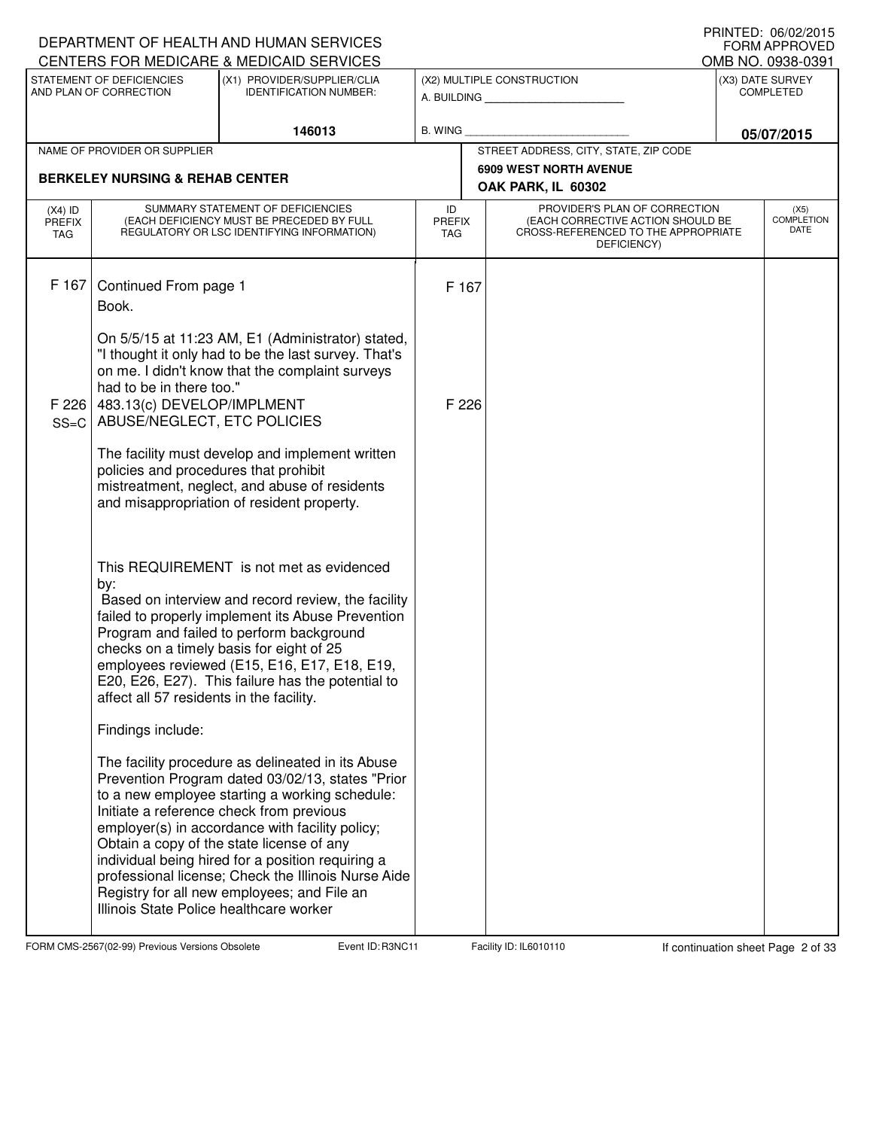|                                          |                                                                                       | DEPARTMENT OF HEALTH AND HUMAN SERVICES<br>CENTERS FOR MEDICARE & MEDICAID SERVICES                                                                                                                                                                                                                                                                                                                                                                            |                                   |                                                                                                                          |  | I INNILD. VOIVAAUIJ<br><b>FORM APPROVED</b><br>OMB NO. 0938-0391 |  |
|------------------------------------------|---------------------------------------------------------------------------------------|----------------------------------------------------------------------------------------------------------------------------------------------------------------------------------------------------------------------------------------------------------------------------------------------------------------------------------------------------------------------------------------------------------------------------------------------------------------|-----------------------------------|--------------------------------------------------------------------------------------------------------------------------|--|------------------------------------------------------------------|--|
|                                          | STATEMENT OF DEFICIENCIES<br>AND PLAN OF CORRECTION                                   | (X1) PROVIDER/SUPPLIER/CLIA<br><b>IDENTIFICATION NUMBER:</b>                                                                                                                                                                                                                                                                                                                                                                                                   |                                   | (X2) MULTIPLE CONSTRUCTION<br>A. BUILDING                                                                                |  | (X3) DATE SURVEY<br><b>COMPLETED</b>                             |  |
|                                          |                                                                                       | 146013                                                                                                                                                                                                                                                                                                                                                                                                                                                         | B. WING                           |                                                                                                                          |  | 05/07/2015                                                       |  |
|                                          | NAME OF PROVIDER OR SUPPLIER                                                          |                                                                                                                                                                                                                                                                                                                                                                                                                                                                |                                   | STREET ADDRESS, CITY, STATE, ZIP CODE                                                                                    |  |                                                                  |  |
|                                          | <b>BERKELEY NURSING &amp; REHAB CENTER</b>                                            |                                                                                                                                                                                                                                                                                                                                                                                                                                                                |                                   | <b>6909 WEST NORTH AVENUE</b>                                                                                            |  |                                                                  |  |
|                                          |                                                                                       |                                                                                                                                                                                                                                                                                                                                                                                                                                                                |                                   | OAK PARK, IL 60302                                                                                                       |  |                                                                  |  |
| $(X4)$ ID<br><b>PREFIX</b><br><b>TAG</b> |                                                                                       | SUMMARY STATEMENT OF DEFICIENCIES<br>(EACH DEFICIENCY MUST BE PRECEDED BY FULL<br>REGULATORY OR LSC IDENTIFYING INFORMATION)                                                                                                                                                                                                                                                                                                                                   | ID<br><b>PREFIX</b><br><b>TAG</b> | PROVIDER'S PLAN OF CORRECTION<br>(EACH CORRECTIVE ACTION SHOULD BE<br>CROSS-REFERENCED TO THE APPROPRIATE<br>DEFICIENCY) |  | (X5)<br><b>COMPLETION</b><br>DATE                                |  |
| F 167                                    | Continued From page 1<br>Book.                                                        | On 5/5/15 at 11:23 AM, E1 (Administrator) stated,<br>"I thought it only had to be the last survey. That's<br>on me. I didn't know that the complaint surveys                                                                                                                                                                                                                                                                                                   | F 167                             |                                                                                                                          |  |                                                                  |  |
| F 226<br>$SS=C$                          | had to be in there too."<br>483.13(c) DEVELOP/IMPLMENT<br>ABUSE/NEGLECT, ETC POLICIES |                                                                                                                                                                                                                                                                                                                                                                                                                                                                | F 226                             |                                                                                                                          |  |                                                                  |  |
|                                          | policies and procedures that prohibit                                                 | The facility must develop and implement written<br>mistreatment, neglect, and abuse of residents<br>and misappropriation of resident property.                                                                                                                                                                                                                                                                                                                 |                                   |                                                                                                                          |  |                                                                  |  |
|                                          | by:<br>affect all 57 residents in the facility.                                       | This REQUIREMENT is not met as evidenced<br>Based on interview and record review, the facility<br>failed to properly implement its Abuse Prevention<br>Program and failed to perform background<br>checks on a timely basis for eight of 25<br>employees reviewed (E15, E16, E17, E18, E19,<br>E20, E26, E27). This failure has the potential to                                                                                                               |                                   |                                                                                                                          |  |                                                                  |  |
|                                          | Findings include:                                                                     |                                                                                                                                                                                                                                                                                                                                                                                                                                                                |                                   |                                                                                                                          |  |                                                                  |  |
|                                          | Illinois State Police healthcare worker                                               | The facility procedure as delineated in its Abuse<br>Prevention Program dated 03/02/13, states "Prior<br>to a new employee starting a working schedule:<br>Initiate a reference check from previous<br>employer(s) in accordance with facility policy;<br>Obtain a copy of the state license of any<br>individual being hired for a position requiring a<br>professional license; Check the Illinois Nurse Aide<br>Registry for all new employees; and File an |                                   |                                                                                                                          |  |                                                                  |  |

FORM CMS-2567(02-99) Previous Versions Obsolete Event ID: R3NC11 Facility ID: IL6010110 If continuation sheet Page 2 of 33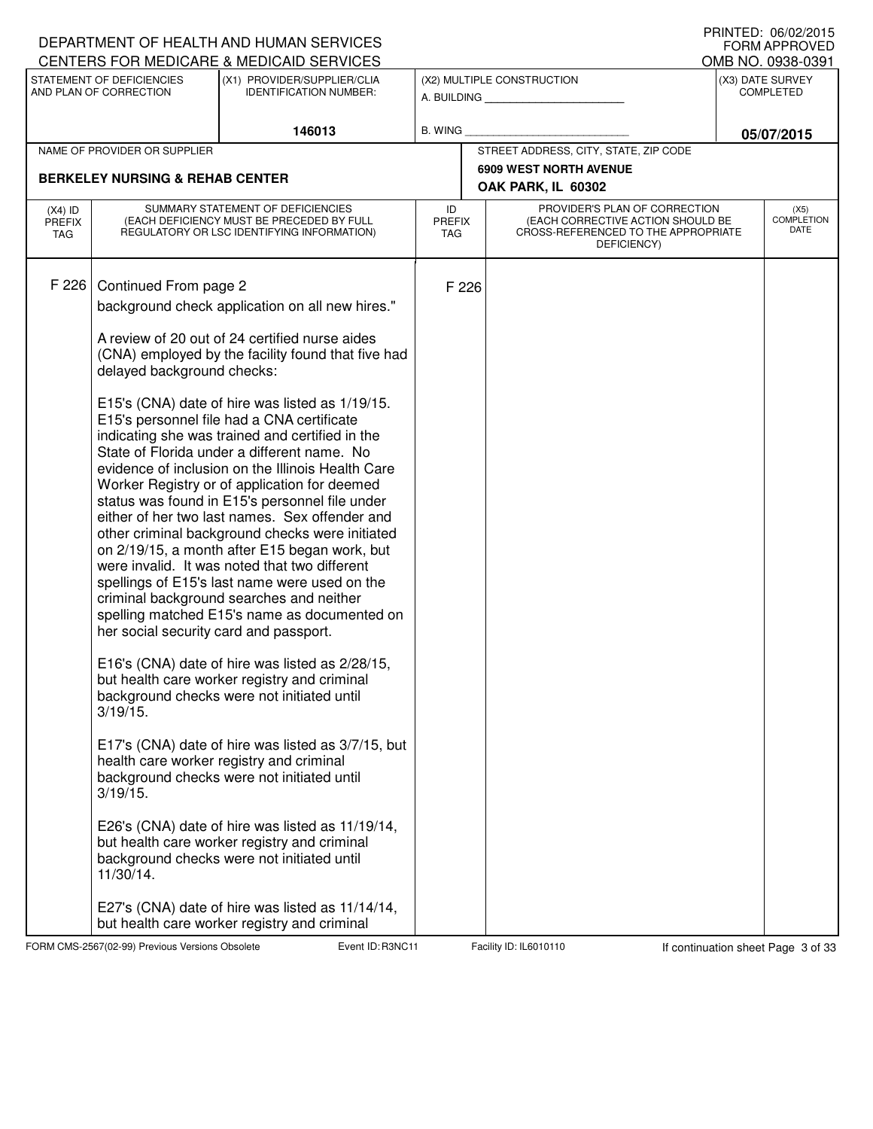|                                   |                                                       | DEPARTMENT OF HEALTH AND HUMAN SERVICES<br>CENTERS FOR MEDICARE & MEDICAID SERVICES                                                                                                                                                                                                                                                                                                                                                                                                                                                                                                                                                                                                                                                                                                                                                                         |                                   |                                                                                                                          |  | I INNILD. VOIVAAUIJ<br><b>FORM APPROVED</b> |  |
|-----------------------------------|-------------------------------------------------------|-------------------------------------------------------------------------------------------------------------------------------------------------------------------------------------------------------------------------------------------------------------------------------------------------------------------------------------------------------------------------------------------------------------------------------------------------------------------------------------------------------------------------------------------------------------------------------------------------------------------------------------------------------------------------------------------------------------------------------------------------------------------------------------------------------------------------------------------------------------|-----------------------------------|--------------------------------------------------------------------------------------------------------------------------|--|---------------------------------------------|--|
|                                   | STATEMENT OF DEFICIENCIES                             | (X1) PROVIDER/SUPPLIER/CLIA                                                                                                                                                                                                                                                                                                                                                                                                                                                                                                                                                                                                                                                                                                                                                                                                                                 |                                   | (X2) MULTIPLE CONSTRUCTION                                                                                               |  | OMB NO. 0938-0391<br>(X3) DATE SURVEY       |  |
|                                   | AND PLAN OF CORRECTION                                | <b>IDENTIFICATION NUMBER:</b>                                                                                                                                                                                                                                                                                                                                                                                                                                                                                                                                                                                                                                                                                                                                                                                                                               |                                   | A. BUILDING                                                                                                              |  | <b>COMPLETED</b>                            |  |
|                                   |                                                       | 146013                                                                                                                                                                                                                                                                                                                                                                                                                                                                                                                                                                                                                                                                                                                                                                                                                                                      | <b>B. WING</b>                    |                                                                                                                          |  | 05/07/2015                                  |  |
|                                   | NAME OF PROVIDER OR SUPPLIER                          |                                                                                                                                                                                                                                                                                                                                                                                                                                                                                                                                                                                                                                                                                                                                                                                                                                                             |                                   | STREET ADDRESS, CITY, STATE, ZIP CODE                                                                                    |  |                                             |  |
|                                   | <b>BERKELEY NURSING &amp; REHAB CENTER</b>            |                                                                                                                                                                                                                                                                                                                                                                                                                                                                                                                                                                                                                                                                                                                                                                                                                                                             |                                   | <b>6909 WEST NORTH AVENUE</b>                                                                                            |  |                                             |  |
|                                   |                                                       |                                                                                                                                                                                                                                                                                                                                                                                                                                                                                                                                                                                                                                                                                                                                                                                                                                                             |                                   | OAK PARK, IL 60302                                                                                                       |  |                                             |  |
| $(X4)$ ID<br><b>PREFIX</b><br>TAG |                                                       | SUMMARY STATEMENT OF DEFICIENCIES<br>(EACH DEFICIENCY MUST BE PRECEDED BY FULL<br>REGULATORY OR LSC IDENTIFYING INFORMATION)                                                                                                                                                                                                                                                                                                                                                                                                                                                                                                                                                                                                                                                                                                                                | ID<br><b>PREFIX</b><br><b>TAG</b> | PROVIDER'S PLAN OF CORRECTION<br>(EACH CORRECTIVE ACTION SHOULD BE<br>CROSS-REFERENCED TO THE APPROPRIATE<br>DEFICIENCY) |  | (X5)<br><b>COMPLETION</b><br><b>DATE</b>    |  |
| F 226                             | Continued From page 2                                 |                                                                                                                                                                                                                                                                                                                                                                                                                                                                                                                                                                                                                                                                                                                                                                                                                                                             | F 226                             |                                                                                                                          |  |                                             |  |
|                                   |                                                       | background check application on all new hires."                                                                                                                                                                                                                                                                                                                                                                                                                                                                                                                                                                                                                                                                                                                                                                                                             |                                   |                                                                                                                          |  |                                             |  |
|                                   | delayed background checks:                            | A review of 20 out of 24 certified nurse aides<br>(CNA) employed by the facility found that five had                                                                                                                                                                                                                                                                                                                                                                                                                                                                                                                                                                                                                                                                                                                                                        |                                   |                                                                                                                          |  |                                             |  |
|                                   | her social security card and passport.<br>$3/19/15$ . | E15's (CNA) date of hire was listed as 1/19/15.<br>E15's personnel file had a CNA certificate<br>indicating she was trained and certified in the<br>State of Florida under a different name. No<br>evidence of inclusion on the Illinois Health Care<br>Worker Registry or of application for deemed<br>status was found in E15's personnel file under<br>either of her two last names. Sex offender and<br>other criminal background checks were initiated<br>on 2/19/15, a month after E15 began work, but<br>were invalid. It was noted that two different<br>spellings of E15's last name were used on the<br>criminal background searches and neither<br>spelling matched E15's name as documented on<br>E16's (CNA) date of hire was listed as 2/28/15,<br>but health care worker registry and criminal<br>background checks were not initiated until |                                   |                                                                                                                          |  |                                             |  |
|                                   | 3/19/15.<br>11/30/14.                                 | E17's (CNA) date of hire was listed as 3/7/15, but<br>health care worker registry and criminal<br>background checks were not initiated until<br>E26's (CNA) date of hire was listed as 11/19/14,<br>but health care worker registry and criminal<br>background checks were not initiated until                                                                                                                                                                                                                                                                                                                                                                                                                                                                                                                                                              |                                   |                                                                                                                          |  |                                             |  |
|                                   |                                                       | E27's (CNA) date of hire was listed as 11/14/14,<br>but health care worker registry and criminal                                                                                                                                                                                                                                                                                                                                                                                                                                                                                                                                                                                                                                                                                                                                                            |                                   |                                                                                                                          |  |                                             |  |

FORM CMS-2567(02-99) Previous Versions Obsolete Event ID: R3NC11 Facility ID: IL6010110 If continuation sheet Page 3 of 33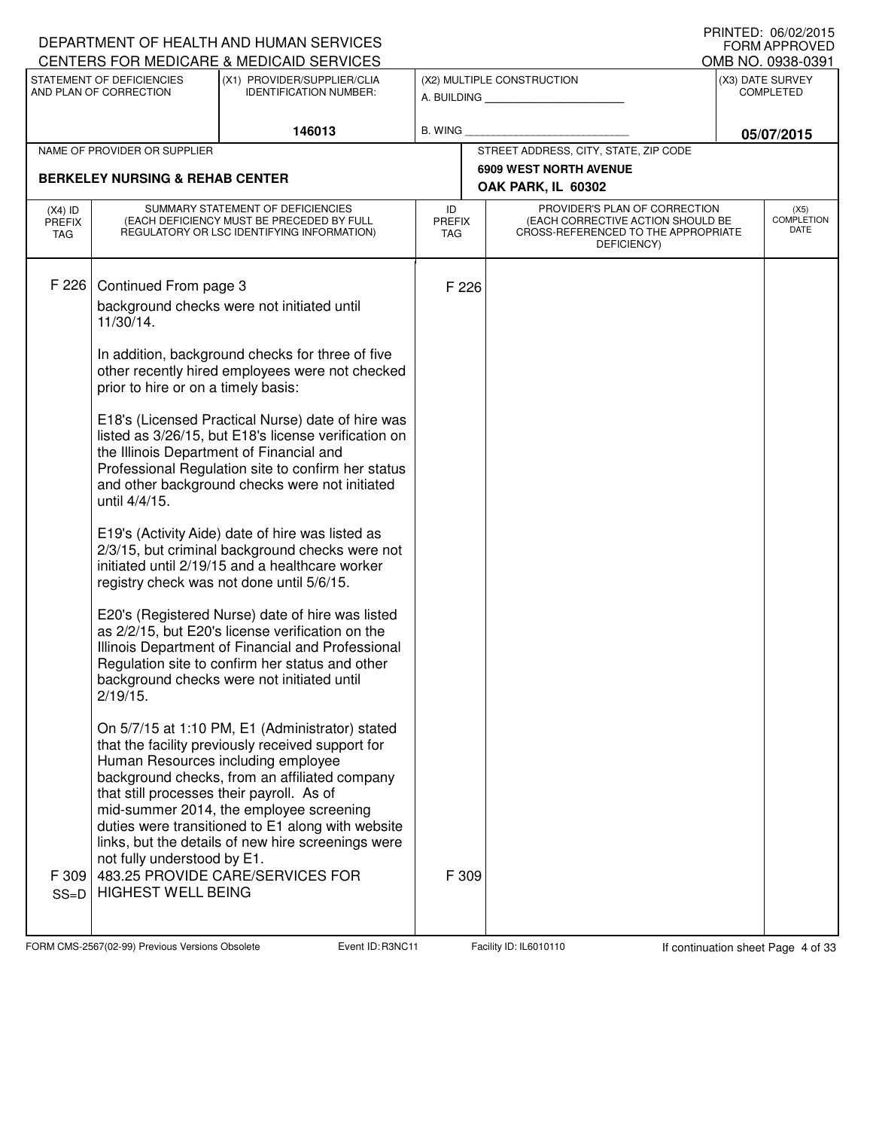|                            |                                                                          | DEPARTMENT OF HEALTH AND HUMAN SERVICES<br>CENTERS FOR MEDICARE & MEDICAID SERVICES                                                                                                                                                                                                                                                               |                                   |                                                                                                                          |                                    | FRINIED. VOIVZIZUIJ<br><b>FORM APPROVED</b><br>OMB NO. 0938-0391 |
|----------------------------|--------------------------------------------------------------------------|---------------------------------------------------------------------------------------------------------------------------------------------------------------------------------------------------------------------------------------------------------------------------------------------------------------------------------------------------|-----------------------------------|--------------------------------------------------------------------------------------------------------------------------|------------------------------------|------------------------------------------------------------------|
|                            | STATEMENT OF DEFICIENCIES<br>AND PLAN OF CORRECTION                      | (X1) PROVIDER/SUPPLIER/CLIA<br><b>IDENTIFICATION NUMBER:</b>                                                                                                                                                                                                                                                                                      |                                   | (X2) MULTIPLE CONSTRUCTION<br>A. BUILDING                                                                                |                                    | (X3) DATE SURVEY<br><b>COMPLETED</b>                             |
|                            |                                                                          | 146013                                                                                                                                                                                                                                                                                                                                            | <b>B. WING</b>                    |                                                                                                                          |                                    | 05/07/2015                                                       |
|                            | NAME OF PROVIDER OR SUPPLIER                                             |                                                                                                                                                                                                                                                                                                                                                   |                                   | STREET ADDRESS, CITY, STATE, ZIP CODE                                                                                    |                                    |                                                                  |
|                            | <b>BERKELEY NURSING &amp; REHAB CENTER</b>                               |                                                                                                                                                                                                                                                                                                                                                   |                                   | <b>6909 WEST NORTH AVENUE</b><br>OAK PARK, IL 60302                                                                      |                                    |                                                                  |
| $(X4)$ ID<br>PREFIX<br>TAG |                                                                          | SUMMARY STATEMENT OF DEFICIENCIES<br>(EACH DEFICIENCY MUST BE PRECEDED BY FULL<br>REGULATORY OR LSC IDENTIFYING INFORMATION)                                                                                                                                                                                                                      | ID<br><b>PREFIX</b><br><b>TAG</b> | PROVIDER'S PLAN OF CORRECTION<br>(EACH CORRECTIVE ACTION SHOULD BE<br>CROSS-REFERENCED TO THE APPROPRIATE<br>DEFICIENCY) |                                    | (X5)<br><b>COMPLETION</b><br>DATE                                |
| F 226                      | Continued From page 3<br>11/30/14.                                       | background checks were not initiated until                                                                                                                                                                                                                                                                                                        | F 226                             |                                                                                                                          |                                    |                                                                  |
|                            | prior to hire or on a timely basis:                                      | In addition, background checks for three of five<br>other recently hired employees were not checked                                                                                                                                                                                                                                               |                                   |                                                                                                                          |                                    |                                                                  |
|                            | until 4/4/15.                                                            | E18's (Licensed Practical Nurse) date of hire was<br>listed as 3/26/15, but E18's license verification on<br>the Illinois Department of Financial and<br>Professional Regulation site to confirm her status<br>and other background checks were not initiated                                                                                     |                                   |                                                                                                                          |                                    |                                                                  |
|                            |                                                                          | E19's (Activity Aide) date of hire was listed as<br>2/3/15, but criminal background checks were not<br>initiated until 2/19/15 and a healthcare worker<br>registry check was not done until 5/6/15.                                                                                                                                               |                                   |                                                                                                                          |                                    |                                                                  |
|                            | 2/19/15.                                                                 | E20's (Registered Nurse) date of hire was listed<br>as 2/2/15, but E20's license verification on the<br>Illinois Department of Financial and Professional<br>Regulation site to confirm her status and other<br>background checks were not initiated until                                                                                        |                                   |                                                                                                                          |                                    |                                                                  |
|                            | that still processes their payroll. As of<br>not fully understood by E1. | On 5/7/15 at 1:10 PM, E1 (Administrator) stated<br>that the facility previously received support for<br>Human Resources including employee<br>background checks, from an affiliated company<br>mid-summer 2014, the employee screening<br>duties were transitioned to E1 along with website<br>links, but the details of new hire screenings were |                                   |                                                                                                                          |                                    |                                                                  |
| F 309<br>$SS=D$            | <b>HIGHEST WELL BEING</b>                                                | 483.25 PROVIDE CARE/SERVICES FOR                                                                                                                                                                                                                                                                                                                  | F 309                             |                                                                                                                          |                                    |                                                                  |
|                            | FORM CMS-2567(02-99) Previous Versions Obsolete                          | Event ID: R3NC11                                                                                                                                                                                                                                                                                                                                  |                                   | Facility ID: IL6010110                                                                                                   | If continuation sheet Page 4 of 33 |                                                                  |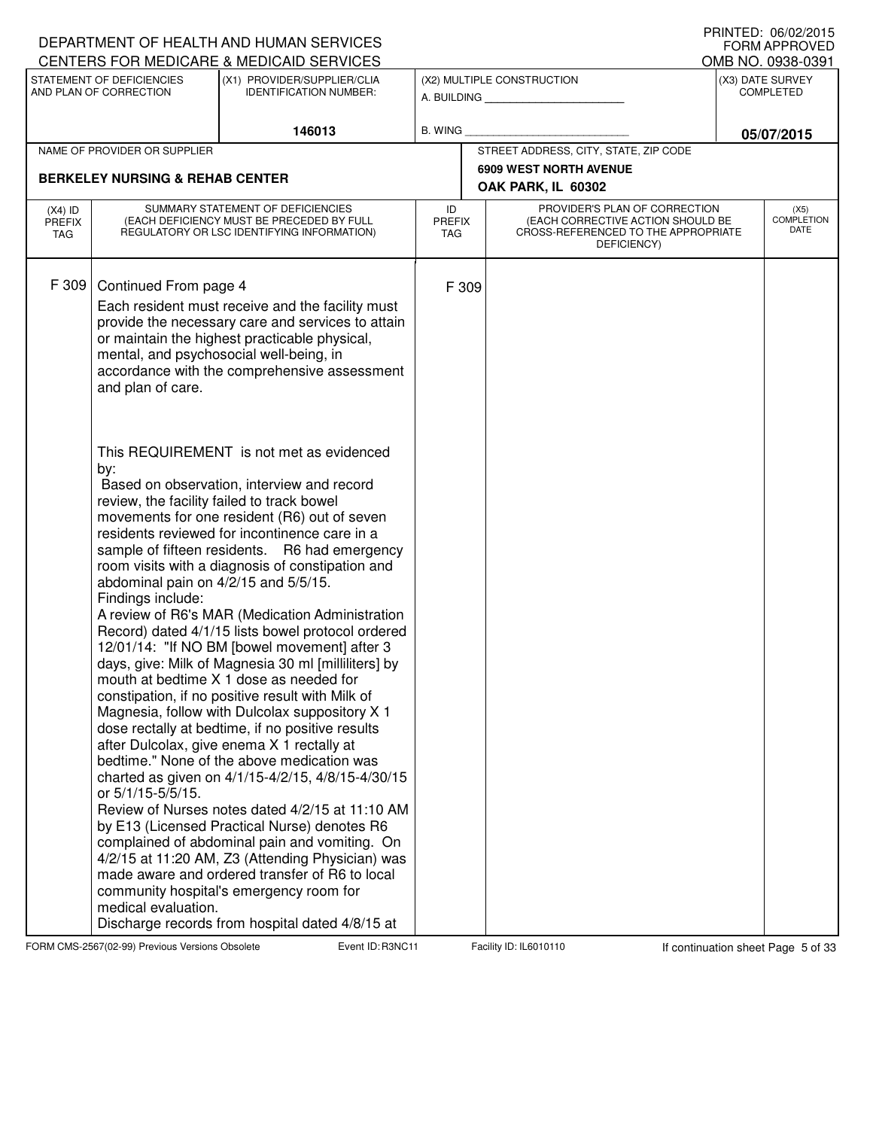|                                   |                                                                                                                                                            | DEPARTMENT OF HEALTH AND HUMAN SERVICES                                                                                                                                                                                                                                                                                                                                                                                                                                                                                                                                                                                                                                                                                                                                                                                                                                                                                                                                                                                                                                                                                                                                       |                                   |                                                                                                                          | I IUINILLU. VUIVLILUIJ<br><b>FORM APPROVED</b> |
|-----------------------------------|------------------------------------------------------------------------------------------------------------------------------------------------------------|-------------------------------------------------------------------------------------------------------------------------------------------------------------------------------------------------------------------------------------------------------------------------------------------------------------------------------------------------------------------------------------------------------------------------------------------------------------------------------------------------------------------------------------------------------------------------------------------------------------------------------------------------------------------------------------------------------------------------------------------------------------------------------------------------------------------------------------------------------------------------------------------------------------------------------------------------------------------------------------------------------------------------------------------------------------------------------------------------------------------------------------------------------------------------------|-----------------------------------|--------------------------------------------------------------------------------------------------------------------------|------------------------------------------------|
|                                   |                                                                                                                                                            | CENTERS FOR MEDICARE & MEDICAID SERVICES                                                                                                                                                                                                                                                                                                                                                                                                                                                                                                                                                                                                                                                                                                                                                                                                                                                                                                                                                                                                                                                                                                                                      |                                   |                                                                                                                          | OMB NO. 0938-0391                              |
|                                   | STATEMENT OF DEFICIENCIES<br>AND PLAN OF CORRECTION                                                                                                        | (X1) PROVIDER/SUPPLIER/CLIA<br><b>IDENTIFICATION NUMBER:</b>                                                                                                                                                                                                                                                                                                                                                                                                                                                                                                                                                                                                                                                                                                                                                                                                                                                                                                                                                                                                                                                                                                                  |                                   | (X2) MULTIPLE CONSTRUCTION<br>A. BUILDING                                                                                | (X3) DATE SURVEY<br><b>COMPLETED</b>           |
|                                   |                                                                                                                                                            | 146013                                                                                                                                                                                                                                                                                                                                                                                                                                                                                                                                                                                                                                                                                                                                                                                                                                                                                                                                                                                                                                                                                                                                                                        | <b>B. WING</b>                    |                                                                                                                          | 05/07/2015                                     |
|                                   | NAME OF PROVIDER OR SUPPLIER                                                                                                                               |                                                                                                                                                                                                                                                                                                                                                                                                                                                                                                                                                                                                                                                                                                                                                                                                                                                                                                                                                                                                                                                                                                                                                                               |                                   | STREET ADDRESS, CITY, STATE, ZIP CODE                                                                                    |                                                |
|                                   | <b>BERKELEY NURSING &amp; REHAB CENTER</b>                                                                                                                 |                                                                                                                                                                                                                                                                                                                                                                                                                                                                                                                                                                                                                                                                                                                                                                                                                                                                                                                                                                                                                                                                                                                                                                               |                                   | <b>6909 WEST NORTH AVENUE</b><br>OAK PARK, IL 60302                                                                      |                                                |
| $(X4)$ ID<br><b>PREFIX</b><br>TAG |                                                                                                                                                            | SUMMARY STATEMENT OF DEFICIENCIES<br>(EACH DEFICIENCY MUST BE PRECEDED BY FULL<br>REGULATORY OR LSC IDENTIFYING INFORMATION)                                                                                                                                                                                                                                                                                                                                                                                                                                                                                                                                                                                                                                                                                                                                                                                                                                                                                                                                                                                                                                                  | ID<br><b>PREFIX</b><br><b>TAG</b> | PROVIDER'S PLAN OF CORRECTION<br>(EACH CORRECTIVE ACTION SHOULD BE<br>CROSS-REFERENCED TO THE APPROPRIATE<br>DEFICIENCY) | (X5)<br><b>COMPLETION</b><br>DATE              |
| F 309                             | Continued From page 4<br>and plan of care.                                                                                                                 | Each resident must receive and the facility must<br>provide the necessary care and services to attain<br>or maintain the highest practicable physical,<br>mental, and psychosocial well-being, in<br>accordance with the comprehensive assessment<br>This REQUIREMENT is not met as evidenced                                                                                                                                                                                                                                                                                                                                                                                                                                                                                                                                                                                                                                                                                                                                                                                                                                                                                 | F 309                             |                                                                                                                          |                                                |
|                                   | by:<br>review, the facility failed to track bowel<br>abdominal pain on 4/2/15 and 5/5/15.<br>Findings include:<br>or 5/1/15-5/5/15.<br>medical evaluation. | Based on observation, interview and record<br>movements for one resident (R6) out of seven<br>residents reviewed for incontinence care in a<br>sample of fifteen residents. R6 had emergency<br>room visits with a diagnosis of constipation and<br>A review of R6's MAR (Medication Administration<br>Record) dated 4/1/15 lists bowel protocol ordered<br>12/01/14: "If NO BM [bowel movement] after 3<br>days, give: Milk of Magnesia 30 ml [milliliters] by<br>mouth at bedtime X 1 dose as needed for<br>constipation, if no positive result with Milk of<br>Magnesia, follow with Dulcolax suppository X 1<br>dose rectally at bedtime, if no positive results<br>after Dulcolax, give enema X 1 rectally at<br>bedtime." None of the above medication was<br>charted as given on 4/1/15-4/2/15, 4/8/15-4/30/15<br>Review of Nurses notes dated 4/2/15 at 11:10 AM<br>by E13 (Licensed Practical Nurse) denotes R6<br>complained of abdominal pain and vomiting. On<br>4/2/15 at 11:20 AM, Z3 (Attending Physician) was<br>made aware and ordered transfer of R6 to local<br>community hospital's emergency room for<br>Discharge records from hospital dated 4/8/15 at |                                   |                                                                                                                          |                                                |

FORM CMS-2567(02-99) Previous Versions Obsolete Event ID: R3NC11 Facility ID: IL6010110 If continuation sheet Page 5 of 33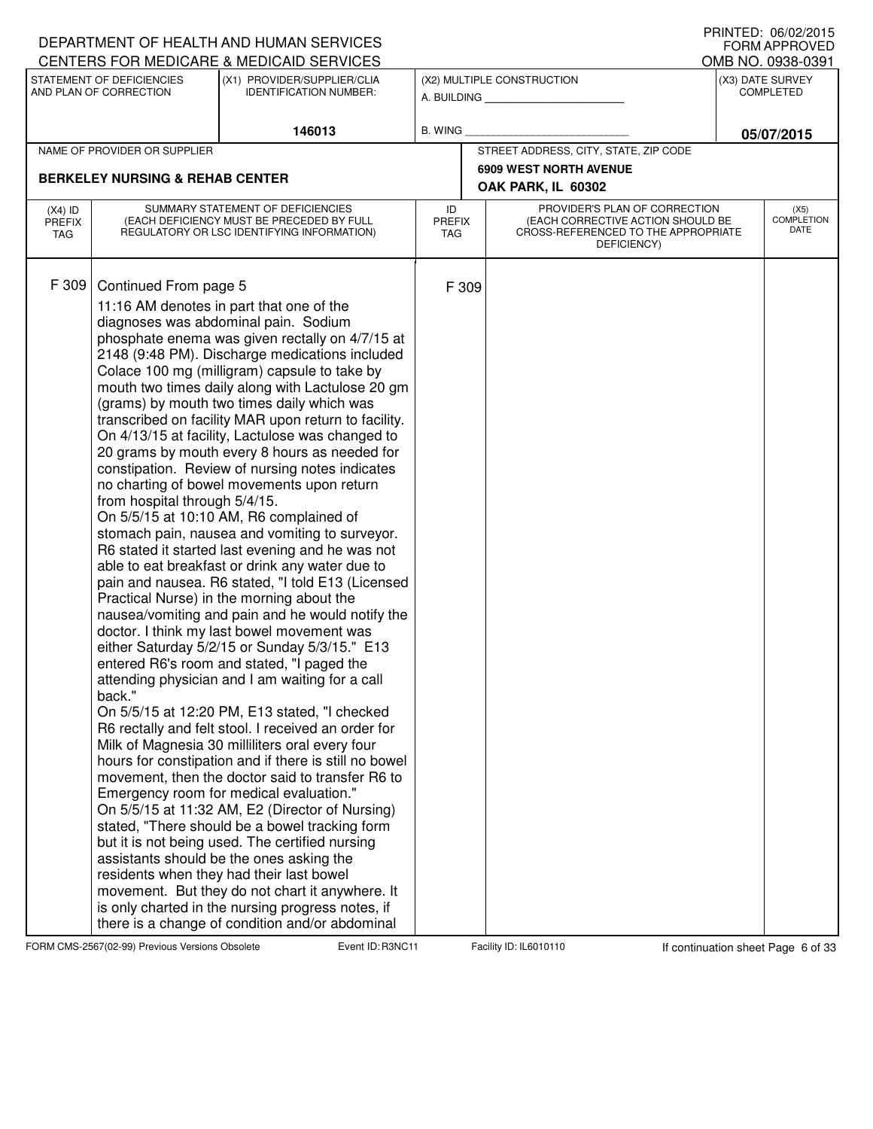|                            |                                                                  | DEPARTMENT OF HEALTH AND HUMAN SERVICES                                                                                                                                                                                                                                                                                                                                                                                                                                                                                                                                                                                                                                                                                                                                                                                                                                                                                                                                                                                                                                                                                                                                                                                                                                                                                                                                                                                                                                                                                                                                                                                                                                                                                                                                                                                                                                                       |                            |                                                                                                                          | FORM APPROVED                        |
|----------------------------|------------------------------------------------------------------|-----------------------------------------------------------------------------------------------------------------------------------------------------------------------------------------------------------------------------------------------------------------------------------------------------------------------------------------------------------------------------------------------------------------------------------------------------------------------------------------------------------------------------------------------------------------------------------------------------------------------------------------------------------------------------------------------------------------------------------------------------------------------------------------------------------------------------------------------------------------------------------------------------------------------------------------------------------------------------------------------------------------------------------------------------------------------------------------------------------------------------------------------------------------------------------------------------------------------------------------------------------------------------------------------------------------------------------------------------------------------------------------------------------------------------------------------------------------------------------------------------------------------------------------------------------------------------------------------------------------------------------------------------------------------------------------------------------------------------------------------------------------------------------------------------------------------------------------------------------------------------------------------|----------------------------|--------------------------------------------------------------------------------------------------------------------------|--------------------------------------|
|                            |                                                                  | CENTERS FOR MEDICARE & MEDICAID SERVICES                                                                                                                                                                                                                                                                                                                                                                                                                                                                                                                                                                                                                                                                                                                                                                                                                                                                                                                                                                                                                                                                                                                                                                                                                                                                                                                                                                                                                                                                                                                                                                                                                                                                                                                                                                                                                                                      |                            |                                                                                                                          | OMB NO. 0938-0391                    |
|                            | STATEMENT OF DEFICIENCIES<br>AND PLAN OF CORRECTION              | (X1) PROVIDER/SUPPLIER/CLIA<br><b>IDENTIFICATION NUMBER:</b>                                                                                                                                                                                                                                                                                                                                                                                                                                                                                                                                                                                                                                                                                                                                                                                                                                                                                                                                                                                                                                                                                                                                                                                                                                                                                                                                                                                                                                                                                                                                                                                                                                                                                                                                                                                                                                  |                            | (X2) MULTIPLE CONSTRUCTION<br>A. BUILDING <b>A.</b> BUILDING                                                             | (X3) DATE SURVEY<br><b>COMPLETED</b> |
|                            |                                                                  | 146013                                                                                                                                                                                                                                                                                                                                                                                                                                                                                                                                                                                                                                                                                                                                                                                                                                                                                                                                                                                                                                                                                                                                                                                                                                                                                                                                                                                                                                                                                                                                                                                                                                                                                                                                                                                                                                                                                        | B. WING                    |                                                                                                                          | 05/07/2015                           |
|                            | NAME OF PROVIDER OR SUPPLIER                                     |                                                                                                                                                                                                                                                                                                                                                                                                                                                                                                                                                                                                                                                                                                                                                                                                                                                                                                                                                                                                                                                                                                                                                                                                                                                                                                                                                                                                                                                                                                                                                                                                                                                                                                                                                                                                                                                                                               |                            | STREET ADDRESS, CITY, STATE, ZIP CODE                                                                                    |                                      |
|                            | <b>BERKELEY NURSING &amp; REHAB CENTER</b>                       |                                                                                                                                                                                                                                                                                                                                                                                                                                                                                                                                                                                                                                                                                                                                                                                                                                                                                                                                                                                                                                                                                                                                                                                                                                                                                                                                                                                                                                                                                                                                                                                                                                                                                                                                                                                                                                                                                               |                            | <b>6909 WEST NORTH AVENUE</b><br>OAK PARK, IL 60302                                                                      |                                      |
| $(X4)$ ID<br>PREFIX<br>TAG |                                                                  | SUMMARY STATEMENT OF DEFICIENCIES<br>(EACH DEFICIENCY MUST BE PRECEDED BY FULL<br>REGULATORY OR LSC IDENTIFYING INFORMATION)                                                                                                                                                                                                                                                                                                                                                                                                                                                                                                                                                                                                                                                                                                                                                                                                                                                                                                                                                                                                                                                                                                                                                                                                                                                                                                                                                                                                                                                                                                                                                                                                                                                                                                                                                                  | ID<br><b>PREFIX</b><br>TAG | PROVIDER'S PLAN OF CORRECTION<br>(EACH CORRECTIVE ACTION SHOULD BE<br>CROSS-REFERENCED TO THE APPROPRIATE<br>DEFICIENCY) | (X5)<br><b>COMPLETION</b><br>DATE    |
| F 309                      | Continued From page 5<br>from hospital through 5/4/15.<br>back." | 11:16 AM denotes in part that one of the<br>diagnoses was abdominal pain. Sodium<br>phosphate enema was given rectally on 4/7/15 at<br>2148 (9:48 PM). Discharge medications included<br>Colace 100 mg (milligram) capsule to take by<br>mouth two times daily along with Lactulose 20 gm<br>(grams) by mouth two times daily which was<br>transcribed on facility MAR upon return to facility.<br>On 4/13/15 at facility, Lactulose was changed to<br>20 grams by mouth every 8 hours as needed for<br>constipation. Review of nursing notes indicates<br>no charting of bowel movements upon return<br>On 5/5/15 at 10:10 AM, R6 complained of<br>stomach pain, nausea and vomiting to surveyor.<br>R6 stated it started last evening and he was not<br>able to eat breakfast or drink any water due to<br>pain and nausea. R6 stated, "I told E13 (Licensed<br>Practical Nurse) in the morning about the<br>nausea/vomiting and pain and he would notify the<br>doctor. I think my last bowel movement was<br>either Saturday 5/2/15 or Sunday 5/3/15." E13<br>entered R6's room and stated, "I paged the<br>attending physician and I am waiting for a call<br>On 5/5/15 at 12:20 PM, E13 stated, "I checked<br>R6 rectally and felt stool. I received an order for<br>Milk of Magnesia 30 milliliters oral every four<br>hours for constipation and if there is still no bowel<br>movement, then the doctor said to transfer R6 to<br>Emergency room for medical evaluation."<br>On 5/5/15 at 11:32 AM, E2 (Director of Nursing)<br>stated, "There should be a bowel tracking form<br>but it is not being used. The certified nursing<br>assistants should be the ones asking the<br>residents when they had their last bowel<br>movement. But they do not chart it anywhere. It<br>is only charted in the nursing progress notes, if<br>there is a change of condition and/or abdominal | F 309                      |                                                                                                                          |                                      |

DEPARTMENT OF HEALTH AND HUMAN SERVICES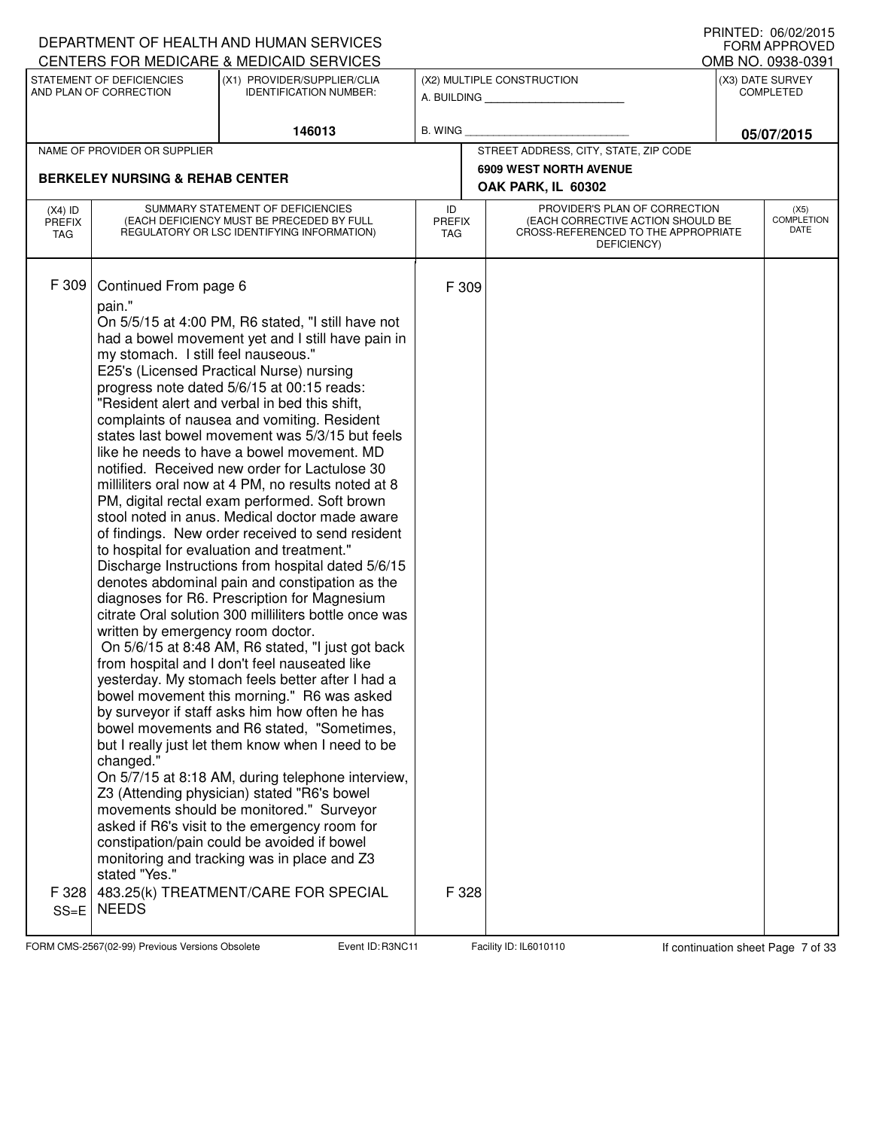|                                   |                                                                                                                                                           | DEPARTMENT OF HEALTH AND HUMAN SERVICES                                                                                                                                                                                                                                                                                                                                                                                                                                                                                                                                                                                                                                                                                                                                                                                                                                                                                                                                                                                                                                                                                                                                                                                                                                                                                                                                                                                                                                                                                                                                                                                             |                |               |                                                                                                                          |                                      | I INNILD. VOIVAAUIJ<br><b>FORM APPROVED</b> |
|-----------------------------------|-----------------------------------------------------------------------------------------------------------------------------------------------------------|-------------------------------------------------------------------------------------------------------------------------------------------------------------------------------------------------------------------------------------------------------------------------------------------------------------------------------------------------------------------------------------------------------------------------------------------------------------------------------------------------------------------------------------------------------------------------------------------------------------------------------------------------------------------------------------------------------------------------------------------------------------------------------------------------------------------------------------------------------------------------------------------------------------------------------------------------------------------------------------------------------------------------------------------------------------------------------------------------------------------------------------------------------------------------------------------------------------------------------------------------------------------------------------------------------------------------------------------------------------------------------------------------------------------------------------------------------------------------------------------------------------------------------------------------------------------------------------------------------------------------------------|----------------|---------------|--------------------------------------------------------------------------------------------------------------------------|--------------------------------------|---------------------------------------------|
|                                   |                                                                                                                                                           | CENTERS FOR MEDICARE & MEDICAID SERVICES                                                                                                                                                                                                                                                                                                                                                                                                                                                                                                                                                                                                                                                                                                                                                                                                                                                                                                                                                                                                                                                                                                                                                                                                                                                                                                                                                                                                                                                                                                                                                                                            |                |               |                                                                                                                          |                                      | OMB NO. 0938-0391                           |
|                                   | STATEMENT OF DEFICIENCIES<br>AND PLAN OF CORRECTION                                                                                                       | (X1) PROVIDER/SUPPLIER/CLIA<br><b>IDENTIFICATION NUMBER:</b>                                                                                                                                                                                                                                                                                                                                                                                                                                                                                                                                                                                                                                                                                                                                                                                                                                                                                                                                                                                                                                                                                                                                                                                                                                                                                                                                                                                                                                                                                                                                                                        |                |               | (X2) MULTIPLE CONSTRUCTION<br>A. BUILDING <b>A.</b> BUILDING                                                             | (X3) DATE SURVEY<br><b>COMPLETED</b> |                                             |
|                                   |                                                                                                                                                           | 146013                                                                                                                                                                                                                                                                                                                                                                                                                                                                                                                                                                                                                                                                                                                                                                                                                                                                                                                                                                                                                                                                                                                                                                                                                                                                                                                                                                                                                                                                                                                                                                                                                              | <b>B. WING</b> |               |                                                                                                                          | 05/07/2015                           |                                             |
|                                   | NAME OF PROVIDER OR SUPPLIER                                                                                                                              |                                                                                                                                                                                                                                                                                                                                                                                                                                                                                                                                                                                                                                                                                                                                                                                                                                                                                                                                                                                                                                                                                                                                                                                                                                                                                                                                                                                                                                                                                                                                                                                                                                     |                |               | STREET ADDRESS, CITY, STATE, ZIP CODE                                                                                    |                                      |                                             |
|                                   | <b>BERKELEY NURSING &amp; REHAB CENTER</b>                                                                                                                |                                                                                                                                                                                                                                                                                                                                                                                                                                                                                                                                                                                                                                                                                                                                                                                                                                                                                                                                                                                                                                                                                                                                                                                                                                                                                                                                                                                                                                                                                                                                                                                                                                     |                |               | <b>6909 WEST NORTH AVENUE</b><br>OAK PARK, IL 60302                                                                      |                                      |                                             |
| $(X4)$ ID<br><b>PREFIX</b><br>TAG | SUMMARY STATEMENT OF DEFICIENCIES<br>(EACH DEFICIENCY MUST BE PRECEDED BY FULL<br>REGULATORY OR LSC IDENTIFYING INFORMATION)                              |                                                                                                                                                                                                                                                                                                                                                                                                                                                                                                                                                                                                                                                                                                                                                                                                                                                                                                                                                                                                                                                                                                                                                                                                                                                                                                                                                                                                                                                                                                                                                                                                                                     |                | <b>PREFIX</b> | PROVIDER'S PLAN OF CORRECTION<br>(EACH CORRECTIVE ACTION SHOULD BE<br>CROSS-REFERENCED TO THE APPROPRIATE<br>DEFICIENCY) |                                      | (X5)<br><b>COMPLETION</b><br>DATE           |
| F 309<br>F 328<br>$SS = E$        | Continued From page 6<br>pain."<br>my stomach. I still feel nauseous."<br>written by emergency room doctor.<br>changed."<br>stated "Yes."<br><b>NEEDS</b> | On 5/5/15 at 4:00 PM, R6 stated, "I still have not<br>had a bowel movement yet and I still have pain in<br>E25's (Licensed Practical Nurse) nursing<br>progress note dated 5/6/15 at 00:15 reads:<br>"Resident alert and verbal in bed this shift,<br>complaints of nausea and vomiting. Resident<br>states last bowel movement was 5/3/15 but feels<br>like he needs to have a bowel movement. MD<br>notified. Received new order for Lactulose 30<br>milliliters oral now at 4 PM, no results noted at 8<br>PM, digital rectal exam performed. Soft brown<br>stool noted in anus. Medical doctor made aware<br>of findings. New order received to send resident<br>to hospital for evaluation and treatment."<br>Discharge Instructions from hospital dated 5/6/15<br>denotes abdominal pain and constipation as the<br>diagnoses for R6. Prescription for Magnesium<br>citrate Oral solution 300 milliliters bottle once was<br>On 5/6/15 at 8:48 AM, R6 stated, "I just got back<br>from hospital and I don't feel nauseated like<br>yesterday. My stomach feels better after I had a<br>bowel movement this morning." R6 was asked<br>by surveyor if staff asks him how often he has<br>bowel movements and R6 stated, "Sometimes,<br>but I really just let them know when I need to be<br>On 5/7/15 at 8:18 AM, during telephone interview,<br>Z3 (Attending physician) stated "R6's bowel<br>movements should be monitored." Surveyor<br>asked if R6's visit to the emergency room for<br>constipation/pain could be avoided if bowel<br>monitoring and tracking was in place and Z3<br>483.25(k) TREATMENT/CARE FOR SPECIAL | F 309<br>F 328 |               |                                                                                                                          |                                      |                                             |
|                                   |                                                                                                                                                           |                                                                                                                                                                                                                                                                                                                                                                                                                                                                                                                                                                                                                                                                                                                                                                                                                                                                                                                                                                                                                                                                                                                                                                                                                                                                                                                                                                                                                                                                                                                                                                                                                                     |                |               |                                                                                                                          |                                      |                                             |

FORM CMS-2567(02-99) Previous Versions Obsolete Event ID: R3NC11 Facility ID: IL6010110 If continuation sheet Page 7 of 33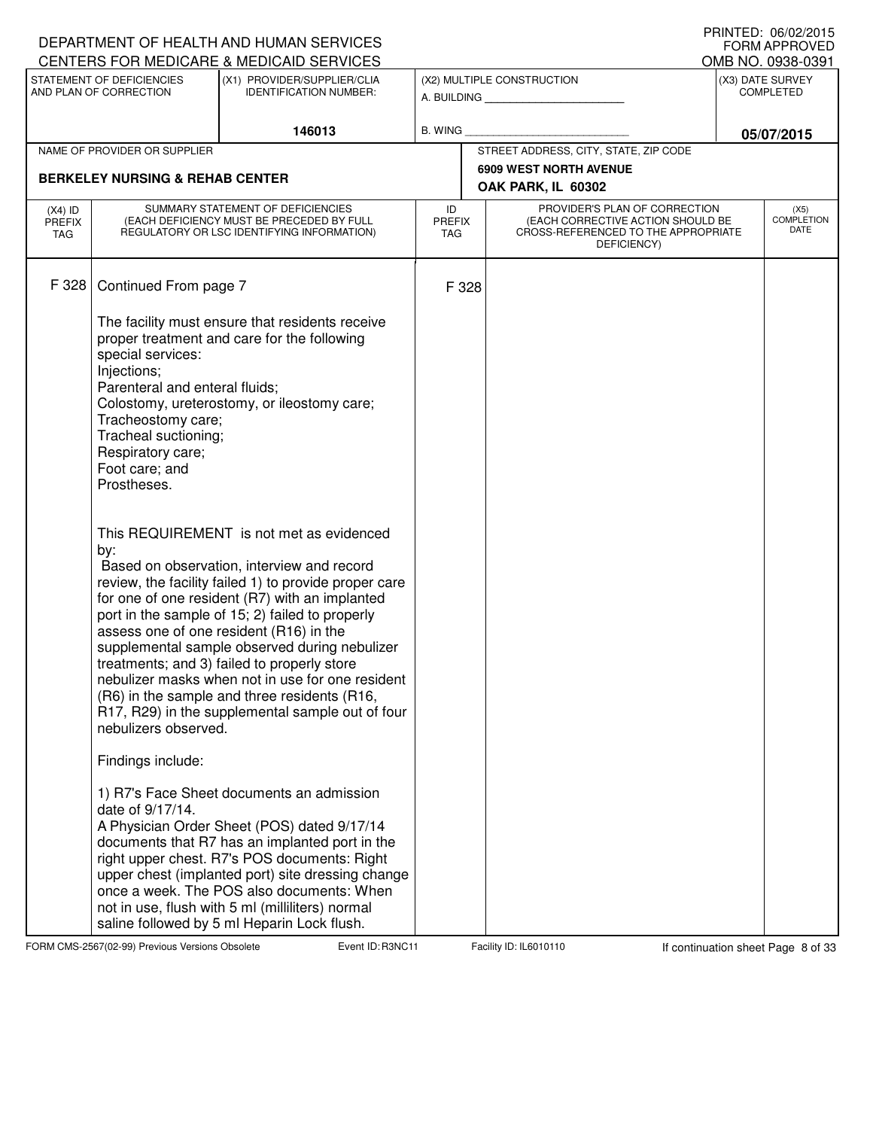|                                          |                                                                                                                     | DEPARTMENT OF HEALTH AND HUMAN SERVICES<br>CENTERS FOR MEDICARE & MEDICAID SERVICES                                                                                                                                                                                                                                                                                                                                                                                                                                                                     |                                   |                                                                                                                          |                                      | PRINIED: 00/02/2015<br><b>FORM APPROVED</b><br>OMB NO. 0938-0391 |
|------------------------------------------|---------------------------------------------------------------------------------------------------------------------|---------------------------------------------------------------------------------------------------------------------------------------------------------------------------------------------------------------------------------------------------------------------------------------------------------------------------------------------------------------------------------------------------------------------------------------------------------------------------------------------------------------------------------------------------------|-----------------------------------|--------------------------------------------------------------------------------------------------------------------------|--------------------------------------|------------------------------------------------------------------|
|                                          | STATEMENT OF DEFICIENCIES<br>(X1) PROVIDER/SUPPLIER/CLIA<br>AND PLAN OF CORRECTION<br><b>IDENTIFICATION NUMBER:</b> |                                                                                                                                                                                                                                                                                                                                                                                                                                                                                                                                                         |                                   | (X2) MULTIPLE CONSTRUCTION                                                                                               | (X3) DATE SURVEY<br><b>COMPLETED</b> |                                                                  |
|                                          |                                                                                                                     | 146013                                                                                                                                                                                                                                                                                                                                                                                                                                                                                                                                                  | <b>B. WING</b>                    |                                                                                                                          |                                      | 05/07/2015                                                       |
|                                          | NAME OF PROVIDER OR SUPPLIER                                                                                        |                                                                                                                                                                                                                                                                                                                                                                                                                                                                                                                                                         |                                   | STREET ADDRESS, CITY, STATE, ZIP CODE                                                                                    |                                      |                                                                  |
|                                          | <b>BERKELEY NURSING &amp; REHAB CENTER</b>                                                                          |                                                                                                                                                                                                                                                                                                                                                                                                                                                                                                                                                         |                                   | <b>6909 WEST NORTH AVENUE</b><br>OAK PARK, IL 60302                                                                      |                                      |                                                                  |
| $(X4)$ ID<br><b>PREFIX</b><br><b>TAG</b> |                                                                                                                     | SUMMARY STATEMENT OF DEFICIENCIES<br>(EACH DEFICIENCY MUST BE PRECEDED BY FULL<br>REGULATORY OR LSC IDENTIFYING INFORMATION)                                                                                                                                                                                                                                                                                                                                                                                                                            | ID<br><b>PREFIX</b><br><b>TAG</b> | PROVIDER'S PLAN OF CORRECTION<br>(EACH CORRECTIVE ACTION SHOULD BE<br>CROSS-REFERENCED TO THE APPROPRIATE<br>DEFICIENCY) |                                      | (X5)<br><b>COMPLETION</b><br>DATE                                |
| F 328                                    | Continued From page 7                                                                                               | The facility must ensure that residents receive                                                                                                                                                                                                                                                                                                                                                                                                                                                                                                         | F 328                             |                                                                                                                          |                                      |                                                                  |
|                                          | special services:<br>Injections;<br>Parenteral and enteral fluids;                                                  | proper treatment and care for the following                                                                                                                                                                                                                                                                                                                                                                                                                                                                                                             |                                   |                                                                                                                          |                                      |                                                                  |
|                                          | Tracheostomy care;<br>Tracheal suctioning;<br>Respiratory care;<br>Foot care; and<br>Prostheses.                    | Colostomy, ureterostomy, or ileostomy care;                                                                                                                                                                                                                                                                                                                                                                                                                                                                                                             |                                   |                                                                                                                          |                                      |                                                                  |
|                                          | by:<br>nebulizers observed.                                                                                         | This REQUIREMENT is not met as evidenced<br>Based on observation, interview and record<br>review, the facility failed 1) to provide proper care<br>for one of one resident (R7) with an implanted<br>port in the sample of 15; 2) failed to properly<br>assess one of one resident (R16) in the<br>supplemental sample observed during nebulizer<br>treatments; and 3) failed to properly store<br>nebulizer masks when not in use for one resident<br>(R6) in the sample and three residents (R16,<br>R17, R29) in the supplemental sample out of four |                                   |                                                                                                                          |                                      |                                                                  |
|                                          | Findings include:                                                                                                   |                                                                                                                                                                                                                                                                                                                                                                                                                                                                                                                                                         |                                   |                                                                                                                          |                                      |                                                                  |
|                                          | date of 9/17/14.                                                                                                    | 1) R7's Face Sheet documents an admission<br>A Physician Order Sheet (POS) dated 9/17/14<br>documents that R7 has an implanted port in the<br>right upper chest. R7's POS documents: Right<br>upper chest (implanted port) site dressing change<br>once a week. The POS also documents: When<br>not in use, flush with 5 ml (milliliters) normal<br>saline followed by 5 ml Heparin Lock flush.                                                                                                                                                         |                                   |                                                                                                                          |                                      |                                                                  |

FORM CMS-2567(02-99) Previous Versions Obsolete Event ID: R3NC11 Facility ID: IL6010110 If continuation sheet Page 8 of 33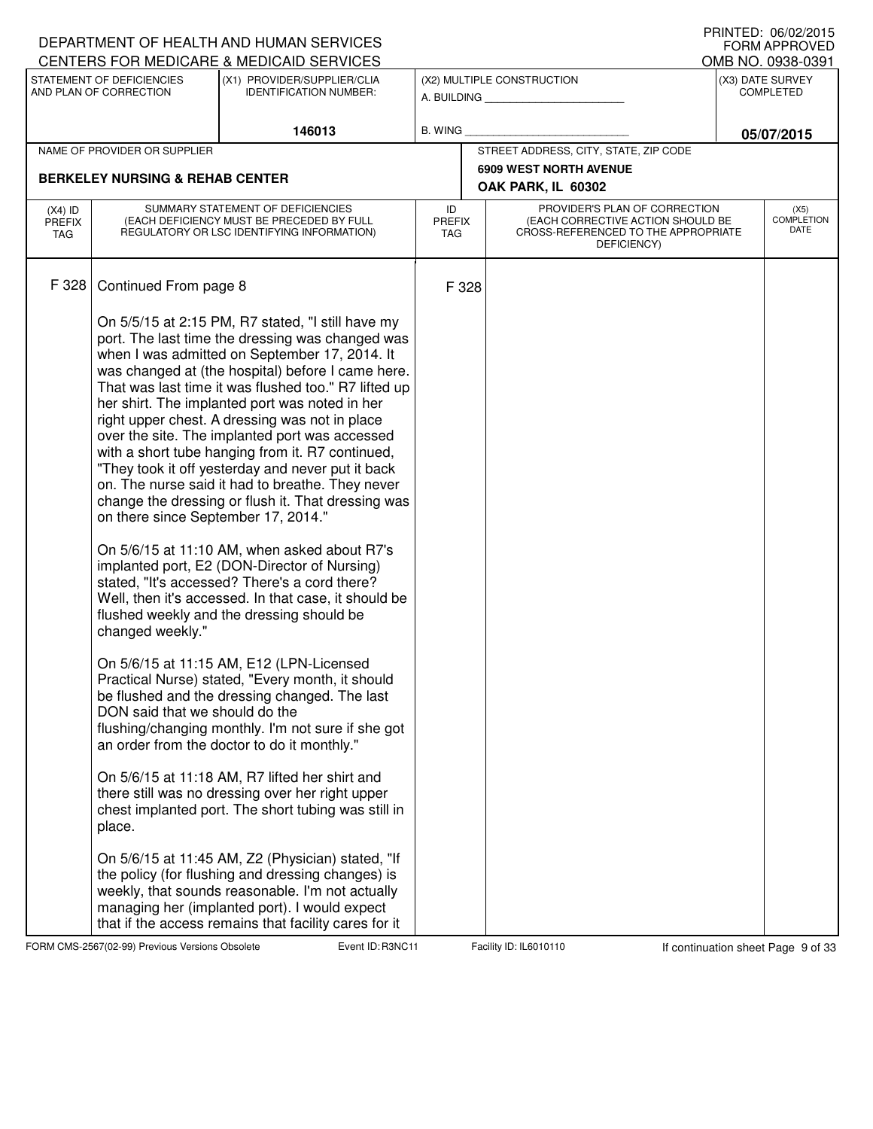|                                          |                                            | DEPARTMENT OF HEALTH AND HUMAN SERVICES<br>CENTERS FOR MEDICARE & MEDICAID SERVICES                                          |                                   |                               |                                                                                                                          |  | PRINIED: 00/02/2013<br><b>FORM APPROVED</b><br>OMB NO. 0938-0391 |
|------------------------------------------|--------------------------------------------|------------------------------------------------------------------------------------------------------------------------------|-----------------------------------|-------------------------------|--------------------------------------------------------------------------------------------------------------------------|--|------------------------------------------------------------------|
|                                          | STATEMENT OF DEFICIENCIES                  | (X1) PROVIDER/SUPPLIER/CLIA                                                                                                  |                                   |                               | (X2) MULTIPLE CONSTRUCTION                                                                                               |  | (X3) DATE SURVEY                                                 |
|                                          | AND PLAN OF CORRECTION                     | <b>IDENTIFICATION NUMBER:</b>                                                                                                |                                   |                               |                                                                                                                          |  | <b>COMPLETED</b>                                                 |
|                                          |                                            | 146013                                                                                                                       | B. WING                           |                               |                                                                                                                          |  | 05/07/2015                                                       |
|                                          | NAME OF PROVIDER OR SUPPLIER               |                                                                                                                              |                                   |                               | STREET ADDRESS, CITY, STATE, ZIP CODE                                                                                    |  |                                                                  |
|                                          | <b>BERKELEY NURSING &amp; REHAB CENTER</b> |                                                                                                                              |                                   | <b>6909 WEST NORTH AVENUE</b> |                                                                                                                          |  |                                                                  |
|                                          |                                            |                                                                                                                              |                                   |                               | OAK PARK, IL 60302                                                                                                       |  |                                                                  |
| $(X4)$ ID<br><b>PREFIX</b><br><b>TAG</b> |                                            | SUMMARY STATEMENT OF DEFICIENCIES<br>(EACH DEFICIENCY MUST BE PRECEDED BY FULL<br>REGULATORY OR LSC IDENTIFYING INFORMATION) | ID<br><b>PREFIX</b><br><b>TAG</b> |                               | PROVIDER'S PLAN OF CORRECTION<br>(EACH CORRECTIVE ACTION SHOULD BE<br>CROSS-REFERENCED TO THE APPROPRIATE<br>DEFICIENCY) |  | (X5)<br><b>COMPLETION</b><br>DATE                                |
| F 328                                    | Continued From page 8                      |                                                                                                                              | F 328                             |                               |                                                                                                                          |  |                                                                  |
|                                          |                                            | On 5/5/15 at 2:15 PM, R7 stated, "I still have my                                                                            |                                   |                               |                                                                                                                          |  |                                                                  |
|                                          |                                            | port. The last time the dressing was changed was<br>when I was admitted on September 17, 2014. It                            |                                   |                               |                                                                                                                          |  |                                                                  |
|                                          |                                            | was changed at (the hospital) before I came here.                                                                            |                                   |                               |                                                                                                                          |  |                                                                  |
|                                          |                                            | That was last time it was flushed too." R7 lifted up                                                                         |                                   |                               |                                                                                                                          |  |                                                                  |
|                                          |                                            | her shirt. The implanted port was noted in her<br>right upper chest. A dressing was not in place                             |                                   |                               |                                                                                                                          |  |                                                                  |
|                                          |                                            | over the site. The implanted port was accessed                                                                               |                                   |                               |                                                                                                                          |  |                                                                  |
|                                          |                                            | with a short tube hanging from it. R7 continued,<br>"They took it off yesterday and never put it back                        |                                   |                               |                                                                                                                          |  |                                                                  |
|                                          |                                            | on. The nurse said it had to breathe. They never                                                                             |                                   |                               |                                                                                                                          |  |                                                                  |
|                                          | on there since September 17, 2014."        | change the dressing or flush it. That dressing was                                                                           |                                   |                               |                                                                                                                          |  |                                                                  |
|                                          |                                            | On 5/6/15 at 11:10 AM, when asked about R7's                                                                                 |                                   |                               |                                                                                                                          |  |                                                                  |
|                                          |                                            | implanted port, E2 (DON-Director of Nursing)<br>stated, "It's accessed? There's a cord there?                                |                                   |                               |                                                                                                                          |  |                                                                  |
|                                          |                                            | Well, then it's accessed. In that case, it should be                                                                         |                                   |                               |                                                                                                                          |  |                                                                  |
|                                          | changed weekly."                           | flushed weekly and the dressing should be                                                                                    |                                   |                               |                                                                                                                          |  |                                                                  |
|                                          |                                            | On 5/6/15 at 11:15 AM, E12 (LPN-Licensed                                                                                     |                                   |                               |                                                                                                                          |  |                                                                  |
|                                          |                                            | Practical Nurse) stated, "Every month, it should                                                                             |                                   |                               |                                                                                                                          |  |                                                                  |
|                                          | DON said that we should do the             | be flushed and the dressing changed. The last                                                                                |                                   |                               |                                                                                                                          |  |                                                                  |
|                                          |                                            | flushing/changing monthly. I'm not sure if she got                                                                           |                                   |                               |                                                                                                                          |  |                                                                  |
|                                          |                                            | an order from the doctor to do it monthly."                                                                                  |                                   |                               |                                                                                                                          |  |                                                                  |
|                                          |                                            | On 5/6/15 at 11:18 AM, R7 lifted her shirt and<br>there still was no dressing over her right upper                           |                                   |                               |                                                                                                                          |  |                                                                  |
|                                          | place.                                     | chest implanted port. The short tubing was still in                                                                          |                                   |                               |                                                                                                                          |  |                                                                  |
|                                          |                                            | On 5/6/15 at 11:45 AM, Z2 (Physician) stated, "If                                                                            |                                   |                               |                                                                                                                          |  |                                                                  |
|                                          |                                            | the policy (for flushing and dressing changes) is                                                                            |                                   |                               |                                                                                                                          |  |                                                                  |
|                                          |                                            | weekly, that sounds reasonable. I'm not actually<br>managing her (implanted port). I would expect                            |                                   |                               |                                                                                                                          |  |                                                                  |
|                                          |                                            | that if the access remains that facility cares for it                                                                        |                                   |                               |                                                                                                                          |  |                                                                  |

FORM CMS-2567(02-99) Previous Versions Obsolete Event ID: R3NC11 Facility ID: IL6010110 If continuation sheet Page 9 of 33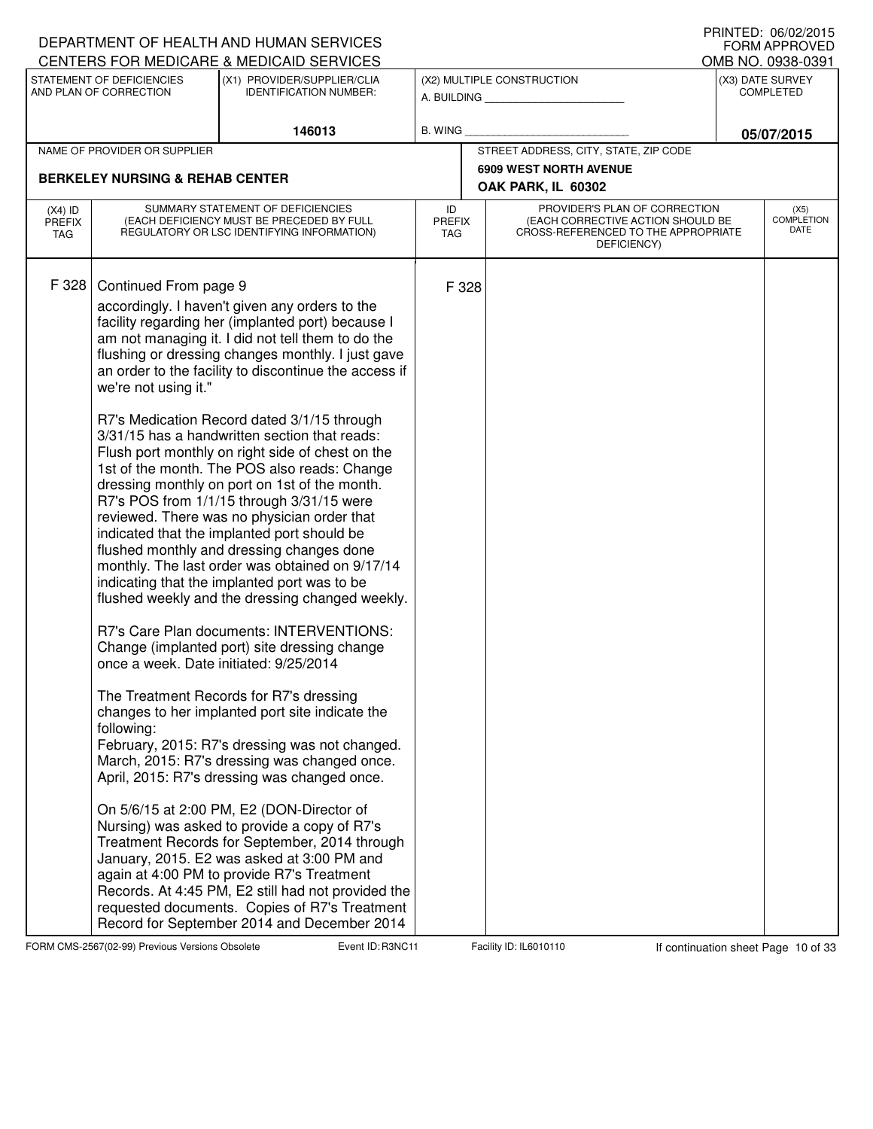|                                   |                                                                                                       | DEPARTMENT OF HEALTH AND HUMAN SERVICES                                                                                                                                                                                                                                                                                                                                                                                                                                                                                                                                                                                                                                                                                                                                                                                                                                                                                                                                                                                                                                                                                                                                                                                                                            |                                   |                               |                                                                                                                          | I INNILD. VOIVAAUIJ<br><b>FORM APPROVED</b> |
|-----------------------------------|-------------------------------------------------------------------------------------------------------|--------------------------------------------------------------------------------------------------------------------------------------------------------------------------------------------------------------------------------------------------------------------------------------------------------------------------------------------------------------------------------------------------------------------------------------------------------------------------------------------------------------------------------------------------------------------------------------------------------------------------------------------------------------------------------------------------------------------------------------------------------------------------------------------------------------------------------------------------------------------------------------------------------------------------------------------------------------------------------------------------------------------------------------------------------------------------------------------------------------------------------------------------------------------------------------------------------------------------------------------------------------------|-----------------------------------|-------------------------------|--------------------------------------------------------------------------------------------------------------------------|---------------------------------------------|
|                                   | STATEMENT OF DEFICIENCIES                                                                             | CENTERS FOR MEDICARE & MEDICAID SERVICES<br>(X1) PROVIDER/SUPPLIER/CLIA                                                                                                                                                                                                                                                                                                                                                                                                                                                                                                                                                                                                                                                                                                                                                                                                                                                                                                                                                                                                                                                                                                                                                                                            |                                   |                               |                                                                                                                          | OMB NO. 0938-0391                           |
|                                   | AND PLAN OF CORRECTION                                                                                | <b>IDENTIFICATION NUMBER:</b>                                                                                                                                                                                                                                                                                                                                                                                                                                                                                                                                                                                                                                                                                                                                                                                                                                                                                                                                                                                                                                                                                                                                                                                                                                      |                                   |                               | (X2) MULTIPLE CONSTRUCTION<br>A. BUILDING                                                                                | (X3) DATE SURVEY<br><b>COMPLETED</b>        |
|                                   |                                                                                                       | 146013                                                                                                                                                                                                                                                                                                                                                                                                                                                                                                                                                                                                                                                                                                                                                                                                                                                                                                                                                                                                                                                                                                                                                                                                                                                             | <b>B. WING</b>                    |                               |                                                                                                                          | 05/07/2015                                  |
|                                   | NAME OF PROVIDER OR SUPPLIER                                                                          |                                                                                                                                                                                                                                                                                                                                                                                                                                                                                                                                                                                                                                                                                                                                                                                                                                                                                                                                                                                                                                                                                                                                                                                                                                                                    |                                   |                               | STREET ADDRESS, CITY, STATE, ZIP CODE                                                                                    |                                             |
|                                   | <b>BERKELEY NURSING &amp; REHAB CENTER</b>                                                            |                                                                                                                                                                                                                                                                                                                                                                                                                                                                                                                                                                                                                                                                                                                                                                                                                                                                                                                                                                                                                                                                                                                                                                                                                                                                    |                                   | <b>6909 WEST NORTH AVENUE</b> |                                                                                                                          |                                             |
|                                   |                                                                                                       |                                                                                                                                                                                                                                                                                                                                                                                                                                                                                                                                                                                                                                                                                                                                                                                                                                                                                                                                                                                                                                                                                                                                                                                                                                                                    |                                   |                               | OAK PARK, IL 60302                                                                                                       |                                             |
| $(X4)$ ID<br><b>PREFIX</b><br>TAG |                                                                                                       | SUMMARY STATEMENT OF DEFICIENCIES<br>(EACH DEFICIENCY MUST BE PRECEDED BY FULL<br>REGULATORY OR LSC IDENTIFYING INFORMATION)                                                                                                                                                                                                                                                                                                                                                                                                                                                                                                                                                                                                                                                                                                                                                                                                                                                                                                                                                                                                                                                                                                                                       | ID<br><b>PREFIX</b><br><b>TAG</b> |                               | PROVIDER'S PLAN OF CORRECTION<br>(EACH CORRECTIVE ACTION SHOULD BE<br>CROSS-REFERENCED TO THE APPROPRIATE<br>DEFICIENCY) | (X5)<br><b>COMPLETION</b><br>DATE           |
| F 328                             | Continued From page 9<br>we're not using it."<br>once a week. Date initiated: 9/25/2014<br>following: | accordingly. I haven't given any orders to the<br>facility regarding her (implanted port) because I<br>am not managing it. I did not tell them to do the<br>flushing or dressing changes monthly. I just gave<br>an order to the facility to discontinue the access if<br>R7's Medication Record dated 3/1/15 through<br>3/31/15 has a handwritten section that reads:<br>Flush port monthly on right side of chest on the<br>1st of the month. The POS also reads: Change<br>dressing monthly on port on 1st of the month.<br>R7's POS from 1/1/15 through 3/31/15 were<br>reviewed. There was no physician order that<br>indicated that the implanted port should be<br>flushed monthly and dressing changes done<br>monthly. The last order was obtained on 9/17/14<br>indicating that the implanted port was to be<br>flushed weekly and the dressing changed weekly.<br>R7's Care Plan documents: INTERVENTIONS:<br>Change (implanted port) site dressing change<br>The Treatment Records for R7's dressing<br>changes to her implanted port site indicate the<br>February, 2015: R7's dressing was not changed.<br>March, 2015: R7's dressing was changed once.<br>April, 2015: R7's dressing was changed once.<br>On 5/6/15 at 2:00 PM, E2 (DON-Director of |                                   | F 328                         |                                                                                                                          |                                             |
|                                   |                                                                                                       | Nursing) was asked to provide a copy of R7's<br>Treatment Records for September, 2014 through<br>January, 2015. E2 was asked at 3:00 PM and<br>again at 4:00 PM to provide R7's Treatment<br>Records. At 4:45 PM, E2 still had not provided the<br>requested documents. Copies of R7's Treatment<br>Record for September 2014 and December 2014                                                                                                                                                                                                                                                                                                                                                                                                                                                                                                                                                                                                                                                                                                                                                                                                                                                                                                                    |                                   |                               |                                                                                                                          |                                             |

FORM CMS-2567(02-99) Previous Versions Obsolete Event ID: R3NC11 Facility ID: IL6010110 If continuation sheet Page 10 of 33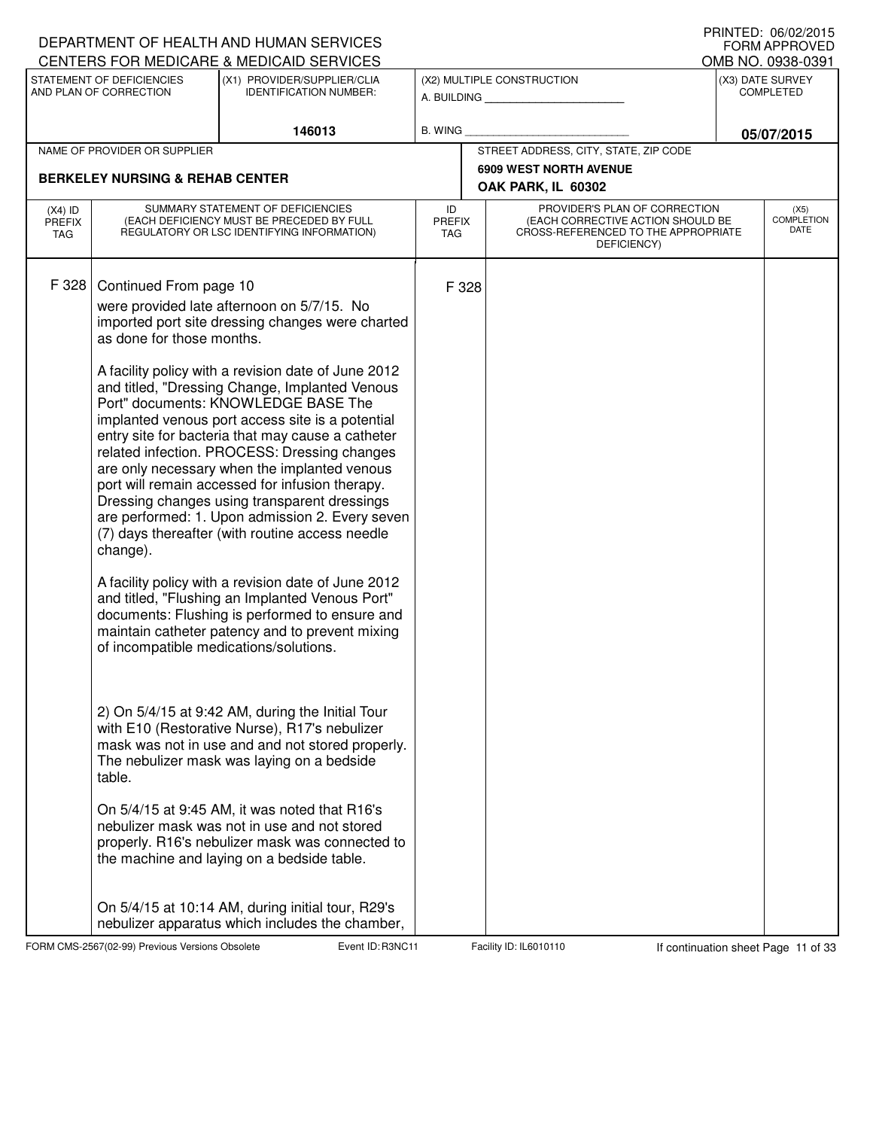|                                          |                                                                                                                     | DEPARTMENT OF HEALTH AND HUMAN SERVICES                                                                                                                                                                                                                                                                                                                                                                                                                                                                                                                                                                                                                                                                                                                                                                                                                                                                                                                                                                                                                                                                                                                                                                                                                                                  |                                   |                                                                                                                          | I IUINILLI. VUIVLILUIJ<br><b>FORM APPROVED</b> |
|------------------------------------------|---------------------------------------------------------------------------------------------------------------------|------------------------------------------------------------------------------------------------------------------------------------------------------------------------------------------------------------------------------------------------------------------------------------------------------------------------------------------------------------------------------------------------------------------------------------------------------------------------------------------------------------------------------------------------------------------------------------------------------------------------------------------------------------------------------------------------------------------------------------------------------------------------------------------------------------------------------------------------------------------------------------------------------------------------------------------------------------------------------------------------------------------------------------------------------------------------------------------------------------------------------------------------------------------------------------------------------------------------------------------------------------------------------------------|-----------------------------------|--------------------------------------------------------------------------------------------------------------------------|------------------------------------------------|
|                                          | STATEMENT OF DEFICIENCIES                                                                                           | CENTERS FOR MEDICARE & MEDICAID SERVICES<br>(X1) PROVIDER/SUPPLIER/CLIA                                                                                                                                                                                                                                                                                                                                                                                                                                                                                                                                                                                                                                                                                                                                                                                                                                                                                                                                                                                                                                                                                                                                                                                                                  |                                   | (X2) MULTIPLE CONSTRUCTION                                                                                               | OMB NO. 0938-0391<br>(X3) DATE SURVEY          |
|                                          | AND PLAN OF CORRECTION                                                                                              | <b>IDENTIFICATION NUMBER:</b>                                                                                                                                                                                                                                                                                                                                                                                                                                                                                                                                                                                                                                                                                                                                                                                                                                                                                                                                                                                                                                                                                                                                                                                                                                                            |                                   | A. BUILDING                                                                                                              | <b>COMPLETED</b>                               |
|                                          |                                                                                                                     |                                                                                                                                                                                                                                                                                                                                                                                                                                                                                                                                                                                                                                                                                                                                                                                                                                                                                                                                                                                                                                                                                                                                                                                                                                                                                          |                                   |                                                                                                                          |                                                |
|                                          |                                                                                                                     | 146013                                                                                                                                                                                                                                                                                                                                                                                                                                                                                                                                                                                                                                                                                                                                                                                                                                                                                                                                                                                                                                                                                                                                                                                                                                                                                   | B. WING                           |                                                                                                                          | 05/07/2015                                     |
|                                          | NAME OF PROVIDER OR SUPPLIER                                                                                        |                                                                                                                                                                                                                                                                                                                                                                                                                                                                                                                                                                                                                                                                                                                                                                                                                                                                                                                                                                                                                                                                                                                                                                                                                                                                                          |                                   | STREET ADDRESS, CITY, STATE, ZIP CODE<br><b>6909 WEST NORTH AVENUE</b>                                                   |                                                |
|                                          | <b>BERKELEY NURSING &amp; REHAB CENTER</b>                                                                          |                                                                                                                                                                                                                                                                                                                                                                                                                                                                                                                                                                                                                                                                                                                                                                                                                                                                                                                                                                                                                                                                                                                                                                                                                                                                                          |                                   | OAK PARK, IL 60302                                                                                                       |                                                |
| $(X4)$ ID<br><b>PREFIX</b><br><b>TAG</b> |                                                                                                                     | SUMMARY STATEMENT OF DEFICIENCIES<br>(EACH DEFICIENCY MUST BE PRECEDED BY FULL<br>REGULATORY OR LSC IDENTIFYING INFORMATION)                                                                                                                                                                                                                                                                                                                                                                                                                                                                                                                                                                                                                                                                                                                                                                                                                                                                                                                                                                                                                                                                                                                                                             | ID<br><b>PREFIX</b><br><b>TAG</b> | PROVIDER'S PLAN OF CORRECTION<br>(EACH CORRECTIVE ACTION SHOULD BE<br>CROSS-REFERENCED TO THE APPROPRIATE<br>DEFICIENCY) | (X5)<br><b>COMPLETION</b><br>DATE              |
| F 328                                    | Continued From page 10<br>as done for those months.<br>change).<br>of incompatible medications/solutions.<br>table. | were provided late afternoon on 5/7/15. No<br>imported port site dressing changes were charted<br>A facility policy with a revision date of June 2012<br>and titled, "Dressing Change, Implanted Venous<br>Port" documents: KNOWLEDGE BASE The<br>implanted venous port access site is a potential<br>entry site for bacteria that may cause a catheter<br>related infection. PROCESS: Dressing changes<br>are only necessary when the implanted venous<br>port will remain accessed for infusion therapy.<br>Dressing changes using transparent dressings<br>are performed: 1. Upon admission 2. Every seven<br>(7) days thereafter (with routine access needle<br>A facility policy with a revision date of June 2012<br>and titled, "Flushing an Implanted Venous Port"<br>documents: Flushing is performed to ensure and<br>maintain catheter patency and to prevent mixing<br>2) On 5/4/15 at 9:42 AM, during the Initial Tour<br>with E10 (Restorative Nurse), R17's nebulizer<br>mask was not in use and and not stored properly.<br>The nebulizer mask was laying on a bedside<br>On 5/4/15 at 9:45 AM, it was noted that R16's<br>nebulizer mask was not in use and not stored<br>properly. R16's nebulizer mask was connected to<br>the machine and laying on a bedside table. | F 328                             |                                                                                                                          |                                                |
|                                          |                                                                                                                     | On 5/4/15 at 10:14 AM, during initial tour, R29's<br>nebulizer apparatus which includes the chamber,                                                                                                                                                                                                                                                                                                                                                                                                                                                                                                                                                                                                                                                                                                                                                                                                                                                                                                                                                                                                                                                                                                                                                                                     |                                   |                                                                                                                          |                                                |

FORM CMS-2567(02-99) Previous Versions Obsolete Event ID: R3NC11 Facility ID: IL6010110 If continuation sheet Page 11 of 33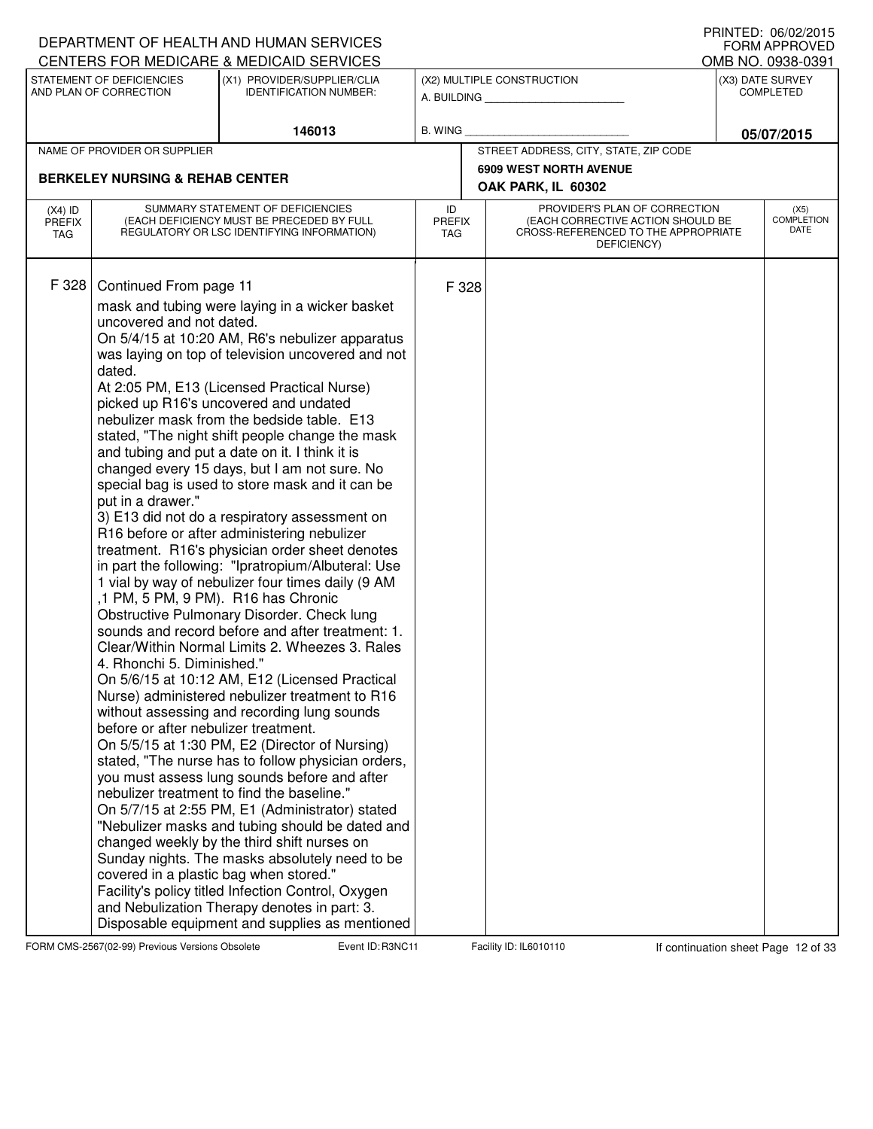|                                   |                                                                                                                                                                                                                                          | DEPARTMENT OF HEALTH AND HUMAN SERVICES                                                                                                                                                                                                                                                                                                                                                                                                                                                                                                                                                                                                                                                                                                                                                                                                                                                                                                                                                                                                                                                                                                                                                                                                                                                                                                                                                                                                                                                                                                                                                                                                      |                                   |                                                                                                                          | <b>U INTILL</b> . UU/UZ/ZUTJ<br><b>FORM APPROVED</b> |
|-----------------------------------|------------------------------------------------------------------------------------------------------------------------------------------------------------------------------------------------------------------------------------------|----------------------------------------------------------------------------------------------------------------------------------------------------------------------------------------------------------------------------------------------------------------------------------------------------------------------------------------------------------------------------------------------------------------------------------------------------------------------------------------------------------------------------------------------------------------------------------------------------------------------------------------------------------------------------------------------------------------------------------------------------------------------------------------------------------------------------------------------------------------------------------------------------------------------------------------------------------------------------------------------------------------------------------------------------------------------------------------------------------------------------------------------------------------------------------------------------------------------------------------------------------------------------------------------------------------------------------------------------------------------------------------------------------------------------------------------------------------------------------------------------------------------------------------------------------------------------------------------------------------------------------------------|-----------------------------------|--------------------------------------------------------------------------------------------------------------------------|------------------------------------------------------|
|                                   |                                                                                                                                                                                                                                          | CENTERS FOR MEDICARE & MEDICAID SERVICES                                                                                                                                                                                                                                                                                                                                                                                                                                                                                                                                                                                                                                                                                                                                                                                                                                                                                                                                                                                                                                                                                                                                                                                                                                                                                                                                                                                                                                                                                                                                                                                                     |                                   |                                                                                                                          | OMB NO. 0938-0391                                    |
|                                   | STATEMENT OF DEFICIENCIES<br>AND PLAN OF CORRECTION                                                                                                                                                                                      | (X1) PROVIDER/SUPPLIER/CLIA<br><b>IDENTIFICATION NUMBER:</b>                                                                                                                                                                                                                                                                                                                                                                                                                                                                                                                                                                                                                                                                                                                                                                                                                                                                                                                                                                                                                                                                                                                                                                                                                                                                                                                                                                                                                                                                                                                                                                                 |                                   | (X2) MULTIPLE CONSTRUCTION<br>A. BUILDING                                                                                | (X3) DATE SURVEY<br><b>COMPLETED</b>                 |
|                                   |                                                                                                                                                                                                                                          | 146013                                                                                                                                                                                                                                                                                                                                                                                                                                                                                                                                                                                                                                                                                                                                                                                                                                                                                                                                                                                                                                                                                                                                                                                                                                                                                                                                                                                                                                                                                                                                                                                                                                       | <b>B. WING</b>                    |                                                                                                                          | 05/07/2015                                           |
|                                   | NAME OF PROVIDER OR SUPPLIER                                                                                                                                                                                                             |                                                                                                                                                                                                                                                                                                                                                                                                                                                                                                                                                                                                                                                                                                                                                                                                                                                                                                                                                                                                                                                                                                                                                                                                                                                                                                                                                                                                                                                                                                                                                                                                                                              |                                   | STREET ADDRESS, CITY, STATE, ZIP CODE                                                                                    |                                                      |
|                                   |                                                                                                                                                                                                                                          |                                                                                                                                                                                                                                                                                                                                                                                                                                                                                                                                                                                                                                                                                                                                                                                                                                                                                                                                                                                                                                                                                                                                                                                                                                                                                                                                                                                                                                                                                                                                                                                                                                              |                                   | <b>6909 WEST NORTH AVENUE</b>                                                                                            |                                                      |
|                                   | <b>BERKELEY NURSING &amp; REHAB CENTER</b>                                                                                                                                                                                               |                                                                                                                                                                                                                                                                                                                                                                                                                                                                                                                                                                                                                                                                                                                                                                                                                                                                                                                                                                                                                                                                                                                                                                                                                                                                                                                                                                                                                                                                                                                                                                                                                                              |                                   | OAK PARK, IL 60302                                                                                                       |                                                      |
| $(X4)$ ID<br><b>PREFIX</b><br>TAG |                                                                                                                                                                                                                                          | SUMMARY STATEMENT OF DEFICIENCIES<br>(EACH DEFICIENCY MUST BE PRECEDED BY FULL<br>REGULATORY OR LSC IDENTIFYING INFORMATION)                                                                                                                                                                                                                                                                                                                                                                                                                                                                                                                                                                                                                                                                                                                                                                                                                                                                                                                                                                                                                                                                                                                                                                                                                                                                                                                                                                                                                                                                                                                 | ID<br><b>PREFIX</b><br><b>TAG</b> | PROVIDER'S PLAN OF CORRECTION<br>(EACH CORRECTIVE ACTION SHOULD BE<br>CROSS-REFERENCED TO THE APPROPRIATE<br>DEFICIENCY) | (X5)<br><b>COMPLETION</b><br>DATE                    |
| F 328                             | Continued From page 11<br>uncovered and not dated.<br>dated.<br>put in a drawer."<br>,1 PM, 5 PM, 9 PM). R16 has Chronic<br>4. Rhonchi 5. Diminished."<br>before or after nebulizer treatment.<br>covered in a plastic bag when stored." | mask and tubing were laying in a wicker basket<br>On 5/4/15 at 10:20 AM, R6's nebulizer apparatus<br>was laying on top of television uncovered and not<br>At 2:05 PM, E13 (Licensed Practical Nurse)<br>picked up R16's uncovered and undated<br>nebulizer mask from the bedside table. E13<br>stated, "The night shift people change the mask<br>and tubing and put a date on it. I think it is<br>changed every 15 days, but I am not sure. No<br>special bag is used to store mask and it can be<br>3) E13 did not do a respiratory assessment on<br>R16 before or after administering nebulizer<br>treatment. R16's physician order sheet denotes<br>in part the following: "Ipratropium/Albuteral: Use<br>1 vial by way of nebulizer four times daily (9 AM<br>Obstructive Pulmonary Disorder. Check lung<br>sounds and record before and after treatment: 1.<br>Clear/Within Normal Limits 2. Wheezes 3. Rales<br>On 5/6/15 at 10:12 AM, E12 (Licensed Practical<br>Nurse) administered nebulizer treatment to R16<br>without assessing and recording lung sounds<br>On 5/5/15 at 1:30 PM, E2 (Director of Nursing)<br>stated, "The nurse has to follow physician orders,<br>you must assess lung sounds before and after<br>nebulizer treatment to find the baseline."<br>On 5/7/15 at 2:55 PM, E1 (Administrator) stated<br>"Nebulizer masks and tubing should be dated and<br>changed weekly by the third shift nurses on<br>Sunday nights. The masks absolutely need to be<br>Facility's policy titled Infection Control, Oxygen<br>and Nebulization Therapy denotes in part: 3.<br>Disposable equipment and supplies as mentioned | F 328                             |                                                                                                                          |                                                      |

FORM CMS-2567(02-99) Previous Versions Obsolete Event ID: R3NC11 Facility ID: IL6010110 If continuation sheet Page 12 of 33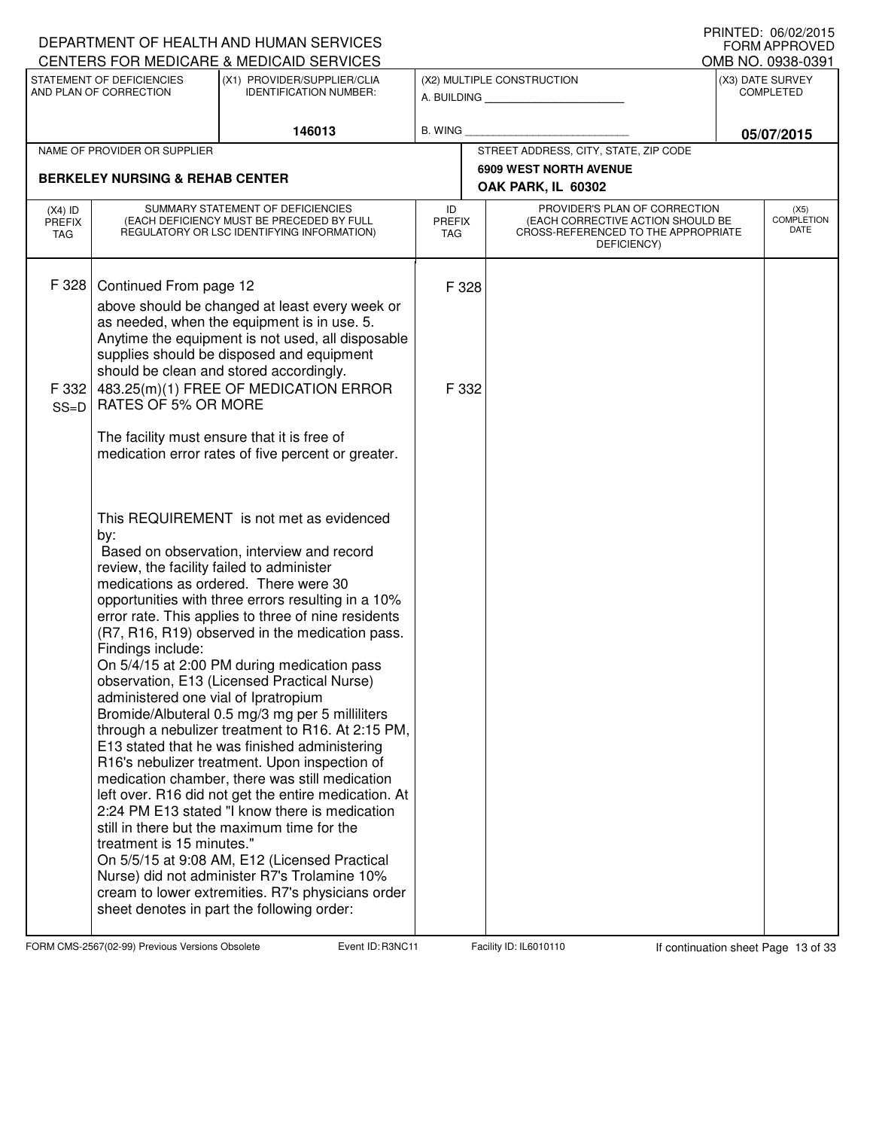|                                   |                                                                                                                                            | DEPARTMENT OF HEALTH AND HUMAN SERVICES<br>CENTERS FOR MEDICARE & MEDICAID SERVICES                                                                                                                                                                                                                                                                                                                                                                                                                                                                                                                                                                                                                                                                                                                                                                                                                                                                                                                                    |                                   |                                                                                                                          |            | <b>U INTILL</b> , UU/UZ/ZUTJ<br>FORM APPROVED<br>OMB NO. 0938-0391 |  |
|-----------------------------------|--------------------------------------------------------------------------------------------------------------------------------------------|------------------------------------------------------------------------------------------------------------------------------------------------------------------------------------------------------------------------------------------------------------------------------------------------------------------------------------------------------------------------------------------------------------------------------------------------------------------------------------------------------------------------------------------------------------------------------------------------------------------------------------------------------------------------------------------------------------------------------------------------------------------------------------------------------------------------------------------------------------------------------------------------------------------------------------------------------------------------------------------------------------------------|-----------------------------------|--------------------------------------------------------------------------------------------------------------------------|------------|--------------------------------------------------------------------|--|
|                                   | STATEMENT OF DEFICIENCIES<br>AND PLAN OF CORRECTION                                                                                        | (X1) PROVIDER/SUPPLIER/CLIA<br><b>IDENTIFICATION NUMBER:</b>                                                                                                                                                                                                                                                                                                                                                                                                                                                                                                                                                                                                                                                                                                                                                                                                                                                                                                                                                           |                                   | (X2) MULTIPLE CONSTRUCTION<br>A. BUILDING                                                                                |            | (X3) DATE SURVEY<br><b>COMPLETED</b>                               |  |
|                                   |                                                                                                                                            | 146013                                                                                                                                                                                                                                                                                                                                                                                                                                                                                                                                                                                                                                                                                                                                                                                                                                                                                                                                                                                                                 | B. WING                           |                                                                                                                          | 05/07/2015 |                                                                    |  |
|                                   | NAME OF PROVIDER OR SUPPLIER                                                                                                               |                                                                                                                                                                                                                                                                                                                                                                                                                                                                                                                                                                                                                                                                                                                                                                                                                                                                                                                                                                                                                        |                                   | STREET ADDRESS, CITY, STATE, ZIP CODE                                                                                    |            |                                                                    |  |
|                                   | <b>BERKELEY NURSING &amp; REHAB CENTER</b>                                                                                                 |                                                                                                                                                                                                                                                                                                                                                                                                                                                                                                                                                                                                                                                                                                                                                                                                                                                                                                                                                                                                                        |                                   | <b>6909 WEST NORTH AVENUE</b>                                                                                            |            |                                                                    |  |
|                                   |                                                                                                                                            |                                                                                                                                                                                                                                                                                                                                                                                                                                                                                                                                                                                                                                                                                                                                                                                                                                                                                                                                                                                                                        |                                   | OAK PARK, IL 60302                                                                                                       |            |                                                                    |  |
| $(X4)$ ID<br><b>PREFIX</b><br>TAG |                                                                                                                                            | SUMMARY STATEMENT OF DEFICIENCIES<br>(EACH DEFICIENCY MUST BE PRECEDED BY FULL<br>REGULATORY OR LSC IDENTIFYING INFORMATION)                                                                                                                                                                                                                                                                                                                                                                                                                                                                                                                                                                                                                                                                                                                                                                                                                                                                                           | ID<br><b>PREFIX</b><br><b>TAG</b> | PROVIDER'S PLAN OF CORRECTION<br>(EACH CORRECTIVE ACTION SHOULD BE<br>CROSS-REFERENCED TO THE APPROPRIATE<br>DEFICIENCY) |            | (X5)<br><b>COMPLETION</b><br><b>DATE</b>                           |  |
| F 328                             | Continued From page 12                                                                                                                     |                                                                                                                                                                                                                                                                                                                                                                                                                                                                                                                                                                                                                                                                                                                                                                                                                                                                                                                                                                                                                        | F 328                             |                                                                                                                          |            |                                                                    |  |
|                                   |                                                                                                                                            | above should be changed at least every week or                                                                                                                                                                                                                                                                                                                                                                                                                                                                                                                                                                                                                                                                                                                                                                                                                                                                                                                                                                         |                                   |                                                                                                                          |            |                                                                    |  |
|                                   |                                                                                                                                            | as needed, when the equipment is in use. 5.<br>Anytime the equipment is not used, all disposable                                                                                                                                                                                                                                                                                                                                                                                                                                                                                                                                                                                                                                                                                                                                                                                                                                                                                                                       |                                   |                                                                                                                          |            |                                                                    |  |
|                                   |                                                                                                                                            | supplies should be disposed and equipment                                                                                                                                                                                                                                                                                                                                                                                                                                                                                                                                                                                                                                                                                                                                                                                                                                                                                                                                                                              |                                   |                                                                                                                          |            |                                                                    |  |
| F 332                             |                                                                                                                                            | should be clean and stored accordingly.<br>483.25(m)(1) FREE OF MEDICATION ERROR                                                                                                                                                                                                                                                                                                                                                                                                                                                                                                                                                                                                                                                                                                                                                                                                                                                                                                                                       | F 332                             |                                                                                                                          |            |                                                                    |  |
| $SS=D$                            | <b>RATES OF 5% OR MORE</b>                                                                                                                 |                                                                                                                                                                                                                                                                                                                                                                                                                                                                                                                                                                                                                                                                                                                                                                                                                                                                                                                                                                                                                        |                                   |                                                                                                                          |            |                                                                    |  |
|                                   |                                                                                                                                            | The facility must ensure that it is free of                                                                                                                                                                                                                                                                                                                                                                                                                                                                                                                                                                                                                                                                                                                                                                                                                                                                                                                                                                            |                                   |                                                                                                                          |            |                                                                    |  |
|                                   |                                                                                                                                            | medication error rates of five percent or greater.                                                                                                                                                                                                                                                                                                                                                                                                                                                                                                                                                                                                                                                                                                                                                                                                                                                                                                                                                                     |                                   |                                                                                                                          |            |                                                                    |  |
|                                   | by:<br>review, the facility failed to administer<br>Findings include:<br>administered one vial of Ipratropium<br>treatment is 15 minutes." | This REQUIREMENT is not met as evidenced<br>Based on observation, interview and record<br>medications as ordered. There were 30<br>opportunities with three errors resulting in a 10%<br>error rate. This applies to three of nine residents<br>(R7, R16, R19) observed in the medication pass.<br>On 5/4/15 at 2:00 PM during medication pass<br>observation, E13 (Licensed Practical Nurse)<br>Bromide/Albuteral 0.5 mg/3 mg per 5 milliliters<br>through a nebulizer treatment to R16. At 2:15 PM,<br>E13 stated that he was finished administering<br>R16's nebulizer treatment. Upon inspection of<br>medication chamber, there was still medication<br>left over. R16 did not get the entire medication. At<br>2:24 PM E13 stated "I know there is medication<br>still in there but the maximum time for the<br>On 5/5/15 at 9:08 AM, E12 (Licensed Practical<br>Nurse) did not administer R7's Trolamine 10%<br>cream to lower extremities. R7's physicians order<br>sheet denotes in part the following order: |                                   |                                                                                                                          |            |                                                                    |  |

FORM CMS-2567(02-99) Previous Versions Obsolete **Rangeler Event ID: R3NC11** Facility ID: IL6010110 If continuation sheet Page 13 of 33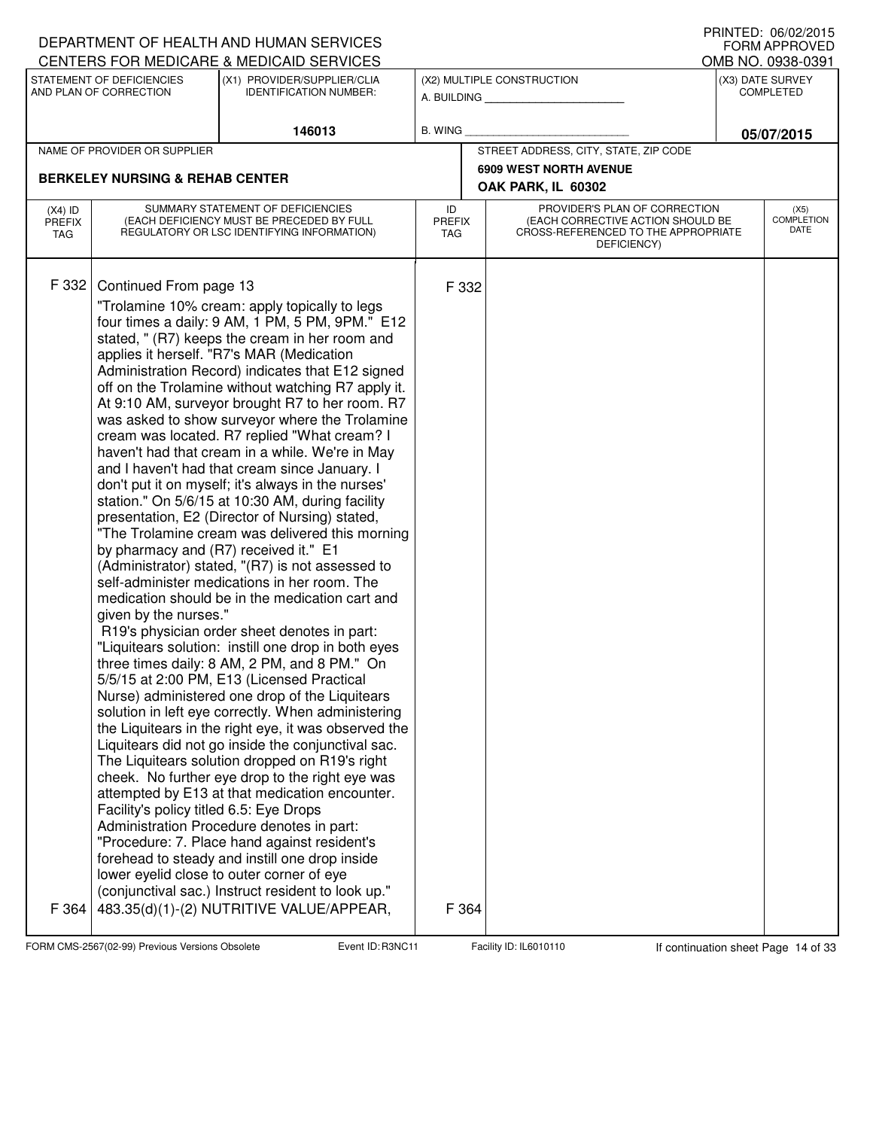|                                   |                                                                                                                                     | DEPARTMENT OF HEALTH AND HUMAN SERVICES                                                                                                                                                                                                                                                                                                                                                                                                                                                                                                                                                                                                                                                                                                                                                                                                                                                                                                                                                                                                                                                                                                                                                                                                                                                                                                                                                                                                                                                                                                                                                                                                                                                                                                                                                                                  |                |                             |                                                                                                                          |                                      | I INNILD. VOIVAAUIJ<br><b>FORM APPROVED</b> |  |
|-----------------------------------|-------------------------------------------------------------------------------------------------------------------------------------|--------------------------------------------------------------------------------------------------------------------------------------------------------------------------------------------------------------------------------------------------------------------------------------------------------------------------------------------------------------------------------------------------------------------------------------------------------------------------------------------------------------------------------------------------------------------------------------------------------------------------------------------------------------------------------------------------------------------------------------------------------------------------------------------------------------------------------------------------------------------------------------------------------------------------------------------------------------------------------------------------------------------------------------------------------------------------------------------------------------------------------------------------------------------------------------------------------------------------------------------------------------------------------------------------------------------------------------------------------------------------------------------------------------------------------------------------------------------------------------------------------------------------------------------------------------------------------------------------------------------------------------------------------------------------------------------------------------------------------------------------------------------------------------------------------------------------|----------------|-----------------------------|--------------------------------------------------------------------------------------------------------------------------|--------------------------------------|---------------------------------------------|--|
|                                   |                                                                                                                                     | CENTERS FOR MEDICARE & MEDICAID SERVICES                                                                                                                                                                                                                                                                                                                                                                                                                                                                                                                                                                                                                                                                                                                                                                                                                                                                                                                                                                                                                                                                                                                                                                                                                                                                                                                                                                                                                                                                                                                                                                                                                                                                                                                                                                                 |                |                             |                                                                                                                          |                                      | OMB NO. 0938-0391                           |  |
|                                   | STATEMENT OF DEFICIENCIES<br>(X1) PROVIDER/SUPPLIER/CLIA<br>AND PLAN OF CORRECTION<br><b>IDENTIFICATION NUMBER:</b>                 |                                                                                                                                                                                                                                                                                                                                                                                                                                                                                                                                                                                                                                                                                                                                                                                                                                                                                                                                                                                                                                                                                                                                                                                                                                                                                                                                                                                                                                                                                                                                                                                                                                                                                                                                                                                                                          |                |                             | (X2) MULTIPLE CONSTRUCTION<br>A. BUILDING                                                                                | (X3) DATE SURVEY<br><b>COMPLETED</b> |                                             |  |
|                                   |                                                                                                                                     | 146013                                                                                                                                                                                                                                                                                                                                                                                                                                                                                                                                                                                                                                                                                                                                                                                                                                                                                                                                                                                                                                                                                                                                                                                                                                                                                                                                                                                                                                                                                                                                                                                                                                                                                                                                                                                                                   | <b>B. WING</b> |                             |                                                                                                                          |                                      | 05/07/2015                                  |  |
|                                   | NAME OF PROVIDER OR SUPPLIER                                                                                                        |                                                                                                                                                                                                                                                                                                                                                                                                                                                                                                                                                                                                                                                                                                                                                                                                                                                                                                                                                                                                                                                                                                                                                                                                                                                                                                                                                                                                                                                                                                                                                                                                                                                                                                                                                                                                                          |                |                             | STREET ADDRESS, CITY, STATE, ZIP CODE                                                                                    |                                      |                                             |  |
|                                   | <b>BERKELEY NURSING &amp; REHAB CENTER</b>                                                                                          |                                                                                                                                                                                                                                                                                                                                                                                                                                                                                                                                                                                                                                                                                                                                                                                                                                                                                                                                                                                                                                                                                                                                                                                                                                                                                                                                                                                                                                                                                                                                                                                                                                                                                                                                                                                                                          |                |                             | <b>6909 WEST NORTH AVENUE</b><br>OAK PARK, IL 60302                                                                      |                                      |                                             |  |
| $(X4)$ ID<br><b>PREFIX</b><br>TAG | SUMMARY STATEMENT OF DEFICIENCIES<br>(EACH DEFICIENCY MUST BE PRECEDED BY FULL<br>REGULATORY OR LSC IDENTIFYING INFORMATION)        |                                                                                                                                                                                                                                                                                                                                                                                                                                                                                                                                                                                                                                                                                                                                                                                                                                                                                                                                                                                                                                                                                                                                                                                                                                                                                                                                                                                                                                                                                                                                                                                                                                                                                                                                                                                                                          |                | <b>PREFIX</b><br><b>TAG</b> | PROVIDER'S PLAN OF CORRECTION<br>(EACH CORRECTIVE ACTION SHOULD BE<br>CROSS-REFERENCED TO THE APPROPRIATE<br>DEFICIENCY) |                                      | (X5)<br><b>COMPLETION</b><br>DATE           |  |
| F 332<br>F 364                    | Continued From page 13<br>by pharmacy and (R7) received it." E1<br>given by the nurses."<br>Facility's policy titled 6.5: Eye Drops | "Trolamine 10% cream: apply topically to legs<br>four times a daily: 9 AM, 1 PM, 5 PM, 9PM." E12<br>stated, " (R7) keeps the cream in her room and<br>applies it herself. "R7's MAR (Medication<br>Administration Record) indicates that E12 signed<br>off on the Trolamine without watching R7 apply it.<br>At 9:10 AM, surveyor brought R7 to her room. R7<br>was asked to show surveyor where the Trolamine<br>cream was located. R7 replied "What cream? I<br>haven't had that cream in a while. We're in May<br>and I haven't had that cream since January. I<br>don't put it on myself; it's always in the nurses'<br>station." On 5/6/15 at 10:30 AM, during facility<br>presentation, E2 (Director of Nursing) stated,<br>"The Trolamine cream was delivered this morning<br>(Administrator) stated, "(R7) is not assessed to<br>self-administer medications in her room. The<br>medication should be in the medication cart and<br>R19's physician order sheet denotes in part:<br>"Liquitears solution: instill one drop in both eyes<br>three times daily: 8 AM, 2 PM, and 8 PM." On<br>5/5/15 at 2:00 PM, E13 (Licensed Practical<br>Nurse) administered one drop of the Liquitears<br>solution in left eye correctly. When administering<br>the Liquitears in the right eye, it was observed the<br>Liquitears did not go inside the conjunctival sac.<br>The Liquitears solution dropped on R19's right<br>cheek. No further eye drop to the right eye was<br>attempted by E13 at that medication encounter.<br>Administration Procedure denotes in part:<br>"Procedure: 7. Place hand against resident's<br>forehead to steady and instill one drop inside<br>lower eyelid close to outer corner of eye<br>(conjunctival sac.) Instruct resident to look up."<br>483.35(d)(1)-(2) NUTRITIVE VALUE/APPEAR, |                | F 332<br>F 364              |                                                                                                                          |                                      |                                             |  |
|                                   |                                                                                                                                     |                                                                                                                                                                                                                                                                                                                                                                                                                                                                                                                                                                                                                                                                                                                                                                                                                                                                                                                                                                                                                                                                                                                                                                                                                                                                                                                                                                                                                                                                                                                                                                                                                                                                                                                                                                                                                          |                |                             |                                                                                                                          |                                      |                                             |  |

FORM CMS-2567(02-99) Previous Versions Obsolete Event ID: R3NC11 Facility ID: IL6010110 If continuation sheet Page 14 of 33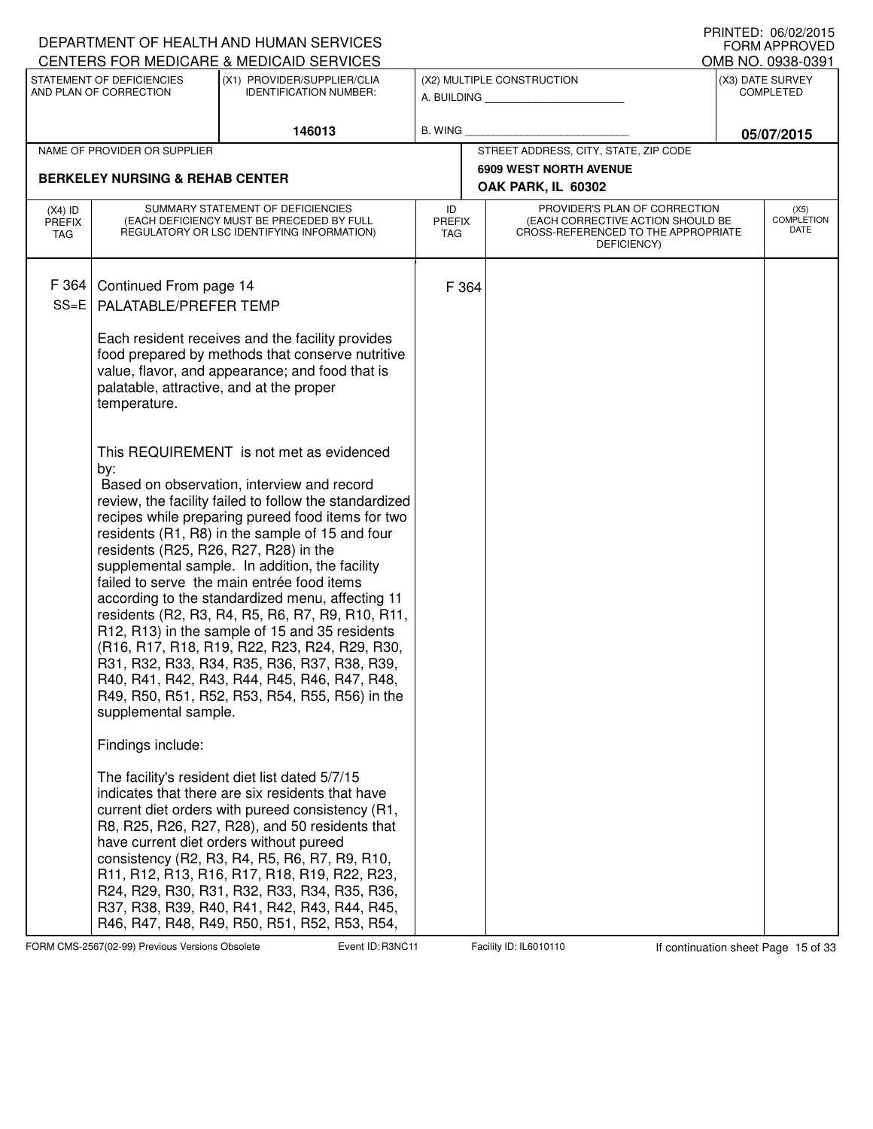|                                   |                                                                      | DEPARTMENT OF HEALTH AND HUMAN SERVICES<br>CENTERS FOR MEDICARE & MEDICAID SERVICES                                                                                                                                                                                                                                                                                                                                                                                                                                                                                                                                                                                       |                            |       |                                                                                                                          |            | FRINTED. 00/02/2013<br><b>FORM APPROVED</b><br>OMB NO. 0938-0391 |
|-----------------------------------|----------------------------------------------------------------------|---------------------------------------------------------------------------------------------------------------------------------------------------------------------------------------------------------------------------------------------------------------------------------------------------------------------------------------------------------------------------------------------------------------------------------------------------------------------------------------------------------------------------------------------------------------------------------------------------------------------------------------------------------------------------|----------------------------|-------|--------------------------------------------------------------------------------------------------------------------------|------------|------------------------------------------------------------------|
|                                   | STATEMENT OF DEFICIENCIES<br>AND PLAN OF CORRECTION                  | (X1) PROVIDER/SUPPLIER/CLIA<br><b>IDENTIFICATION NUMBER:</b>                                                                                                                                                                                                                                                                                                                                                                                                                                                                                                                                                                                                              |                            |       | (X2) MULTIPLE CONSTRUCTION<br>A. BUILDING                                                                                |            | (X3) DATE SURVEY<br><b>COMPLETED</b>                             |
|                                   |                                                                      | 146013                                                                                                                                                                                                                                                                                                                                                                                                                                                                                                                                                                                                                                                                    | <b>B. WING</b>             |       |                                                                                                                          | 05/07/2015 |                                                                  |
|                                   | NAME OF PROVIDER OR SUPPLIER                                         |                                                                                                                                                                                                                                                                                                                                                                                                                                                                                                                                                                                                                                                                           |                            |       | STREET ADDRESS, CITY, STATE, ZIP CODE                                                                                    |            |                                                                  |
|                                   | <b>BERKELEY NURSING &amp; REHAB CENTER</b>                           |                                                                                                                                                                                                                                                                                                                                                                                                                                                                                                                                                                                                                                                                           |                            |       | <b>6909 WEST NORTH AVENUE</b>                                                                                            |            |                                                                  |
|                                   |                                                                      |                                                                                                                                                                                                                                                                                                                                                                                                                                                                                                                                                                                                                                                                           |                            |       | OAK PARK, IL 60302                                                                                                       |            |                                                                  |
| $(X4)$ ID<br><b>PREFIX</b><br>TAG |                                                                      | SUMMARY STATEMENT OF DEFICIENCIES<br>(EACH DEFICIENCY MUST BE PRECEDED BY FULL<br>REGULATORY OR LSC IDENTIFYING INFORMATION)                                                                                                                                                                                                                                                                                                                                                                                                                                                                                                                                              | ID<br><b>PREFIX</b><br>TAG |       | PROVIDER'S PLAN OF CORRECTION<br>(EACH CORRECTIVE ACTION SHOULD BE<br>CROSS-REFERENCED TO THE APPROPRIATE<br>DEFICIENCY) |            | (X5)<br><b>COMPLETION</b><br>DATE                                |
| F 364<br>$SS = E$                 | Continued From page 14<br>PALATABLE/PREFER TEMP                      | Each resident receives and the facility provides<br>food prepared by methods that conserve nutritive<br>value, flavor, and appearance; and food that is                                                                                                                                                                                                                                                                                                                                                                                                                                                                                                                   |                            | F 364 |                                                                                                                          |            |                                                                  |
|                                   | palatable, attractive, and at the proper<br>temperature.             | This REQUIREMENT is not met as evidenced                                                                                                                                                                                                                                                                                                                                                                                                                                                                                                                                                                                                                                  |                            |       |                                                                                                                          |            |                                                                  |
|                                   | by:<br>residents (R25, R26, R27, R28) in the<br>supplemental sample. | Based on observation, interview and record<br>review, the facility failed to follow the standardized<br>recipes while preparing pureed food items for two<br>residents (R1, R8) in the sample of 15 and four<br>supplemental sample. In addition, the facility<br>failed to serve the main entrée food items<br>according to the standardized menu, affecting 11<br>residents (R2, R3, R4, R5, R6, R7, R9, R10, R11,<br>R12, R13) in the sample of 15 and 35 residents<br>(R16, R17, R18, R19, R22, R23, R24, R29, R30,<br>R31, R32, R33, R34, R35, R36, R37, R38, R39,<br>R40, R41, R42, R43, R44, R45, R46, R47, R48,<br>R49, R50, R51, R52, R53, R54, R55, R56) in the |                            |       |                                                                                                                          |            |                                                                  |
|                                   | Findings include:                                                    | The facility's resident diet list dated 5/7/15<br>indicates that there are six residents that have<br>current diet orders with pureed consistency (R1,<br>R8, R25, R26, R27, R28), and 50 residents that<br>have current diet orders without pureed<br>consistency (R2, R3, R4, R5, R6, R7, R9, R10,<br>R11, R12, R13, R16, R17, R18, R19, R22, R23,<br>R24, R29, R30, R31, R32, R33, R34, R35, R36,<br>R37, R38, R39, R40, R41, R42, R43, R44, R45,<br>R46, R47, R48, R49, R50, R51, R52, R53, R54,                                                                                                                                                                      |                            |       |                                                                                                                          |            |                                                                  |

FORM CMS-2567(02-99) Previous Versions Obsolete **Right Event ID: R3NC11** Facility ID: IL6010110 If continuation sheet Page 15 of 33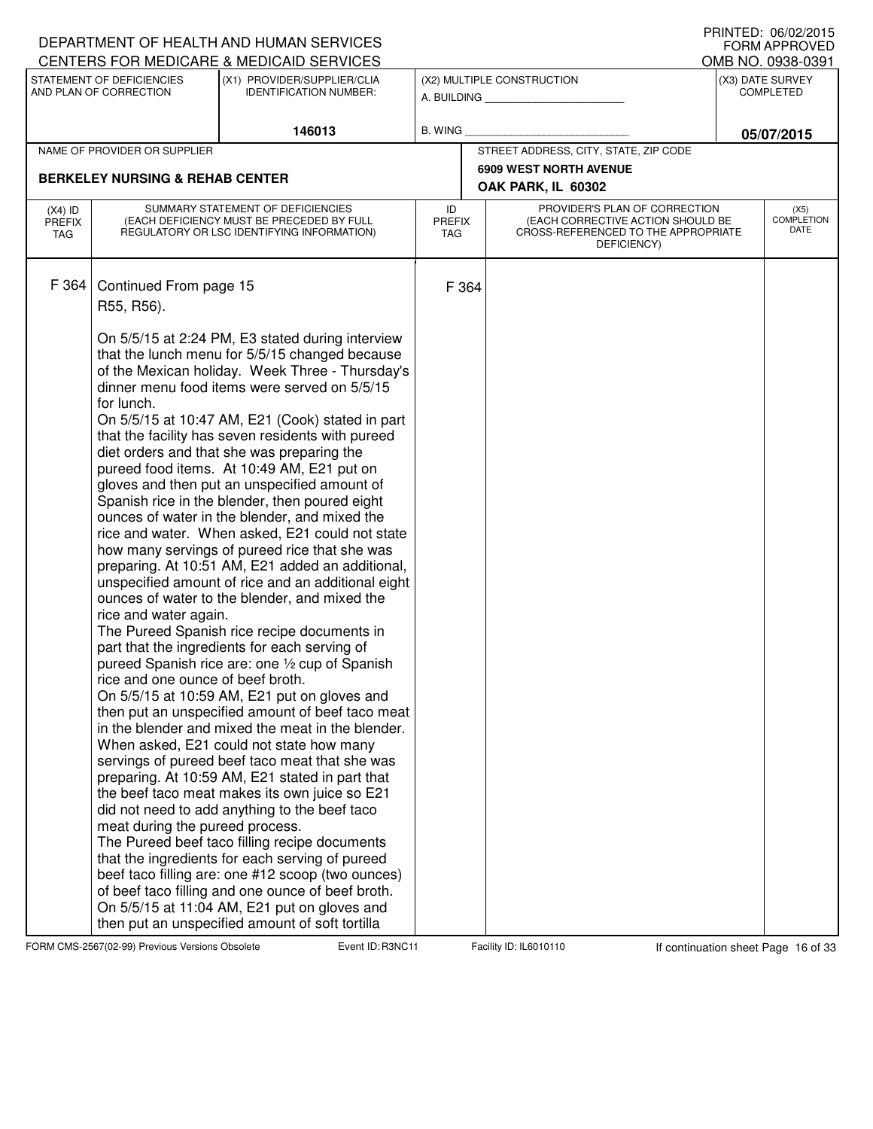|                                   |                                                                                                                                                     | DEPARTMENT OF HEALTH AND HUMAN SERVICES<br>CENTERS FOR MEDICARE & MEDICAID SERVICES                                                                                                                                                                                                                                                                                                                                                                                                                                                                                                                                                                                                                                                                                                                                                                                                                                                                                                                                                                                                                                                                                                                                                                                                                                                                                                                                                                                                                                                                                                                       |                                   |                                                                                                                          |            | I IUINILLU. VUIVLILUIJ<br><b>FORM APPROVED</b><br>OMB NO. 0938-0391 |
|-----------------------------------|-----------------------------------------------------------------------------------------------------------------------------------------------------|-----------------------------------------------------------------------------------------------------------------------------------------------------------------------------------------------------------------------------------------------------------------------------------------------------------------------------------------------------------------------------------------------------------------------------------------------------------------------------------------------------------------------------------------------------------------------------------------------------------------------------------------------------------------------------------------------------------------------------------------------------------------------------------------------------------------------------------------------------------------------------------------------------------------------------------------------------------------------------------------------------------------------------------------------------------------------------------------------------------------------------------------------------------------------------------------------------------------------------------------------------------------------------------------------------------------------------------------------------------------------------------------------------------------------------------------------------------------------------------------------------------------------------------------------------------------------------------------------------------|-----------------------------------|--------------------------------------------------------------------------------------------------------------------------|------------|---------------------------------------------------------------------|
|                                   | STATEMENT OF DEFICIENCIES<br>AND PLAN OF CORRECTION                                                                                                 | (X1) PROVIDER/SUPPLIER/CLIA<br><b>IDENTIFICATION NUMBER:</b>                                                                                                                                                                                                                                                                                                                                                                                                                                                                                                                                                                                                                                                                                                                                                                                                                                                                                                                                                                                                                                                                                                                                                                                                                                                                                                                                                                                                                                                                                                                                              |                                   | (X2) MULTIPLE CONSTRUCTION<br>A. BUILDING                                                                                |            | (X3) DATE SURVEY<br><b>COMPLETED</b>                                |
|                                   |                                                                                                                                                     | 146013                                                                                                                                                                                                                                                                                                                                                                                                                                                                                                                                                                                                                                                                                                                                                                                                                                                                                                                                                                                                                                                                                                                                                                                                                                                                                                                                                                                                                                                                                                                                                                                                    | B. WING                           |                                                                                                                          | 05/07/2015 |                                                                     |
|                                   | NAME OF PROVIDER OR SUPPLIER                                                                                                                        |                                                                                                                                                                                                                                                                                                                                                                                                                                                                                                                                                                                                                                                                                                                                                                                                                                                                                                                                                                                                                                                                                                                                                                                                                                                                                                                                                                                                                                                                                                                                                                                                           |                                   | STREET ADDRESS, CITY, STATE, ZIP CODE                                                                                    |            |                                                                     |
|                                   |                                                                                                                                                     |                                                                                                                                                                                                                                                                                                                                                                                                                                                                                                                                                                                                                                                                                                                                                                                                                                                                                                                                                                                                                                                                                                                                                                                                                                                                                                                                                                                                                                                                                                                                                                                                           |                                   | <b>6909 WEST NORTH AVENUE</b>                                                                                            |            |                                                                     |
|                                   | <b>BERKELEY NURSING &amp; REHAB CENTER</b>                                                                                                          |                                                                                                                                                                                                                                                                                                                                                                                                                                                                                                                                                                                                                                                                                                                                                                                                                                                                                                                                                                                                                                                                                                                                                                                                                                                                                                                                                                                                                                                                                                                                                                                                           |                                   | OAK PARK, IL 60302                                                                                                       |            |                                                                     |
| $(X4)$ ID<br><b>PREFIX</b><br>TAG |                                                                                                                                                     | SUMMARY STATEMENT OF DEFICIENCIES<br>(EACH DEFICIENCY MUST BE PRECEDED BY FULL<br>REGULATORY OR LSC IDENTIFYING INFORMATION)                                                                                                                                                                                                                                                                                                                                                                                                                                                                                                                                                                                                                                                                                                                                                                                                                                                                                                                                                                                                                                                                                                                                                                                                                                                                                                                                                                                                                                                                              | ID<br><b>PREFIX</b><br><b>TAG</b> | PROVIDER'S PLAN OF CORRECTION<br>(EACH CORRECTIVE ACTION SHOULD BE<br>CROSS-REFERENCED TO THE APPROPRIATE<br>DEFICIENCY) |            | (X5)<br><b>COMPLETION</b><br>DATE                                   |
| F 364                             | Continued From page 15<br>R55, R56).<br>for lunch.<br>rice and water again.<br>rice and one ounce of beef broth.<br>meat during the pureed process. | On 5/5/15 at 2:24 PM, E3 stated during interview<br>that the lunch menu for 5/5/15 changed because<br>of the Mexican holiday. Week Three - Thursday's<br>dinner menu food items were served on 5/5/15<br>On 5/5/15 at 10:47 AM, E21 (Cook) stated in part<br>that the facility has seven residents with pureed<br>diet orders and that she was preparing the<br>pureed food items. At 10:49 AM, E21 put on<br>gloves and then put an unspecified amount of<br>Spanish rice in the blender, then poured eight<br>ounces of water in the blender, and mixed the<br>rice and water. When asked, E21 could not state<br>how many servings of pureed rice that she was<br>preparing. At 10:51 AM, E21 added an additional,<br>unspecified amount of rice and an additional eight<br>ounces of water to the blender, and mixed the<br>The Pureed Spanish rice recipe documents in<br>part that the ingredients for each serving of<br>pureed Spanish rice are: one 1/2 cup of Spanish<br>On 5/5/15 at 10:59 AM, E21 put on gloves and<br>then put an unspecified amount of beef taco meat<br>in the blender and mixed the meat in the blender.<br>When asked, E21 could not state how many<br>servings of pureed beef taco meat that she was<br>preparing. At 10:59 AM, E21 stated in part that<br>the beef taco meat makes its own juice so E21<br>did not need to add anything to the beef taco<br>The Pureed beef taco filling recipe documents<br>that the ingredients for each serving of pureed<br>beef taco filling are: one #12 scoop (two ounces)<br>of beef taco filling and one ounce of beef broth. | F 364                             |                                                                                                                          |            |                                                                     |
|                                   |                                                                                                                                                     | On 5/5/15 at 11:04 AM, E21 put on gloves and<br>then put an unspecified amount of soft tortilla                                                                                                                                                                                                                                                                                                                                                                                                                                                                                                                                                                                                                                                                                                                                                                                                                                                                                                                                                                                                                                                                                                                                                                                                                                                                                                                                                                                                                                                                                                           |                                   |                                                                                                                          |            |                                                                     |

FORM CMS-2567(02-99) Previous Versions Obsolete **Right Event ID: R3NC11** Facility ID: IL6010110 If continuation sheet Page 16 of 33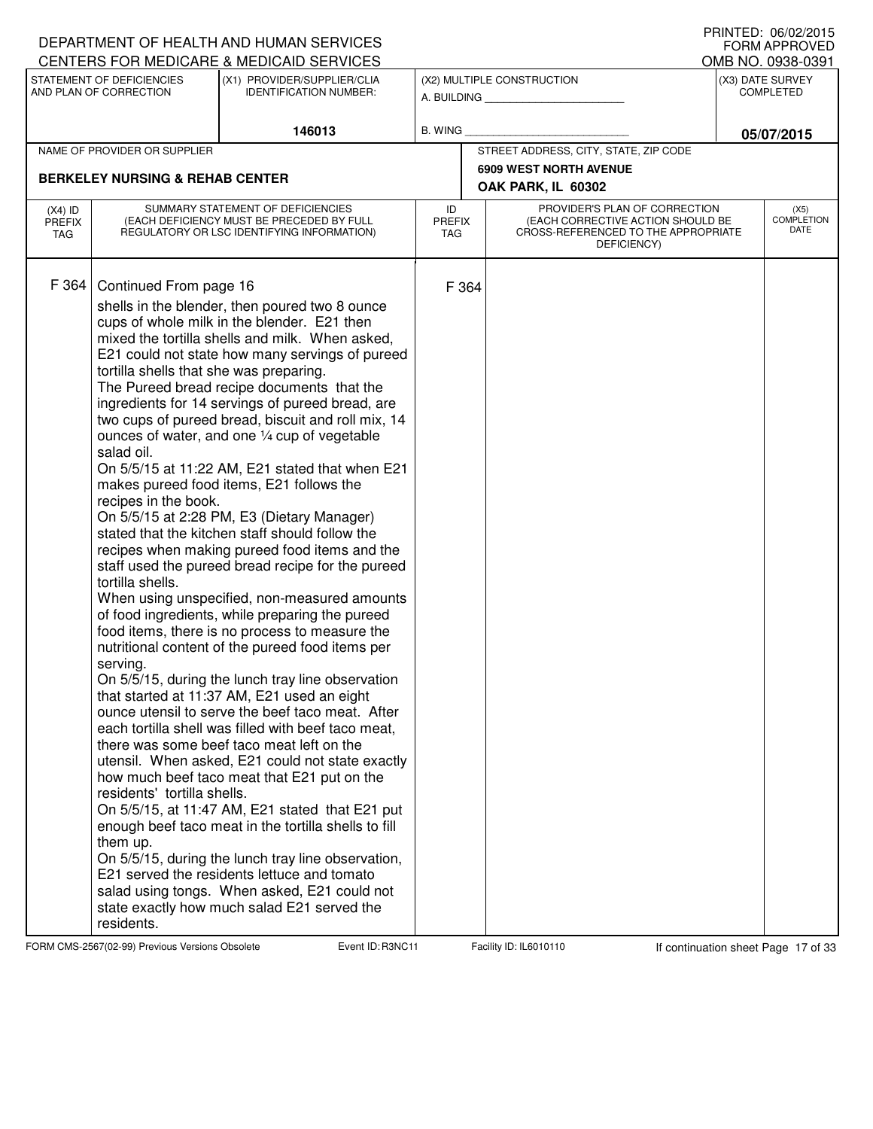|                                          |                                                                                                                                                                                                  | DEPARTMENT OF HEALTH AND HUMAN SERVICES<br>CENTERS FOR MEDICARE & MEDICAID SERVICES                                                                                                                                                                                                                                                                                                                                                                                                                                                                                                                                                                                                                                                                                                                                                                                                                                                                                                                                                                                                                                                                                                                                                                                                                                                                                                                                                                                                                                                                                                                       |                            |       |                                                                                                                          | FRINTED. VO/VZ/ZVT3<br><b>FORM APPROVED</b><br>OMB NO. 0938-0391 |
|------------------------------------------|--------------------------------------------------------------------------------------------------------------------------------------------------------------------------------------------------|-----------------------------------------------------------------------------------------------------------------------------------------------------------------------------------------------------------------------------------------------------------------------------------------------------------------------------------------------------------------------------------------------------------------------------------------------------------------------------------------------------------------------------------------------------------------------------------------------------------------------------------------------------------------------------------------------------------------------------------------------------------------------------------------------------------------------------------------------------------------------------------------------------------------------------------------------------------------------------------------------------------------------------------------------------------------------------------------------------------------------------------------------------------------------------------------------------------------------------------------------------------------------------------------------------------------------------------------------------------------------------------------------------------------------------------------------------------------------------------------------------------------------------------------------------------------------------------------------------------|----------------------------|-------|--------------------------------------------------------------------------------------------------------------------------|------------------------------------------------------------------|
|                                          | STATEMENT OF DEFICIENCIES<br>AND PLAN OF CORRECTION                                                                                                                                              | (X1) PROVIDER/SUPPLIER/CLIA<br><b>IDENTIFICATION NUMBER:</b>                                                                                                                                                                                                                                                                                                                                                                                                                                                                                                                                                                                                                                                                                                                                                                                                                                                                                                                                                                                                                                                                                                                                                                                                                                                                                                                                                                                                                                                                                                                                              |                            |       | (X2) MULTIPLE CONSTRUCTION<br>A. BUILDING                                                                                | (X3) DATE SURVEY<br><b>COMPLETED</b>                             |
|                                          |                                                                                                                                                                                                  | 146013                                                                                                                                                                                                                                                                                                                                                                                                                                                                                                                                                                                                                                                                                                                                                                                                                                                                                                                                                                                                                                                                                                                                                                                                                                                                                                                                                                                                                                                                                                                                                                                                    | <b>B. WING</b>             |       |                                                                                                                          | 05/07/2015                                                       |
|                                          | NAME OF PROVIDER OR SUPPLIER                                                                                                                                                                     |                                                                                                                                                                                                                                                                                                                                                                                                                                                                                                                                                                                                                                                                                                                                                                                                                                                                                                                                                                                                                                                                                                                                                                                                                                                                                                                                                                                                                                                                                                                                                                                                           |                            |       | STREET ADDRESS, CITY, STATE, ZIP CODE                                                                                    |                                                                  |
|                                          | <b>BERKELEY NURSING &amp; REHAB CENTER</b>                                                                                                                                                       |                                                                                                                                                                                                                                                                                                                                                                                                                                                                                                                                                                                                                                                                                                                                                                                                                                                                                                                                                                                                                                                                                                                                                                                                                                                                                                                                                                                                                                                                                                                                                                                                           |                            |       | <b>6909 WEST NORTH AVENUE</b><br>OAK PARK, IL 60302                                                                      |                                                                  |
| $(X4)$ ID<br><b>PREFIX</b><br><b>TAG</b> |                                                                                                                                                                                                  | SUMMARY STATEMENT OF DEFICIENCIES<br>(EACH DEFICIENCY MUST BE PRECEDED BY FULL<br>REGULATORY OR LSC IDENTIFYING INFORMATION)                                                                                                                                                                                                                                                                                                                                                                                                                                                                                                                                                                                                                                                                                                                                                                                                                                                                                                                                                                                                                                                                                                                                                                                                                                                                                                                                                                                                                                                                              | ID<br><b>PREFIX</b><br>TAG |       | PROVIDER'S PLAN OF CORRECTION<br>(EACH CORRECTIVE ACTION SHOULD BE<br>CROSS-REFERENCED TO THE APPROPRIATE<br>DEFICIENCY) | (X5)<br><b>COMPLETION</b><br>DATE                                |
| F 364                                    | Continued From page 16<br>tortilla shells that she was preparing.<br>salad oil.<br>recipes in the book.<br>tortilla shells.<br>serving.<br>residents' tortilla shells.<br>them up.<br>residents. | shells in the blender, then poured two 8 ounce<br>cups of whole milk in the blender. E21 then<br>mixed the tortilla shells and milk. When asked,<br>E21 could not state how many servings of pureed<br>The Pureed bread recipe documents that the<br>ingredients for 14 servings of pureed bread, are<br>two cups of pureed bread, biscuit and roll mix, 14<br>ounces of water, and one 1/4 cup of vegetable<br>On 5/5/15 at 11:22 AM, E21 stated that when E21<br>makes pureed food items, E21 follows the<br>On 5/5/15 at 2:28 PM, E3 (Dietary Manager)<br>stated that the kitchen staff should follow the<br>recipes when making pureed food items and the<br>staff used the pureed bread recipe for the pureed<br>When using unspecified, non-measured amounts<br>of food ingredients, while preparing the pureed<br>food items, there is no process to measure the<br>nutritional content of the pureed food items per<br>On 5/5/15, during the lunch tray line observation<br>that started at 11:37 AM, E21 used an eight<br>ounce utensil to serve the beef taco meat. After<br>each tortilla shell was filled with beef taco meat,<br>there was some beef taco meat left on the<br>utensil. When asked, E21 could not state exactly<br>how much beef taco meat that E21 put on the<br>On 5/5/15, at 11:47 AM, E21 stated that E21 put<br>enough beef taco meat in the tortilla shells to fill<br>On 5/5/15, during the lunch tray line observation,<br>E21 served the residents lettuce and tomato<br>salad using tongs. When asked, E21 could not<br>state exactly how much salad E21 served the |                            | F 364 |                                                                                                                          |                                                                  |

FORM CMS-2567(02-99) Previous Versions Obsolete Event ID: R3NC11 Facility ID: IL6010110 If continuation sheet Page 17 of 33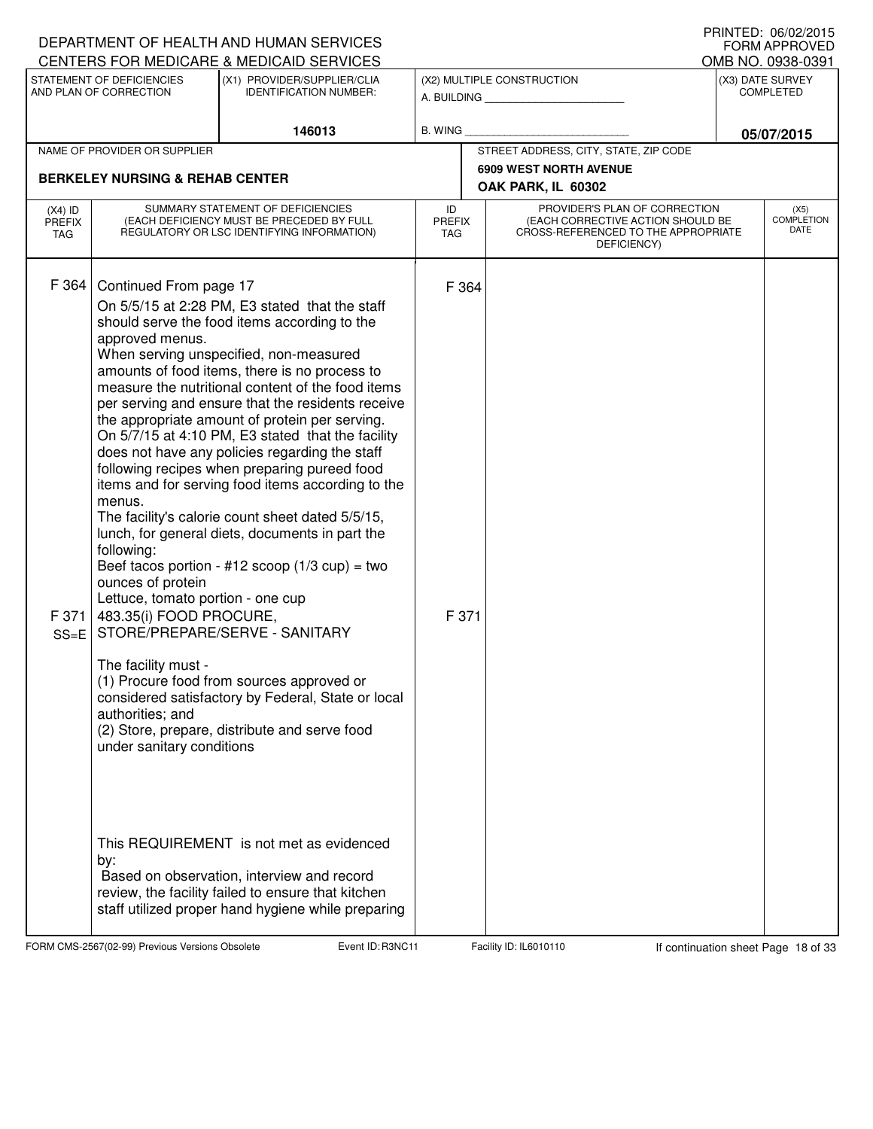|                                   |                                                                                                                                                                                                                                       | DEPARTMENT OF HEALTH AND HUMAN SERVICES                                                                                                                                                                                                                                                                                                                                                                                                                                                                                                                                                                                                                                                                                                                                                                                                                                                                                                                                                                                                                                    |                                   |  |                                                                                                                          |                  | I IUINILLU. VUIVLILUIJ<br><b>FORM APPROVED</b> |
|-----------------------------------|---------------------------------------------------------------------------------------------------------------------------------------------------------------------------------------------------------------------------------------|----------------------------------------------------------------------------------------------------------------------------------------------------------------------------------------------------------------------------------------------------------------------------------------------------------------------------------------------------------------------------------------------------------------------------------------------------------------------------------------------------------------------------------------------------------------------------------------------------------------------------------------------------------------------------------------------------------------------------------------------------------------------------------------------------------------------------------------------------------------------------------------------------------------------------------------------------------------------------------------------------------------------------------------------------------------------------|-----------------------------------|--|--------------------------------------------------------------------------------------------------------------------------|------------------|------------------------------------------------|
|                                   | STATEMENT OF DEFICIENCIES                                                                                                                                                                                                             | CENTERS FOR MEDICARE & MEDICAID SERVICES<br>(X1) PROVIDER/SUPPLIER/CLIA                                                                                                                                                                                                                                                                                                                                                                                                                                                                                                                                                                                                                                                                                                                                                                                                                                                                                                                                                                                                    |                                   |  | (X2) MULTIPLE CONSTRUCTION                                                                                               |                  | OMB NO. 0938-0391<br>(X3) DATE SURVEY          |
|                                   | AND PLAN OF CORRECTION<br><b>IDENTIFICATION NUMBER:</b>                                                                                                                                                                               |                                                                                                                                                                                                                                                                                                                                                                                                                                                                                                                                                                                                                                                                                                                                                                                                                                                                                                                                                                                                                                                                            |                                   |  | A. BUILDING                                                                                                              | <b>COMPLETED</b> |                                                |
|                                   |                                                                                                                                                                                                                                       | 146013                                                                                                                                                                                                                                                                                                                                                                                                                                                                                                                                                                                                                                                                                                                                                                                                                                                                                                                                                                                                                                                                     | <b>B. WING</b>                    |  |                                                                                                                          | 05/07/2015       |                                                |
|                                   | NAME OF PROVIDER OR SUPPLIER                                                                                                                                                                                                          |                                                                                                                                                                                                                                                                                                                                                                                                                                                                                                                                                                                                                                                                                                                                                                                                                                                                                                                                                                                                                                                                            |                                   |  | STREET ADDRESS, CITY, STATE, ZIP CODE                                                                                    |                  |                                                |
|                                   | <b>BERKELEY NURSING &amp; REHAB CENTER</b>                                                                                                                                                                                            |                                                                                                                                                                                                                                                                                                                                                                                                                                                                                                                                                                                                                                                                                                                                                                                                                                                                                                                                                                                                                                                                            |                                   |  | <b>6909 WEST NORTH AVENUE</b>                                                                                            |                  |                                                |
|                                   |                                                                                                                                                                                                                                       |                                                                                                                                                                                                                                                                                                                                                                                                                                                                                                                                                                                                                                                                                                                                                                                                                                                                                                                                                                                                                                                                            |                                   |  | OAK PARK, IL 60302                                                                                                       |                  |                                                |
| $(X4)$ ID<br><b>PREFIX</b><br>TAG | SUMMARY STATEMENT OF DEFICIENCIES<br>(EACH DEFICIENCY MUST BE PRECEDED BY FULL<br>REGULATORY OR LSC IDENTIFYING INFORMATION)                                                                                                          |                                                                                                                                                                                                                                                                                                                                                                                                                                                                                                                                                                                                                                                                                                                                                                                                                                                                                                                                                                                                                                                                            | ID<br><b>PREFIX</b><br><b>TAG</b> |  | PROVIDER'S PLAN OF CORRECTION<br>(EACH CORRECTIVE ACTION SHOULD BE<br>CROSS-REFERENCED TO THE APPROPRIATE<br>DEFICIENCY) |                  | (X5)<br><b>COMPLETION</b><br>DATE              |
| F 364<br>F 371<br>$SS=E$          | Continued From page 17<br>approved menus.<br>menus.<br>following:<br>ounces of protein<br>Lettuce, tomato portion - one cup<br>483.35(i) FOOD PROCURE,<br>The facility must -<br>authorities; and<br>under sanitary conditions<br>by: | On 5/5/15 at 2:28 PM, E3 stated that the staff<br>should serve the food items according to the<br>When serving unspecified, non-measured<br>amounts of food items, there is no process to<br>measure the nutritional content of the food items<br>per serving and ensure that the residents receive<br>the appropriate amount of protein per serving.<br>On 5/7/15 at 4:10 PM, E3 stated that the facility<br>does not have any policies regarding the staff<br>following recipes when preparing pureed food<br>items and for serving food items according to the<br>The facility's calorie count sheet dated 5/5/15,<br>lunch, for general diets, documents in part the<br>Beef tacos portion - #12 scoop $(1/3 \text{ cup}) =$ two<br>STORE/PREPARE/SERVE - SANITARY<br>(1) Procure food from sources approved or<br>considered satisfactory by Federal, State or local<br>(2) Store, prepare, distribute and serve food<br>This REQUIREMENT is not met as evidenced<br>Based on observation, interview and record<br>review, the facility failed to ensure that kitchen | F 364<br>F 371                    |  |                                                                                                                          |                  |                                                |
|                                   |                                                                                                                                                                                                                                       | staff utilized proper hand hygiene while preparing                                                                                                                                                                                                                                                                                                                                                                                                                                                                                                                                                                                                                                                                                                                                                                                                                                                                                                                                                                                                                         |                                   |  |                                                                                                                          |                  |                                                |

FORM CMS-2567(02-99) Previous Versions Obsolete Event ID: R3NC11 Facility ID: IL6010110 If continuation sheet Page 18 of 33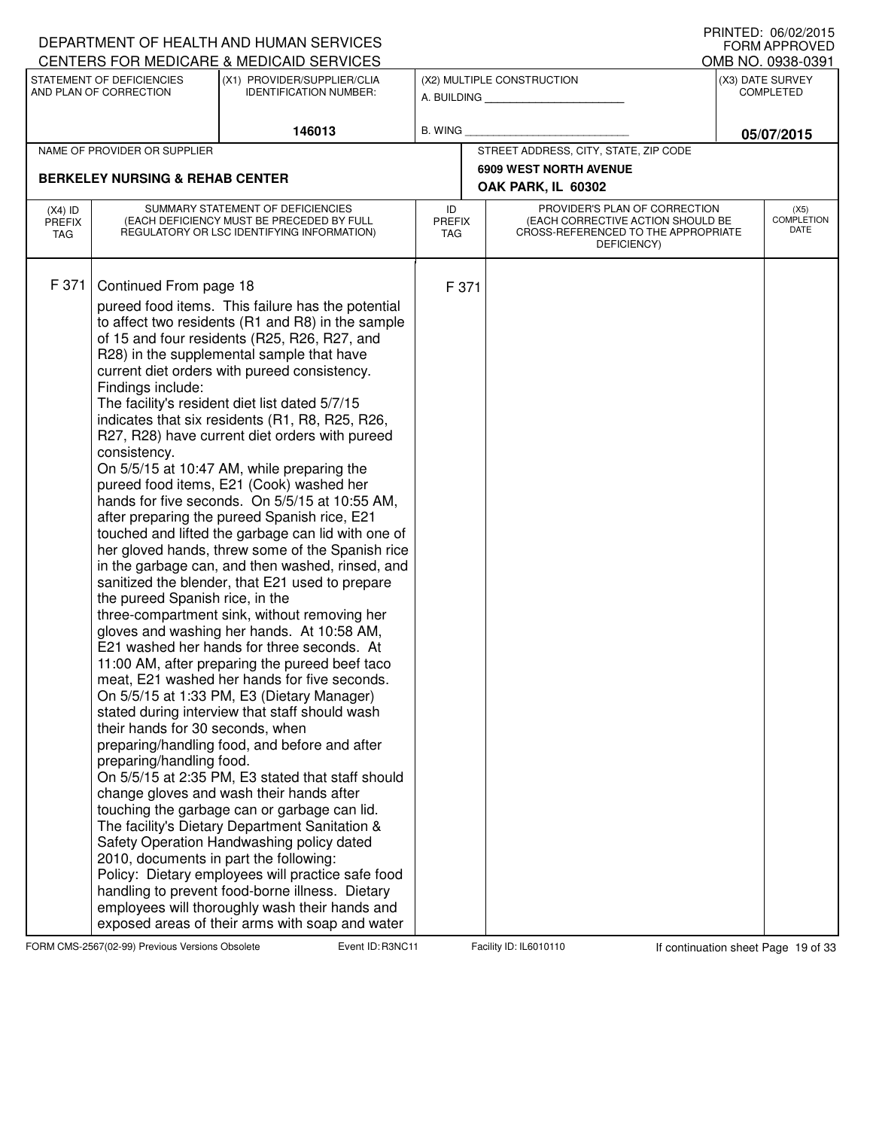|                            |                                            | DEPARTMENT OF HEALTH AND HUMAN SERVICES<br>CENTERS FOR MEDICARE & MEDICAID SERVICES                  |                     |                                                                    | I INNILD. VOIVAAUIJ<br><b>FORM APPROVED</b> |
|----------------------------|--------------------------------------------|------------------------------------------------------------------------------------------------------|---------------------|--------------------------------------------------------------------|---------------------------------------------|
|                            | STATEMENT OF DEFICIENCIES                  | (X1) PROVIDER/SUPPLIER/CLIA                                                                          |                     | (X2) MULTIPLE CONSTRUCTION                                         | OMB NO. 0938-0391<br>(X3) DATE SURVEY       |
|                            | AND PLAN OF CORRECTION                     | <b>IDENTIFICATION NUMBER:</b>                                                                        |                     | A. BUILDING                                                        | <b>COMPLETED</b>                            |
|                            |                                            | 146013                                                                                               | B. WING             |                                                                    |                                             |
|                            | NAME OF PROVIDER OR SUPPLIER               |                                                                                                      |                     | STREET ADDRESS, CITY, STATE, ZIP CODE                              | 05/07/2015                                  |
|                            |                                            |                                                                                                      |                     | <b>6909 WEST NORTH AVENUE</b>                                      |                                             |
|                            | <b>BERKELEY NURSING &amp; REHAB CENTER</b> |                                                                                                      |                     | OAK PARK, IL 60302                                                 |                                             |
| $(X4)$ ID<br><b>PREFIX</b> |                                            | SUMMARY STATEMENT OF DEFICIENCIES<br>(EACH DEFICIENCY MUST BE PRECEDED BY FULL                       | ID<br><b>PREFIX</b> | PROVIDER'S PLAN OF CORRECTION<br>(EACH CORRECTIVE ACTION SHOULD BE | (X5)<br><b>COMPLETION</b>                   |
| TAG                        |                                            | REGULATORY OR LSC IDENTIFYING INFORMATION)                                                           | <b>TAG</b>          | CROSS-REFERENCED TO THE APPROPRIATE<br>DEFICIENCY)                 | DATE                                        |
| F 371                      | Continued From page 18                     |                                                                                                      | F 371               |                                                                    |                                             |
|                            |                                            | pureed food items. This failure has the potential                                                    |                     |                                                                    |                                             |
|                            |                                            | to affect two residents (R1 and R8) in the sample                                                    |                     |                                                                    |                                             |
|                            |                                            | of 15 and four residents (R25, R26, R27, and                                                         |                     |                                                                    |                                             |
|                            |                                            | R28) in the supplemental sample that have                                                            |                     |                                                                    |                                             |
|                            | Findings include:                          | current diet orders with pureed consistency.                                                         |                     |                                                                    |                                             |
|                            |                                            | The facility's resident diet list dated 5/7/15                                                       |                     |                                                                    |                                             |
|                            |                                            | indicates that six residents (R1, R8, R25, R26,                                                      |                     |                                                                    |                                             |
|                            |                                            | R27, R28) have current diet orders with pureed                                                       |                     |                                                                    |                                             |
|                            | consistency.                               | On 5/5/15 at 10:47 AM, while preparing the                                                           |                     |                                                                    |                                             |
|                            |                                            | pureed food items, E21 (Cook) washed her                                                             |                     |                                                                    |                                             |
|                            |                                            | hands for five seconds. On 5/5/15 at 10:55 AM,                                                       |                     |                                                                    |                                             |
|                            |                                            | after preparing the pureed Spanish rice, E21                                                         |                     |                                                                    |                                             |
|                            |                                            | touched and lifted the garbage can lid with one of                                                   |                     |                                                                    |                                             |
|                            |                                            | her gloved hands, threw some of the Spanish rice<br>in the garbage can, and then washed, rinsed, and |                     |                                                                    |                                             |
|                            |                                            | sanitized the blender, that E21 used to prepare                                                      |                     |                                                                    |                                             |
|                            | the pureed Spanish rice, in the            |                                                                                                      |                     |                                                                    |                                             |
|                            |                                            | three-compartment sink, without removing her                                                         |                     |                                                                    |                                             |
|                            |                                            | gloves and washing her hands. At 10:58 AM,                                                           |                     |                                                                    |                                             |
|                            |                                            | E21 washed her hands for three seconds. At                                                           |                     |                                                                    |                                             |
|                            |                                            | 11:00 AM, after preparing the pureed beef taco<br>meat, E21 washed her hands for five seconds.       |                     |                                                                    |                                             |
|                            |                                            | On 5/5/15 at 1:33 PM, E3 (Dietary Manager)                                                           |                     |                                                                    |                                             |
|                            |                                            | stated during interview that staff should wash                                                       |                     |                                                                    |                                             |
|                            | their hands for 30 seconds, when           |                                                                                                      |                     |                                                                    |                                             |
|                            |                                            | preparing/handling food, and before and after                                                        |                     |                                                                    |                                             |
|                            | preparing/handling food.                   | On 5/5/15 at 2:35 PM, E3 stated that staff should                                                    |                     |                                                                    |                                             |
|                            |                                            | change gloves and wash their hands after                                                             |                     |                                                                    |                                             |
|                            |                                            | touching the garbage can or garbage can lid.                                                         |                     |                                                                    |                                             |
|                            |                                            | The facility's Dietary Department Sanitation &                                                       |                     |                                                                    |                                             |
|                            |                                            | Safety Operation Handwashing policy dated                                                            |                     |                                                                    |                                             |
|                            | 2010, documents in part the following:     |                                                                                                      |                     |                                                                    |                                             |
|                            |                                            | Policy: Dietary employees will practice safe food<br>handling to prevent food-borne illness. Dietary |                     |                                                                    |                                             |
|                            |                                            | employees will thoroughly wash their hands and                                                       |                     |                                                                    |                                             |
|                            |                                            | exposed areas of their arms with soap and water                                                      |                     |                                                                    |                                             |

FORM CMS-2567(02-99) Previous Versions Obsolete Event ID: R3NC11 Facility ID: IL6010110 If continuation sheet Page 19 of 33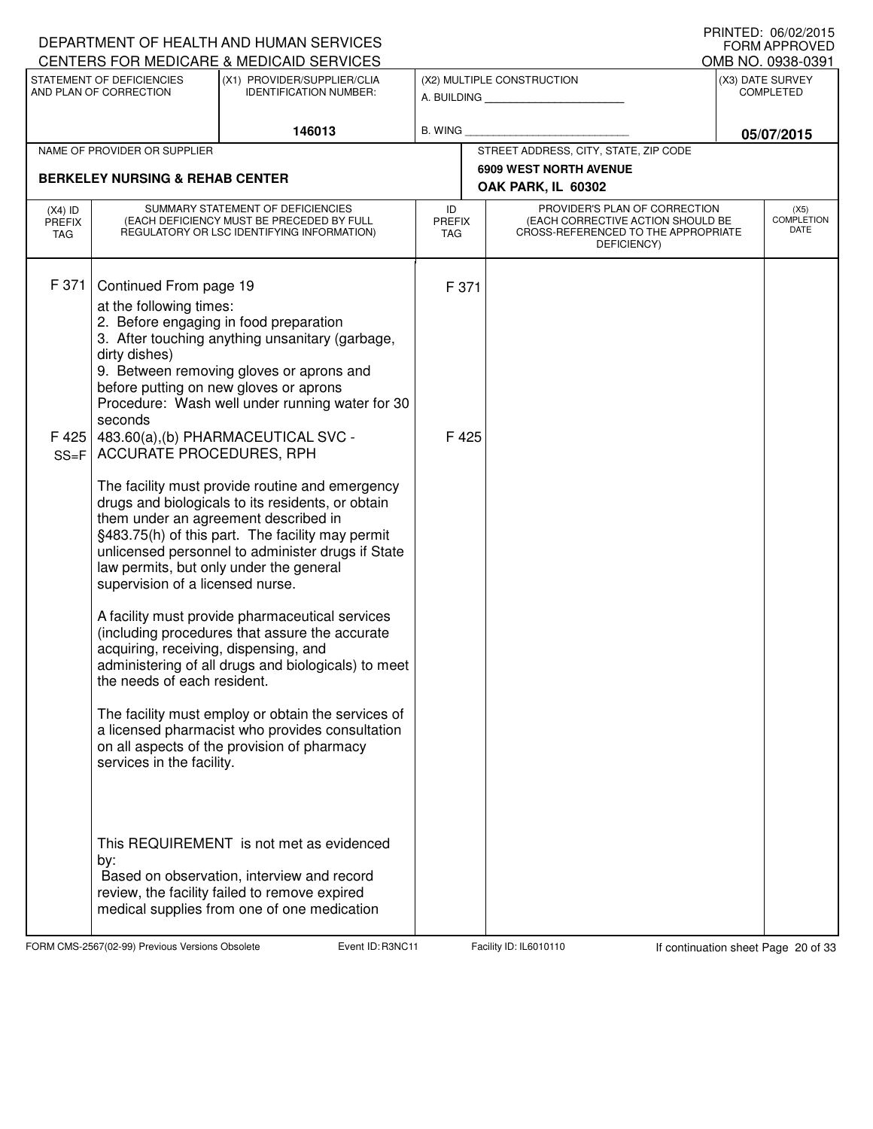|                                   |                                                                                                                                                                   | DEPARTMENT OF HEALTH AND HUMAN SERVICES<br>CENTERS FOR MEDICARE & MEDICAID SERVICES                                                                                                                                                                                                                                                                                                                                                                                                                                                                                                                                                                        |                                   |                                                                                                                          | IIIIIIILD. VV/V∠/∠VIJ<br><b>FORM APPROVED</b><br>OMB NO. 0938-0391 |
|-----------------------------------|-------------------------------------------------------------------------------------------------------------------------------------------------------------------|------------------------------------------------------------------------------------------------------------------------------------------------------------------------------------------------------------------------------------------------------------------------------------------------------------------------------------------------------------------------------------------------------------------------------------------------------------------------------------------------------------------------------------------------------------------------------------------------------------------------------------------------------------|-----------------------------------|--------------------------------------------------------------------------------------------------------------------------|--------------------------------------------------------------------|
|                                   | STATEMENT OF DEFICIENCIES<br>AND PLAN OF CORRECTION                                                                                                               | (X1) PROVIDER/SUPPLIER/CLIA<br><b>IDENTIFICATION NUMBER:</b>                                                                                                                                                                                                                                                                                                                                                                                                                                                                                                                                                                                               |                                   | (X2) MULTIPLE CONSTRUCTION<br>A. BUILDING                                                                                | (X3) DATE SURVEY<br><b>COMPLETED</b>                               |
|                                   |                                                                                                                                                                   | 146013                                                                                                                                                                                                                                                                                                                                                                                                                                                                                                                                                                                                                                                     | <b>B. WING</b>                    |                                                                                                                          | 05/07/2015                                                         |
|                                   | NAME OF PROVIDER OR SUPPLIER                                                                                                                                      |                                                                                                                                                                                                                                                                                                                                                                                                                                                                                                                                                                                                                                                            |                                   | STREET ADDRESS, CITY, STATE, ZIP CODE                                                                                    |                                                                    |
|                                   | <b>BERKELEY NURSING &amp; REHAB CENTER</b>                                                                                                                        |                                                                                                                                                                                                                                                                                                                                                                                                                                                                                                                                                                                                                                                            |                                   | <b>6909 WEST NORTH AVENUE</b><br>OAK PARK, IL 60302                                                                      |                                                                    |
| $(X4)$ ID<br><b>PREFIX</b><br>TAG |                                                                                                                                                                   | SUMMARY STATEMENT OF DEFICIENCIES<br>(EACH DEFICIENCY MUST BE PRECEDED BY FULL<br>REGULATORY OR LSC IDENTIFYING INFORMATION)                                                                                                                                                                                                                                                                                                                                                                                                                                                                                                                               | ID<br><b>PREFIX</b><br><b>TAG</b> | PROVIDER'S PLAN OF CORRECTION<br>(EACH CORRECTIVE ACTION SHOULD BE<br>CROSS-REFERENCED TO THE APPROPRIATE<br>DEFICIENCY) | (X5)<br><b>COMPLETION</b><br><b>DATE</b>                           |
| F 371                             | Continued From page 19<br>at the following times:<br>dirty dishes)<br>seconds                                                                                     | 2. Before engaging in food preparation<br>3. After touching anything unsanitary (garbage,<br>9. Between removing gloves or aprons and<br>before putting on new gloves or aprons<br>Procedure: Wash well under running water for 30                                                                                                                                                                                                                                                                                                                                                                                                                         | F 371                             |                                                                                                                          |                                                                    |
| F 425<br>$SS = F$                 | ACCURATE PROCEDURES, RPH<br>supervision of a licensed nurse.<br>acquiring, receiving, dispensing, and<br>the needs of each resident.<br>services in the facility. | 483.60(a),(b) PHARMACEUTICAL SVC -<br>The facility must provide routine and emergency<br>drugs and biologicals to its residents, or obtain<br>them under an agreement described in<br>§483.75(h) of this part. The facility may permit<br>unlicensed personnel to administer drugs if State<br>law permits, but only under the general<br>A facility must provide pharmaceutical services<br>(including procedures that assure the accurate<br>administering of all drugs and biologicals) to meet<br>The facility must employ or obtain the services of<br>a licensed pharmacist who provides consultation<br>on all aspects of the provision of pharmacy | F 425                             |                                                                                                                          |                                                                    |
|                                   | by:                                                                                                                                                               | This REQUIREMENT is not met as evidenced<br>Based on observation, interview and record<br>review, the facility failed to remove expired<br>medical supplies from one of one medication                                                                                                                                                                                                                                                                                                                                                                                                                                                                     |                                   |                                                                                                                          |                                                                    |

FORM CMS-2567(02-99) Previous Versions Obsolete Event ID: R3NC11 Facility ID: IL6010110 If continuation sheet Page 20 of 33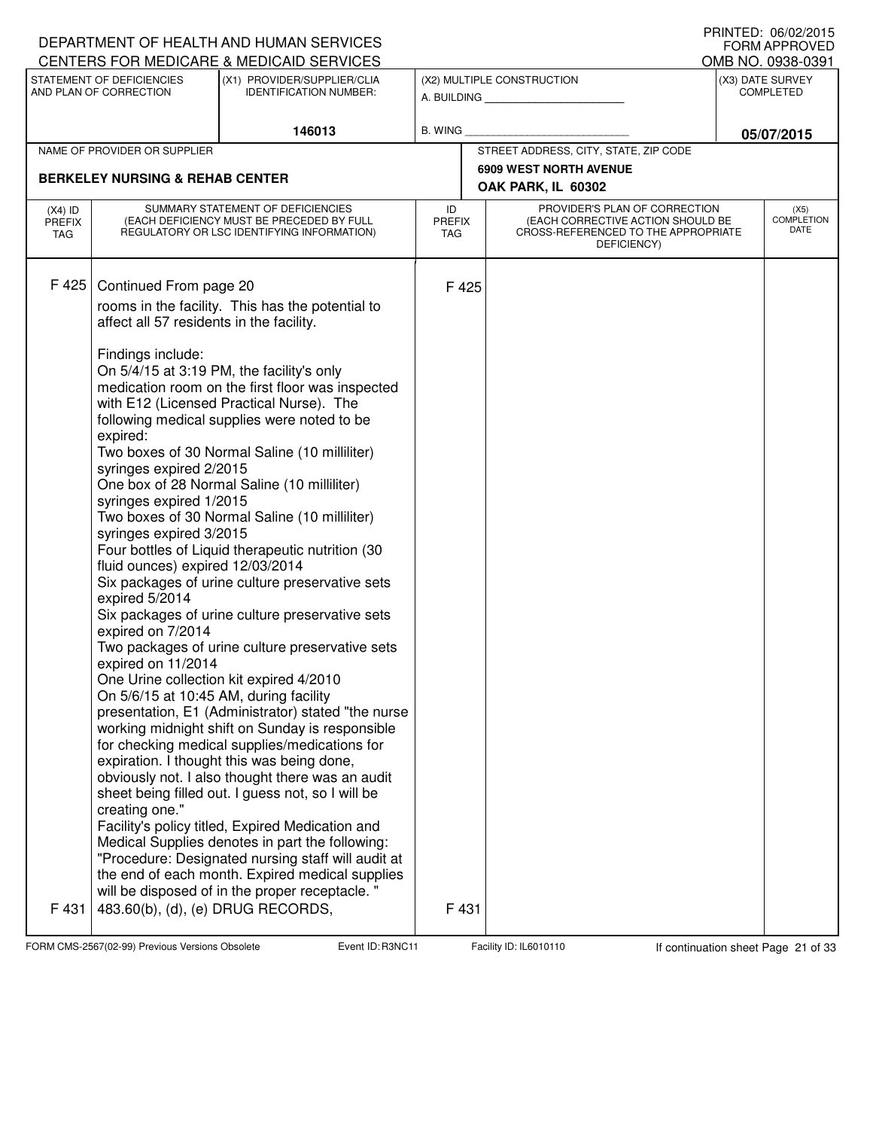|                                          |                                                                                                                                                                                                                                                                                                                                                   | DEPARTMENT OF HEALTH AND HUMAN SERVICES<br>CENTERS FOR MEDICARE & MEDICAID SERVICES                                                                                                                                                                                                                                                                                                                                                                                                                                                                                                                                                                                                                                                                                                                                                                                                                                                                                                                                                                                                                                                                                                    |                                   |       |                                                                                                                          | I INNILD. VOIVAAUIJ<br><b>FORM APPROVED</b><br>OMB NO. 0938-0391 |
|------------------------------------------|---------------------------------------------------------------------------------------------------------------------------------------------------------------------------------------------------------------------------------------------------------------------------------------------------------------------------------------------------|----------------------------------------------------------------------------------------------------------------------------------------------------------------------------------------------------------------------------------------------------------------------------------------------------------------------------------------------------------------------------------------------------------------------------------------------------------------------------------------------------------------------------------------------------------------------------------------------------------------------------------------------------------------------------------------------------------------------------------------------------------------------------------------------------------------------------------------------------------------------------------------------------------------------------------------------------------------------------------------------------------------------------------------------------------------------------------------------------------------------------------------------------------------------------------------|-----------------------------------|-------|--------------------------------------------------------------------------------------------------------------------------|------------------------------------------------------------------|
|                                          | STATEMENT OF DEFICIENCIES<br>AND PLAN OF CORRECTION                                                                                                                                                                                                                                                                                               | (X1) PROVIDER/SUPPLIER/CLIA<br><b>IDENTIFICATION NUMBER:</b>                                                                                                                                                                                                                                                                                                                                                                                                                                                                                                                                                                                                                                                                                                                                                                                                                                                                                                                                                                                                                                                                                                                           |                                   |       | (X2) MULTIPLE CONSTRUCTION<br>A. BUILDING                                                                                | (X3) DATE SURVEY<br><b>COMPLETED</b>                             |
|                                          |                                                                                                                                                                                                                                                                                                                                                   | 146013                                                                                                                                                                                                                                                                                                                                                                                                                                                                                                                                                                                                                                                                                                                                                                                                                                                                                                                                                                                                                                                                                                                                                                                 | <b>B. WING</b>                    |       |                                                                                                                          | 05/07/2015                                                       |
|                                          | NAME OF PROVIDER OR SUPPLIER                                                                                                                                                                                                                                                                                                                      |                                                                                                                                                                                                                                                                                                                                                                                                                                                                                                                                                                                                                                                                                                                                                                                                                                                                                                                                                                                                                                                                                                                                                                                        |                                   |       | STREET ADDRESS, CITY, STATE, ZIP CODE                                                                                    |                                                                  |
|                                          | <b>BERKELEY NURSING &amp; REHAB CENTER</b>                                                                                                                                                                                                                                                                                                        |                                                                                                                                                                                                                                                                                                                                                                                                                                                                                                                                                                                                                                                                                                                                                                                                                                                                                                                                                                                                                                                                                                                                                                                        |                                   |       | <b>6909 WEST NORTH AVENUE</b><br>OAK PARK, IL 60302                                                                      |                                                                  |
| $(X4)$ ID<br><b>PREFIX</b><br><b>TAG</b> |                                                                                                                                                                                                                                                                                                                                                   | SUMMARY STATEMENT OF DEFICIENCIES<br>(EACH DEFICIENCY MUST BE PRECEDED BY FULL<br>REGULATORY OR LSC IDENTIFYING INFORMATION)                                                                                                                                                                                                                                                                                                                                                                                                                                                                                                                                                                                                                                                                                                                                                                                                                                                                                                                                                                                                                                                           | ID<br><b>PREFIX</b><br><b>TAG</b> |       | PROVIDER'S PLAN OF CORRECTION<br>(EACH CORRECTIVE ACTION SHOULD BE<br>CROSS-REFERENCED TO THE APPROPRIATE<br>DEFICIENCY) | (X5)<br><b>COMPLETION</b><br>DATE                                |
| F 425                                    | Continued From page 20<br>affect all 57 residents in the facility.<br>Findings include:<br>expired:<br>syringes expired 2/2015<br>syringes expired 1/2015<br>syringes expired 3/2015<br>fluid ounces) expired 12/03/2014<br>expired 5/2014<br>expired on 7/2014<br>expired on 11/2014<br>On 5/6/15 at 10:45 AM, during facility<br>creating one." | rooms in the facility. This has the potential to<br>On 5/4/15 at 3:19 PM, the facility's only<br>medication room on the first floor was inspected<br>with E12 (Licensed Practical Nurse). The<br>following medical supplies were noted to be<br>Two boxes of 30 Normal Saline (10 milliliter)<br>One box of 28 Normal Saline (10 milliliter)<br>Two boxes of 30 Normal Saline (10 milliliter)<br>Four bottles of Liquid therapeutic nutrition (30<br>Six packages of urine culture preservative sets<br>Six packages of urine culture preservative sets<br>Two packages of urine culture preservative sets<br>One Urine collection kit expired 4/2010<br>presentation, E1 (Administrator) stated "the nurse<br>working midnight shift on Sunday is responsible<br>for checking medical supplies/medications for<br>expiration. I thought this was being done,<br>obviously not. I also thought there was an audit<br>sheet being filled out. I guess not, so I will be<br>Facility's policy titled, Expired Medication and<br>Medical Supplies denotes in part the following:<br>"Procedure: Designated nursing staff will audit at<br>the end of each month. Expired medical supplies |                                   | F425  |                                                                                                                          |                                                                  |
| F 431                                    | 483.60(b), (d), (e) DRUG RECORDS,                                                                                                                                                                                                                                                                                                                 | will be disposed of in the proper receptacle. "                                                                                                                                                                                                                                                                                                                                                                                                                                                                                                                                                                                                                                                                                                                                                                                                                                                                                                                                                                                                                                                                                                                                        |                                   | F 431 |                                                                                                                          |                                                                  |

FORM CMS-2567(02-99) Previous Versions Obsolete Event ID: R3NC11 Facility ID: IL6010110 If continuation sheet Page 21 of 33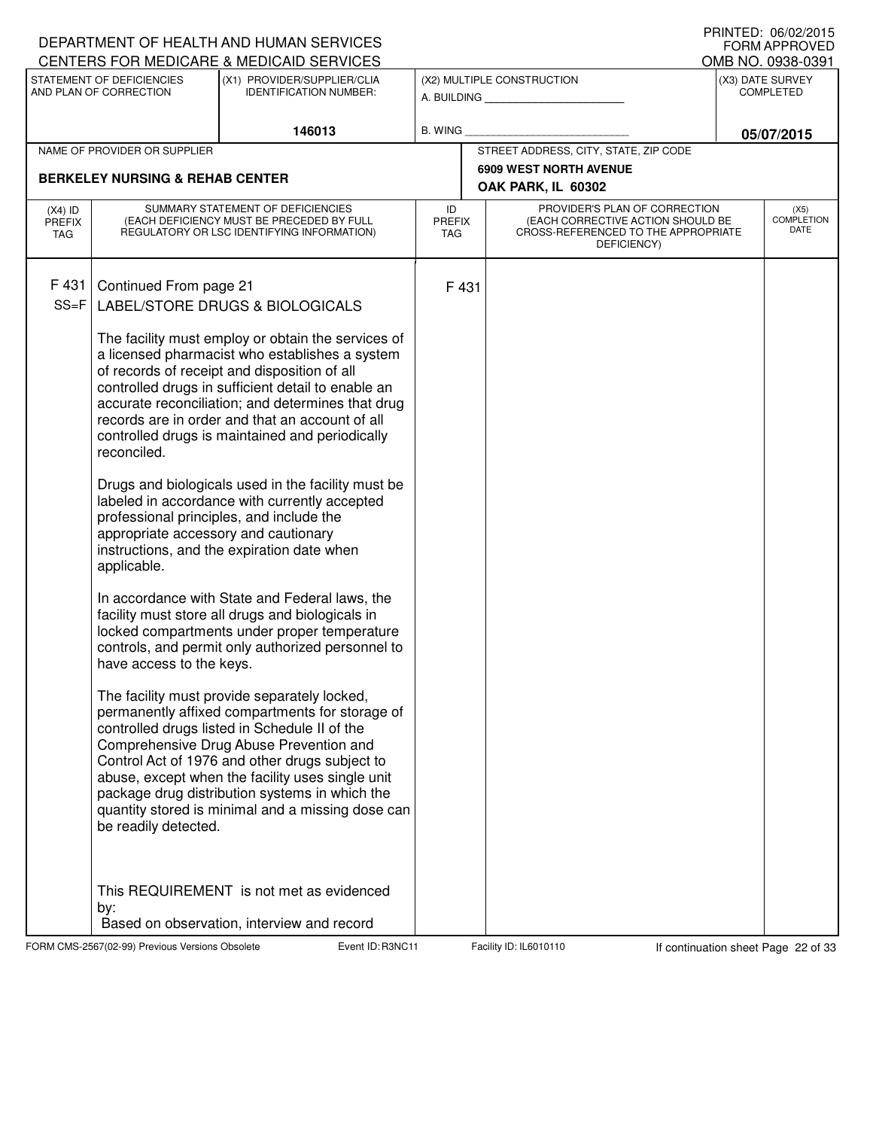|                                   |                                                                                                                                                  | DEPARTMENT OF HEALTH AND HUMAN SERVICES<br>CENTERS FOR MEDICARE & MEDICAID SERVICES                                                                                                                                                                                                                                                                                                                                                                                                                                                                                                                                                                                                                                                                                                                                                                                                                                                                                                                                                                                                                                                                                                                                              |                                   |       |                                                                                                                          | <b>U INTILL</b> , UU/UZ/ZUTJ<br>FORM APPROVED<br>OMB NO. 0938-0391 |
|-----------------------------------|--------------------------------------------------------------------------------------------------------------------------------------------------|----------------------------------------------------------------------------------------------------------------------------------------------------------------------------------------------------------------------------------------------------------------------------------------------------------------------------------------------------------------------------------------------------------------------------------------------------------------------------------------------------------------------------------------------------------------------------------------------------------------------------------------------------------------------------------------------------------------------------------------------------------------------------------------------------------------------------------------------------------------------------------------------------------------------------------------------------------------------------------------------------------------------------------------------------------------------------------------------------------------------------------------------------------------------------------------------------------------------------------|-----------------------------------|-------|--------------------------------------------------------------------------------------------------------------------------|--------------------------------------------------------------------|
|                                   | STATEMENT OF DEFICIENCIES                                                                                                                        | (X1) PROVIDER/SUPPLIER/CLIA                                                                                                                                                                                                                                                                                                                                                                                                                                                                                                                                                                                                                                                                                                                                                                                                                                                                                                                                                                                                                                                                                                                                                                                                      |                                   |       | (X2) MULTIPLE CONSTRUCTION                                                                                               | (X3) DATE SURVEY                                                   |
|                                   | AND PLAN OF CORRECTION                                                                                                                           | <b>IDENTIFICATION NUMBER:</b>                                                                                                                                                                                                                                                                                                                                                                                                                                                                                                                                                                                                                                                                                                                                                                                                                                                                                                                                                                                                                                                                                                                                                                                                    |                                   |       | A. BUILDING                                                                                                              | <b>COMPLETED</b>                                                   |
|                                   |                                                                                                                                                  | 146013                                                                                                                                                                                                                                                                                                                                                                                                                                                                                                                                                                                                                                                                                                                                                                                                                                                                                                                                                                                                                                                                                                                                                                                                                           | B. WING                           |       |                                                                                                                          | 05/07/2015                                                         |
|                                   | NAME OF PROVIDER OR SUPPLIER                                                                                                                     |                                                                                                                                                                                                                                                                                                                                                                                                                                                                                                                                                                                                                                                                                                                                                                                                                                                                                                                                                                                                                                                                                                                                                                                                                                  |                                   |       | STREET ADDRESS, CITY, STATE, ZIP CODE                                                                                    |                                                                    |
|                                   | <b>BERKELEY NURSING &amp; REHAB CENTER</b>                                                                                                       |                                                                                                                                                                                                                                                                                                                                                                                                                                                                                                                                                                                                                                                                                                                                                                                                                                                                                                                                                                                                                                                                                                                                                                                                                                  |                                   |       | 6909 WEST NORTH AVENUE<br>OAK PARK, IL 60302                                                                             |                                                                    |
| $(X4)$ ID<br>PREFIX<br><b>TAG</b> |                                                                                                                                                  | SUMMARY STATEMENT OF DEFICIENCIES<br>(EACH DEFICIENCY MUST BE PRECEDED BY FULL<br>REGULATORY OR LSC IDENTIFYING INFORMATION)                                                                                                                                                                                                                                                                                                                                                                                                                                                                                                                                                                                                                                                                                                                                                                                                                                                                                                                                                                                                                                                                                                     | ID<br><b>PREFIX</b><br><b>TAG</b> |       | PROVIDER'S PLAN OF CORRECTION<br>(EACH CORRECTIVE ACTION SHOULD BE<br>CROSS-REFERENCED TO THE APPROPRIATE<br>DEFICIENCY) | (X5)<br><b>COMPLETION</b><br>DATE                                  |
| F431<br>$SS = F$                  | Continued From page 21<br>reconciled.<br>appropriate accessory and cautionary<br>applicable.<br>have access to the keys.<br>be readily detected. | LABEL/STORE DRUGS & BIOLOGICALS<br>The facility must employ or obtain the services of<br>a licensed pharmacist who establishes a system<br>of records of receipt and disposition of all<br>controlled drugs in sufficient detail to enable an<br>accurate reconciliation; and determines that drug<br>records are in order and that an account of all<br>controlled drugs is maintained and periodically<br>Drugs and biologicals used in the facility must be<br>labeled in accordance with currently accepted<br>professional principles, and include the<br>instructions, and the expiration date when<br>In accordance with State and Federal laws, the<br>facility must store all drugs and biologicals in<br>locked compartments under proper temperature<br>controls, and permit only authorized personnel to<br>The facility must provide separately locked,<br>permanently affixed compartments for storage of<br>controlled drugs listed in Schedule II of the<br>Comprehensive Drug Abuse Prevention and<br>Control Act of 1976 and other drugs subject to<br>abuse, except when the facility uses single unit<br>package drug distribution systems in which the<br>quantity stored is minimal and a missing dose can |                                   | F 431 |                                                                                                                          |                                                                    |
|                                   | by:                                                                                                                                              | This REQUIREMENT is not met as evidenced<br>Based on observation, interview and record                                                                                                                                                                                                                                                                                                                                                                                                                                                                                                                                                                                                                                                                                                                                                                                                                                                                                                                                                                                                                                                                                                                                           |                                   |       |                                                                                                                          |                                                                    |

FORM CMS-2567(02-99) Previous Versions Obsolete Event ID: R3NC11 Facility ID: IL6010110 If continuation sheet Page 22 of 33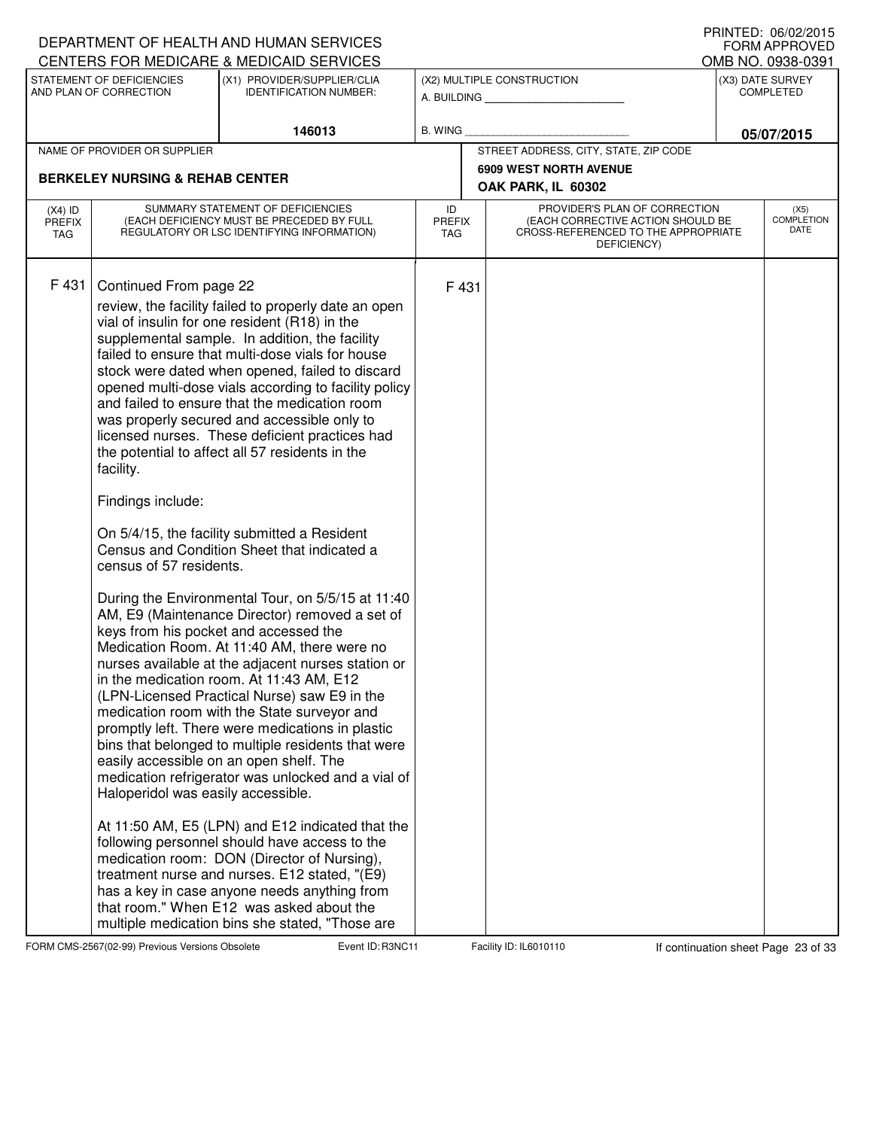|                                   |                                                                                                                           | DEPARTMENT OF HEALTH AND HUMAN SERVICES<br>CENTERS FOR MEDICARE & MEDICAID SERVICES                                                                                                                                                                                                                                                                                                                                                                                                                                                                                                                                                                                                                                                                                                                                                                                                                                                                                                                                                                                                                                                                                                                                                                                                                                                                                                                                                                                                                                                                                                       |                            |       |                                                                                                                          | FRIIVIEU. VOIVZIZUIJ<br><b>FORM APPROVED</b><br>OMB NO. 0938-0391 |
|-----------------------------------|---------------------------------------------------------------------------------------------------------------------------|-------------------------------------------------------------------------------------------------------------------------------------------------------------------------------------------------------------------------------------------------------------------------------------------------------------------------------------------------------------------------------------------------------------------------------------------------------------------------------------------------------------------------------------------------------------------------------------------------------------------------------------------------------------------------------------------------------------------------------------------------------------------------------------------------------------------------------------------------------------------------------------------------------------------------------------------------------------------------------------------------------------------------------------------------------------------------------------------------------------------------------------------------------------------------------------------------------------------------------------------------------------------------------------------------------------------------------------------------------------------------------------------------------------------------------------------------------------------------------------------------------------------------------------------------------------------------------------------|----------------------------|-------|--------------------------------------------------------------------------------------------------------------------------|-------------------------------------------------------------------|
|                                   | STATEMENT OF DEFICIENCIES<br>AND PLAN OF CORRECTION                                                                       | (X1) PROVIDER/SUPPLIER/CLIA<br><b>IDENTIFICATION NUMBER:</b>                                                                                                                                                                                                                                                                                                                                                                                                                                                                                                                                                                                                                                                                                                                                                                                                                                                                                                                                                                                                                                                                                                                                                                                                                                                                                                                                                                                                                                                                                                                              |                            |       | (X2) MULTIPLE CONSTRUCTION<br>A. BUILDING                                                                                | (X3) DATE SURVEY<br><b>COMPLETED</b>                              |
|                                   |                                                                                                                           | 146013                                                                                                                                                                                                                                                                                                                                                                                                                                                                                                                                                                                                                                                                                                                                                                                                                                                                                                                                                                                                                                                                                                                                                                                                                                                                                                                                                                                                                                                                                                                                                                                    | <b>B. WING</b>             |       |                                                                                                                          | 05/07/2015                                                        |
|                                   | NAME OF PROVIDER OR SUPPLIER                                                                                              |                                                                                                                                                                                                                                                                                                                                                                                                                                                                                                                                                                                                                                                                                                                                                                                                                                                                                                                                                                                                                                                                                                                                                                                                                                                                                                                                                                                                                                                                                                                                                                                           |                            |       | STREET ADDRESS, CITY, STATE, ZIP CODE                                                                                    |                                                                   |
|                                   | <b>BERKELEY NURSING &amp; REHAB CENTER</b>                                                                                |                                                                                                                                                                                                                                                                                                                                                                                                                                                                                                                                                                                                                                                                                                                                                                                                                                                                                                                                                                                                                                                                                                                                                                                                                                                                                                                                                                                                                                                                                                                                                                                           |                            |       | <b>6909 WEST NORTH AVENUE</b>                                                                                            |                                                                   |
|                                   |                                                                                                                           |                                                                                                                                                                                                                                                                                                                                                                                                                                                                                                                                                                                                                                                                                                                                                                                                                                                                                                                                                                                                                                                                                                                                                                                                                                                                                                                                                                                                                                                                                                                                                                                           |                            |       | OAK PARK, IL 60302                                                                                                       |                                                                   |
| $(X4)$ ID<br><b>PREFIX</b><br>TAG |                                                                                                                           | SUMMARY STATEMENT OF DEFICIENCIES<br>(EACH DEFICIENCY MUST BE PRECEDED BY FULL<br>REGULATORY OR LSC IDENTIFYING INFORMATION)                                                                                                                                                                                                                                                                                                                                                                                                                                                                                                                                                                                                                                                                                                                                                                                                                                                                                                                                                                                                                                                                                                                                                                                                                                                                                                                                                                                                                                                              | ID<br><b>PREFIX</b><br>TAG |       | PROVIDER'S PLAN OF CORRECTION<br>(EACH CORRECTIVE ACTION SHOULD BE<br>CROSS-REFERENCED TO THE APPROPRIATE<br>DEFICIENCY) | (X5)<br><b>COMPLETION</b><br>DATE                                 |
| F431                              | Continued From page 22<br>facility.<br>Findings include:<br>census of 57 residents.<br>Haloperidol was easily accessible. | review, the facility failed to properly date an open<br>vial of insulin for one resident (R18) in the<br>supplemental sample. In addition, the facility<br>failed to ensure that multi-dose vials for house<br>stock were dated when opened, failed to discard<br>opened multi-dose vials according to facility policy<br>and failed to ensure that the medication room<br>was properly secured and accessible only to<br>licensed nurses. These deficient practices had<br>the potential to affect all 57 residents in the<br>On 5/4/15, the facility submitted a Resident<br>Census and Condition Sheet that indicated a<br>During the Environmental Tour, on 5/5/15 at 11:40<br>AM, E9 (Maintenance Director) removed a set of<br>keys from his pocket and accessed the<br>Medication Room. At 11:40 AM, there were no<br>nurses available at the adjacent nurses station or<br>in the medication room. At 11:43 AM, E12<br>(LPN-Licensed Practical Nurse) saw E9 in the<br>medication room with the State surveyor and<br>promptly left. There were medications in plastic<br>bins that belonged to multiple residents that were<br>easily accessible on an open shelf. The<br>medication refrigerator was unlocked and a vial of<br>At 11:50 AM, E5 (LPN) and E12 indicated that the<br>following personnel should have access to the<br>medication room: DON (Director of Nursing),<br>treatment nurse and nurses. E12 stated, "(E9)<br>has a key in case anyone needs anything from<br>that room." When E12 was asked about the<br>multiple medication bins she stated, "Those are |                            | F 431 |                                                                                                                          |                                                                   |

FORM CMS-2567(02-99) Previous Versions Obsolete Event ID: R3NC11 Facility ID: IL6010110 If continuation sheet Page 23 of 33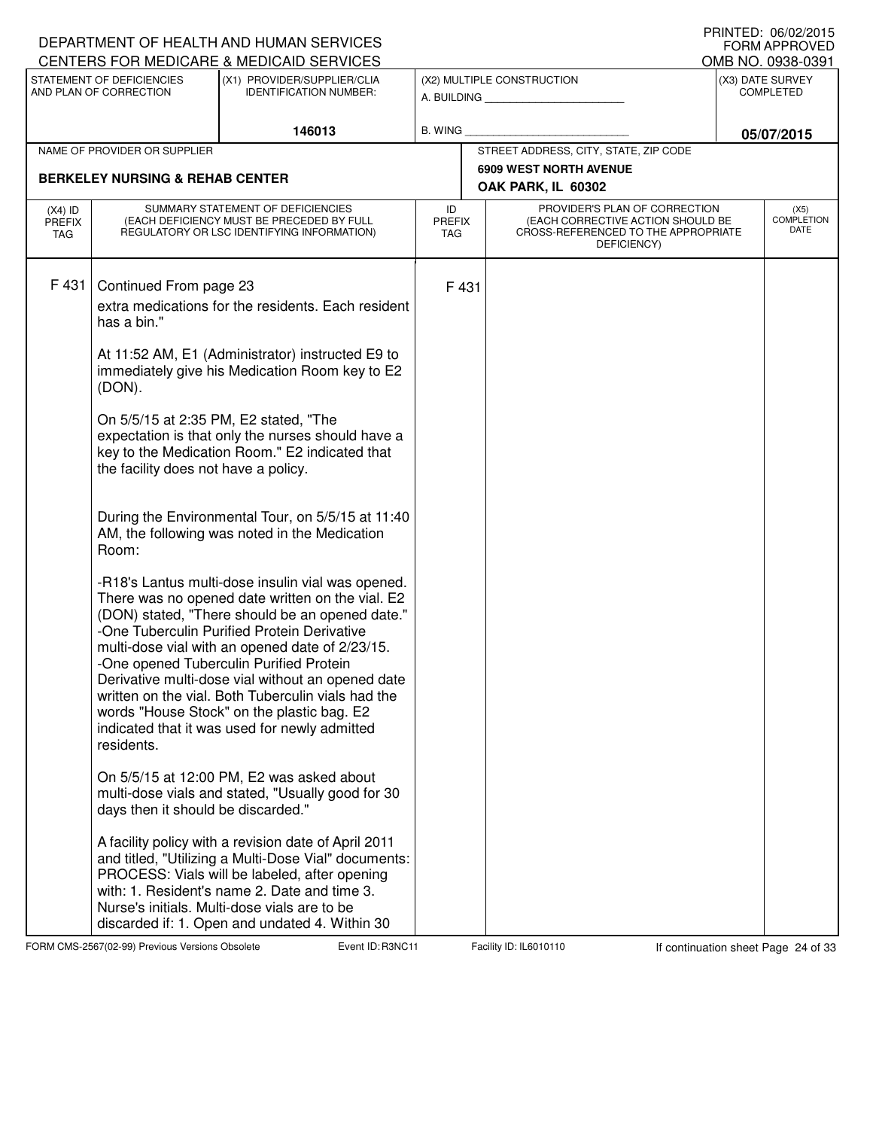| CENTERS FOR MEDICARE & MEDICAID SERVICES                                                                                                                                                                                                                                                                                                                                                                                                                                                                                                                                                                                                                                                                                                                                                                                                                                                                                                                                                                                                                                                                                                                                                                                                                                                                                                                                                                                                                             |                                                              |                                   |                                                                                                                          | <b>FORM APPROVED</b><br>OMB NO. 0938-0391 |
|----------------------------------------------------------------------------------------------------------------------------------------------------------------------------------------------------------------------------------------------------------------------------------------------------------------------------------------------------------------------------------------------------------------------------------------------------------------------------------------------------------------------------------------------------------------------------------------------------------------------------------------------------------------------------------------------------------------------------------------------------------------------------------------------------------------------------------------------------------------------------------------------------------------------------------------------------------------------------------------------------------------------------------------------------------------------------------------------------------------------------------------------------------------------------------------------------------------------------------------------------------------------------------------------------------------------------------------------------------------------------------------------------------------------------------------------------------------------|--------------------------------------------------------------|-----------------------------------|--------------------------------------------------------------------------------------------------------------------------|-------------------------------------------|
| STATEMENT OF DEFICIENCIES<br>AND PLAN OF CORRECTION                                                                                                                                                                                                                                                                                                                                                                                                                                                                                                                                                                                                                                                                                                                                                                                                                                                                                                                                                                                                                                                                                                                                                                                                                                                                                                                                                                                                                  | (X1) PROVIDER/SUPPLIER/CLIA<br><b>IDENTIFICATION NUMBER:</b> |                                   | (X2) MULTIPLE CONSTRUCTION                                                                                               | (X3) DATE SURVEY<br><b>COMPLETED</b>      |
|                                                                                                                                                                                                                                                                                                                                                                                                                                                                                                                                                                                                                                                                                                                                                                                                                                                                                                                                                                                                                                                                                                                                                                                                                                                                                                                                                                                                                                                                      | 146013                                                       | <b>B. WING</b>                    |                                                                                                                          | 05/07/2015                                |
| NAME OF PROVIDER OR SUPPLIER                                                                                                                                                                                                                                                                                                                                                                                                                                                                                                                                                                                                                                                                                                                                                                                                                                                                                                                                                                                                                                                                                                                                                                                                                                                                                                                                                                                                                                         |                                                              |                                   | STREET ADDRESS, CITY, STATE, ZIP CODE                                                                                    |                                           |
|                                                                                                                                                                                                                                                                                                                                                                                                                                                                                                                                                                                                                                                                                                                                                                                                                                                                                                                                                                                                                                                                                                                                                                                                                                                                                                                                                                                                                                                                      |                                                              |                                   | <b>6909 WEST NORTH AVENUE</b>                                                                                            |                                           |
| <b>BERKELEY NURSING &amp; REHAB CENTER</b>                                                                                                                                                                                                                                                                                                                                                                                                                                                                                                                                                                                                                                                                                                                                                                                                                                                                                                                                                                                                                                                                                                                                                                                                                                                                                                                                                                                                                           |                                                              |                                   | OAK PARK, IL 60302                                                                                                       |                                           |
| SUMMARY STATEMENT OF DEFICIENCIES<br>$(X4)$ ID<br>(EACH DEFICIENCY MUST BE PRECEDED BY FULL<br><b>PREFIX</b><br>REGULATORY OR LSC IDENTIFYING INFORMATION)<br>TAG.                                                                                                                                                                                                                                                                                                                                                                                                                                                                                                                                                                                                                                                                                                                                                                                                                                                                                                                                                                                                                                                                                                                                                                                                                                                                                                   |                                                              | ID<br><b>PREFIX</b><br><b>TAG</b> | PROVIDER'S PLAN OF CORRECTION<br>(EACH CORRECTIVE ACTION SHOULD BE<br>CROSS-REFERENCED TO THE APPROPRIATE<br>DEFICIENCY) | (X5)<br><b>COMPLETION</b><br>DATE         |
| F431<br>Continued From page 23<br>extra medications for the residents. Each resident<br>has a bin."<br>At 11:52 AM, E1 (Administrator) instructed E9 to<br>immediately give his Medication Room key to E2<br>(DON).<br>On 5/5/15 at 2:35 PM, E2 stated, "The<br>expectation is that only the nurses should have a<br>key to the Medication Room." E2 indicated that<br>the facility does not have a policy.<br>During the Environmental Tour, on 5/5/15 at 11:40<br>AM, the following was noted in the Medication<br>Room:<br>-R18's Lantus multi-dose insulin vial was opened.<br>There was no opened date written on the vial. E2<br>(DON) stated, "There should be an opened date."<br>-One Tuberculin Purified Protein Derivative<br>multi-dose vial with an opened date of 2/23/15.<br>-One opened Tuberculin Purified Protein<br>Derivative multi-dose vial without an opened date<br>written on the vial. Both Tuberculin vials had the<br>words "House Stock" on the plastic bag. E2<br>indicated that it was used for newly admitted<br>residents.<br>On 5/5/15 at 12:00 PM, E2 was asked about<br>multi-dose vials and stated, "Usually good for 30<br>days then it should be discarded."<br>A facility policy with a revision date of April 2011<br>and titled, "Utilizing a Multi-Dose Vial" documents:<br>PROCESS: Vials will be labeled, after opening<br>with: 1. Resident's name 2. Date and time 3.<br>Nurse's initials. Multi-dose vials are to be |                                                              | F 431                             |                                                                                                                          |                                           |

FORM CMS-2567(02-99) Previous Versions Obsolete **Range R3NC Event ID: R3NC11** Facility ID: IL6010110 If continuation sheet Page 24 of 33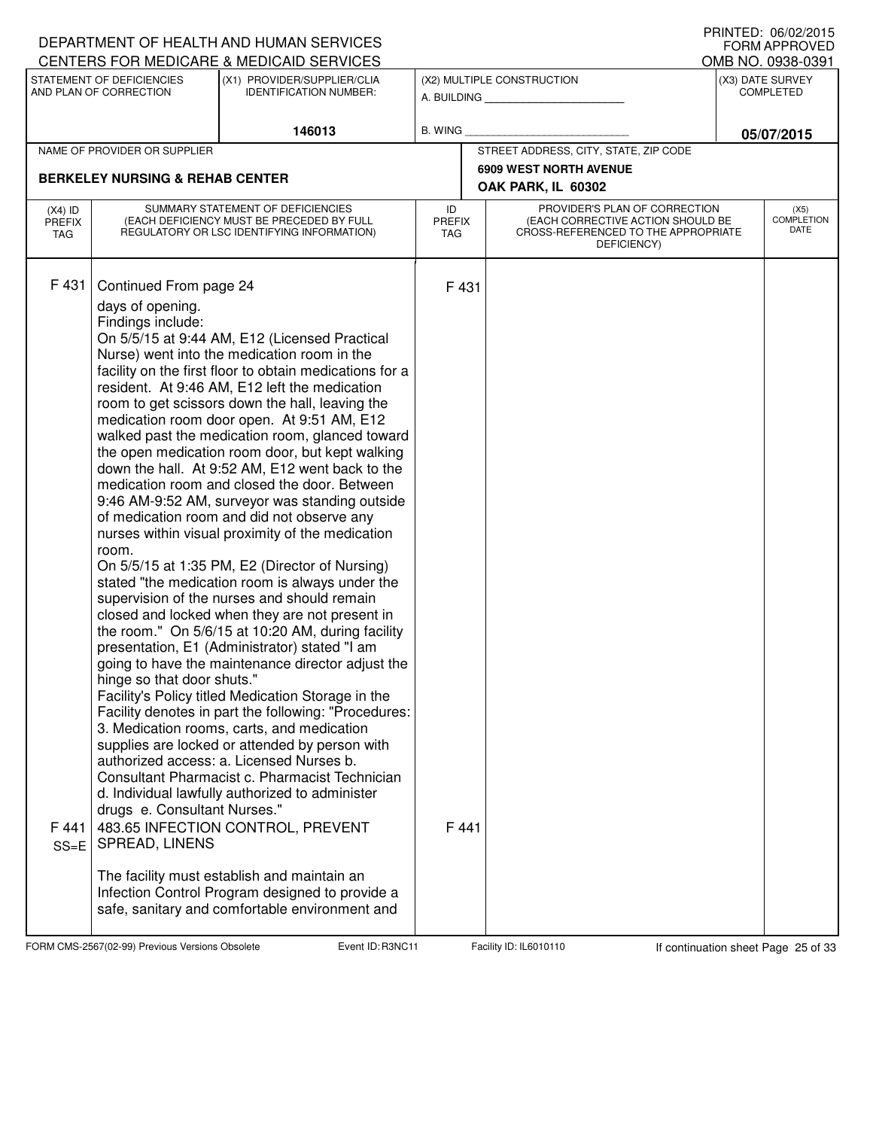|                                                                                                                     |                                                                                                                                                          | DEPARTMENT OF HEALTH AND HUMAN SERVICES<br>CENTERS FOR MEDICARE & MEDICAID SERVICES                                                                                                                                                                                                                                                                                                                                                                                                                                                                                                                                                                                                                                                                                                                                                                                                                                                                                                                                                                                                                                                                                                                                                                                                                                                                                                                                                                                                                                                                                                             |                                                              |                                                                                                                          |            | PRINIED: 00/02/2015<br><b>FORM APPROVED</b><br>OMB NO. 0938-0391 |
|---------------------------------------------------------------------------------------------------------------------|----------------------------------------------------------------------------------------------------------------------------------------------------------|-------------------------------------------------------------------------------------------------------------------------------------------------------------------------------------------------------------------------------------------------------------------------------------------------------------------------------------------------------------------------------------------------------------------------------------------------------------------------------------------------------------------------------------------------------------------------------------------------------------------------------------------------------------------------------------------------------------------------------------------------------------------------------------------------------------------------------------------------------------------------------------------------------------------------------------------------------------------------------------------------------------------------------------------------------------------------------------------------------------------------------------------------------------------------------------------------------------------------------------------------------------------------------------------------------------------------------------------------------------------------------------------------------------------------------------------------------------------------------------------------------------------------------------------------------------------------------------------------|--------------------------------------------------------------|--------------------------------------------------------------------------------------------------------------------------|------------|------------------------------------------------------------------|
| STATEMENT OF DEFICIENCIES<br>(X1) PROVIDER/SUPPLIER/CLIA<br>AND PLAN OF CORRECTION<br><b>IDENTIFICATION NUMBER:</b> |                                                                                                                                                          |                                                                                                                                                                                                                                                                                                                                                                                                                                                                                                                                                                                                                                                                                                                                                                                                                                                                                                                                                                                                                                                                                                                                                                                                                                                                                                                                                                                                                                                                                                                                                                                                 | (X2) MULTIPLE CONSTRUCTION<br>A. BUILDING __________________ | (X3) DATE SURVEY<br><b>COMPLETED</b>                                                                                     |            |                                                                  |
|                                                                                                                     |                                                                                                                                                          | 146013                                                                                                                                                                                                                                                                                                                                                                                                                                                                                                                                                                                                                                                                                                                                                                                                                                                                                                                                                                                                                                                                                                                                                                                                                                                                                                                                                                                                                                                                                                                                                                                          | B. WING                                                      |                                                                                                                          | 05/07/2015 |                                                                  |
|                                                                                                                     | NAME OF PROVIDER OR SUPPLIER                                                                                                                             |                                                                                                                                                                                                                                                                                                                                                                                                                                                                                                                                                                                                                                                                                                                                                                                                                                                                                                                                                                                                                                                                                                                                                                                                                                                                                                                                                                                                                                                                                                                                                                                                 |                                                              | STREET ADDRESS, CITY, STATE, ZIP CODE                                                                                    |            |                                                                  |
|                                                                                                                     | <b>BERKELEY NURSING &amp; REHAB CENTER</b>                                                                                                               |                                                                                                                                                                                                                                                                                                                                                                                                                                                                                                                                                                                                                                                                                                                                                                                                                                                                                                                                                                                                                                                                                                                                                                                                                                                                                                                                                                                                                                                                                                                                                                                                 |                                                              | <b>6909 WEST NORTH AVENUE</b><br>OAK PARK, IL 60302                                                                      |            |                                                                  |
| $(X4)$ ID<br><b>PREFIX</b><br><b>TAG</b>                                                                            |                                                                                                                                                          | SUMMARY STATEMENT OF DEFICIENCIES<br>(EACH DEFICIENCY MUST BE PRECEDED BY FULL<br>REGULATORY OR LSC IDENTIFYING INFORMATION)                                                                                                                                                                                                                                                                                                                                                                                                                                                                                                                                                                                                                                                                                                                                                                                                                                                                                                                                                                                                                                                                                                                                                                                                                                                                                                                                                                                                                                                                    | ID<br><b>PREFIX</b><br><b>TAG</b>                            | PROVIDER'S PLAN OF CORRECTION<br>(EACH CORRECTIVE ACTION SHOULD BE<br>CROSS-REFERENCED TO THE APPROPRIATE<br>DEFICIENCY) |            | (X5)<br><b>COMPLETION</b><br>DATE                                |
| F431<br>F 441<br>$SS=E$                                                                                             | Continued From page 24<br>days of opening.<br>Findings include:<br>room.<br>hinge so that door shuts."<br>drugs e. Consultant Nurses."<br>SPREAD, LINENS | On 5/5/15 at 9:44 AM, E12 (Licensed Practical<br>Nurse) went into the medication room in the<br>facility on the first floor to obtain medications for a<br>resident. At 9:46 AM, E12 left the medication<br>room to get scissors down the hall, leaving the<br>medication room door open. At 9:51 AM, E12<br>walked past the medication room, glanced toward<br>the open medication room door, but kept walking<br>down the hall. At 9:52 AM, E12 went back to the<br>medication room and closed the door. Between<br>9:46 AM-9:52 AM, surveyor was standing outside<br>of medication room and did not observe any<br>nurses within visual proximity of the medication<br>On 5/5/15 at 1:35 PM, E2 (Director of Nursing)<br>stated "the medication room is always under the<br>supervision of the nurses and should remain<br>closed and locked when they are not present in<br>the room." On 5/6/15 at 10:20 AM, during facility<br>presentation, E1 (Administrator) stated "I am<br>going to have the maintenance director adjust the<br>Facility's Policy titled Medication Storage in the<br>Facility denotes in part the following: "Procedures:<br>3. Medication rooms, carts, and medication<br>supplies are locked or attended by person with<br>authorized access: a. Licensed Nurses b.<br>Consultant Pharmacist c. Pharmacist Technician<br>d. Individual lawfully authorized to administer<br>483.65 INFECTION CONTROL, PREVENT<br>The facility must establish and maintain an<br>Infection Control Program designed to provide a<br>safe, sanitary and comfortable environment and | F 431<br>F441                                                |                                                                                                                          |            |                                                                  |

FORM CMS-2567(02-99) Previous Versions Obsolete Event ID: R3NC11 Facility ID: IL6010110 If continuation sheet Page 25 of 33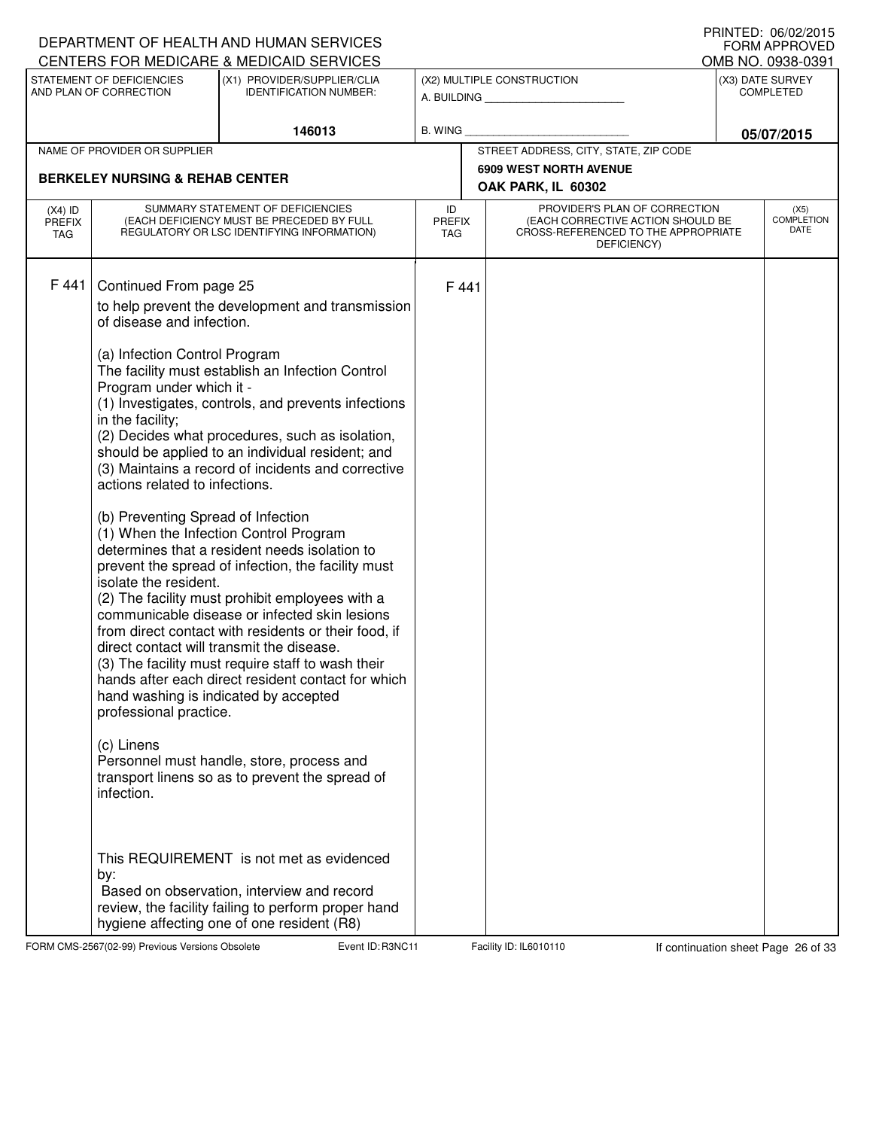|                                   |                                                                                                                                                                                                                                                                                                                                                                                          | DEPARTMENT OF HEALTH AND HUMAN SERVICES<br>CENTERS FOR MEDICARE & MEDICAID SERVICES                                                                                                                                                                                                                                                                                                                                                                                                                                                                                                                                                                                                                                                                                                                                                                                                                                                                                                                                                             |                            |      |                                                                                                                          |                                      | FRINTED. VOIVZIZUTS<br><b>FORM APPROVED</b><br>OMB NO. 0938-0391 |
|-----------------------------------|------------------------------------------------------------------------------------------------------------------------------------------------------------------------------------------------------------------------------------------------------------------------------------------------------------------------------------------------------------------------------------------|-------------------------------------------------------------------------------------------------------------------------------------------------------------------------------------------------------------------------------------------------------------------------------------------------------------------------------------------------------------------------------------------------------------------------------------------------------------------------------------------------------------------------------------------------------------------------------------------------------------------------------------------------------------------------------------------------------------------------------------------------------------------------------------------------------------------------------------------------------------------------------------------------------------------------------------------------------------------------------------------------------------------------------------------------|----------------------------|------|--------------------------------------------------------------------------------------------------------------------------|--------------------------------------|------------------------------------------------------------------|
|                                   | STATEMENT OF DEFICIENCIES<br>AND PLAN OF CORRECTION                                                                                                                                                                                                                                                                                                                                      | (X1) PROVIDER/SUPPLIER/CLIA<br><b>IDENTIFICATION NUMBER:</b>                                                                                                                                                                                                                                                                                                                                                                                                                                                                                                                                                                                                                                                                                                                                                                                                                                                                                                                                                                                    |                            |      | (X2) MULTIPLE CONSTRUCTION<br>A. BUILDING                                                                                | (X3) DATE SURVEY<br><b>COMPLETED</b> |                                                                  |
|                                   |                                                                                                                                                                                                                                                                                                                                                                                          | 146013                                                                                                                                                                                                                                                                                                                                                                                                                                                                                                                                                                                                                                                                                                                                                                                                                                                                                                                                                                                                                                          | <b>B. WING</b>             |      |                                                                                                                          |                                      | 05/07/2015                                                       |
|                                   | NAME OF PROVIDER OR SUPPLIER                                                                                                                                                                                                                                                                                                                                                             |                                                                                                                                                                                                                                                                                                                                                                                                                                                                                                                                                                                                                                                                                                                                                                                                                                                                                                                                                                                                                                                 |                            |      | STREET ADDRESS, CITY, STATE, ZIP CODE                                                                                    |                                      |                                                                  |
|                                   | <b>BERKELEY NURSING &amp; REHAB CENTER</b>                                                                                                                                                                                                                                                                                                                                               |                                                                                                                                                                                                                                                                                                                                                                                                                                                                                                                                                                                                                                                                                                                                                                                                                                                                                                                                                                                                                                                 |                            |      | <b>6909 WEST NORTH AVENUE</b><br>OAK PARK, IL 60302                                                                      |                                      |                                                                  |
| $(X4)$ ID<br><b>PREFIX</b><br>TAG |                                                                                                                                                                                                                                                                                                                                                                                          | SUMMARY STATEMENT OF DEFICIENCIES<br>(EACH DEFICIENCY MUST BE PRECEDED BY FULL<br>REGULATORY OR LSC IDENTIFYING INFORMATION)                                                                                                                                                                                                                                                                                                                                                                                                                                                                                                                                                                                                                                                                                                                                                                                                                                                                                                                    | ID<br><b>PREFIX</b><br>TAG |      | PROVIDER'S PLAN OF CORRECTION<br>(EACH CORRECTIVE ACTION SHOULD BE<br>CROSS-REFERENCED TO THE APPROPRIATE<br>DEFICIENCY) |                                      | (X5)<br><b>COMPLETION</b><br>DATE                                |
| F 441                             | Continued From page 25<br>of disease and infection.<br>(a) Infection Control Program<br>Program under which it -<br>in the facility;<br>actions related to infections.<br>(b) Preventing Spread of Infection<br>isolate the resident.<br>direct contact will transmit the disease.<br>hand washing is indicated by accepted<br>professional practice.<br>(c) Linens<br>infection.<br>by: | to help prevent the development and transmission<br>The facility must establish an Infection Control<br>(1) Investigates, controls, and prevents infections<br>(2) Decides what procedures, such as isolation,<br>should be applied to an individual resident; and<br>(3) Maintains a record of incidents and corrective<br>(1) When the Infection Control Program<br>determines that a resident needs isolation to<br>prevent the spread of infection, the facility must<br>(2) The facility must prohibit employees with a<br>communicable disease or infected skin lesions<br>from direct contact with residents or their food, if<br>(3) The facility must require staff to wash their<br>hands after each direct resident contact for which<br>Personnel must handle, store, process and<br>transport linens so as to prevent the spread of<br>This REQUIREMENT is not met as evidenced<br>Based on observation, interview and record<br>review, the facility failing to perform proper hand<br>hygiene affecting one of one resident (R8) |                            | F441 |                                                                                                                          |                                      |                                                                  |

FORM CMS-2567(02-99) Previous Versions Obsolete Event ID: R3NC11 Facility ID: IL6010110 If continuation sheet Page 26 of 33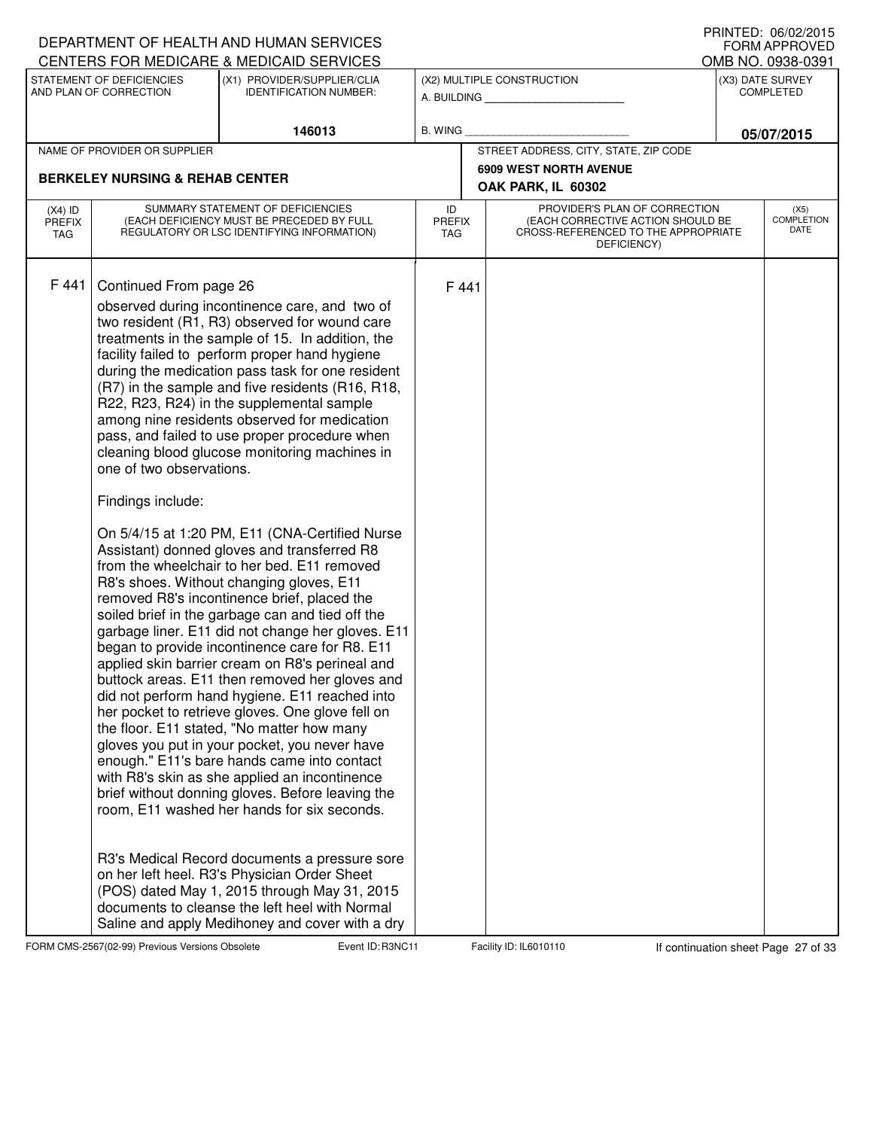|                                            |                                                                                                                              | DEPARTMENT OF HEALTH AND HUMAN SERVICES<br>CENTERS FOR MEDICARE & MEDICAID SERVICES                                                                                                                                                                                                                                                                                                                                                                                                                                                                                                                                                                                                                                                                                                                                                                                                                                                                                                                                                                                                                                                                                                                                                                                                                                                                                                                                                                                                                                                                                                                                                                                                  |                    |                      |                                                                                                                          |                                                           | FRIIVIEU. VOIVZIZUIJ<br><b>FORM APPROVED</b> |
|--------------------------------------------|------------------------------------------------------------------------------------------------------------------------------|--------------------------------------------------------------------------------------------------------------------------------------------------------------------------------------------------------------------------------------------------------------------------------------------------------------------------------------------------------------------------------------------------------------------------------------------------------------------------------------------------------------------------------------------------------------------------------------------------------------------------------------------------------------------------------------------------------------------------------------------------------------------------------------------------------------------------------------------------------------------------------------------------------------------------------------------------------------------------------------------------------------------------------------------------------------------------------------------------------------------------------------------------------------------------------------------------------------------------------------------------------------------------------------------------------------------------------------------------------------------------------------------------------------------------------------------------------------------------------------------------------------------------------------------------------------------------------------------------------------------------------------------------------------------------------------|--------------------|----------------------|--------------------------------------------------------------------------------------------------------------------------|-----------------------------------------------------------|----------------------------------------------|
|                                            | STATEMENT OF DEFICIENCIES<br>AND PLAN OF CORRECTION                                                                          | (X1) PROVIDER/SUPPLIER/CLIA<br><b>IDENTIFICATION NUMBER:</b>                                                                                                                                                                                                                                                                                                                                                                                                                                                                                                                                                                                                                                                                                                                                                                                                                                                                                                                                                                                                                                                                                                                                                                                                                                                                                                                                                                                                                                                                                                                                                                                                                         |                    |                      | (X2) MULTIPLE CONSTRUCTION<br>A. BUILDING                                                                                | OMB NO. 0938-0391<br>(X3) DATE SURVEY<br><b>COMPLETED</b> |                                              |
|                                            |                                                                                                                              | 146013                                                                                                                                                                                                                                                                                                                                                                                                                                                                                                                                                                                                                                                                                                                                                                                                                                                                                                                                                                                                                                                                                                                                                                                                                                                                                                                                                                                                                                                                                                                                                                                                                                                                               | <b>B. WING</b>     |                      |                                                                                                                          |                                                           | 05/07/2015                                   |
|                                            | NAME OF PROVIDER OR SUPPLIER                                                                                                 |                                                                                                                                                                                                                                                                                                                                                                                                                                                                                                                                                                                                                                                                                                                                                                                                                                                                                                                                                                                                                                                                                                                                                                                                                                                                                                                                                                                                                                                                                                                                                                                                                                                                                      |                    |                      | STREET ADDRESS, CITY, STATE, ZIP CODE                                                                                    |                                                           |                                              |
| <b>BERKELEY NURSING &amp; REHAB CENTER</b> |                                                                                                                              |                                                                                                                                                                                                                                                                                                                                                                                                                                                                                                                                                                                                                                                                                                                                                                                                                                                                                                                                                                                                                                                                                                                                                                                                                                                                                                                                                                                                                                                                                                                                                                                                                                                                                      |                    |                      | <b>6909 WEST NORTH AVENUE</b>                                                                                            |                                                           |                                              |
|                                            |                                                                                                                              |                                                                                                                                                                                                                                                                                                                                                                                                                                                                                                                                                                                                                                                                                                                                                                                                                                                                                                                                                                                                                                                                                                                                                                                                                                                                                                                                                                                                                                                                                                                                                                                                                                                                                      | OAK PARK, IL 60302 |                      |                                                                                                                          |                                                           |                                              |
| $(X4)$ ID<br><b>PREFIX</b><br>TAG          | SUMMARY STATEMENT OF DEFICIENCIES<br>(EACH DEFICIENCY MUST BE PRECEDED BY FULL<br>REGULATORY OR LSC IDENTIFYING INFORMATION) |                                                                                                                                                                                                                                                                                                                                                                                                                                                                                                                                                                                                                                                                                                                                                                                                                                                                                                                                                                                                                                                                                                                                                                                                                                                                                                                                                                                                                                                                                                                                                                                                                                                                                      |                    | <b>PREFIX</b><br>TAG | PROVIDER'S PLAN OF CORRECTION<br>(EACH CORRECTIVE ACTION SHOULD BE<br>CROSS-REFERENCED TO THE APPROPRIATE<br>DEFICIENCY) |                                                           | (X5)<br><b>COMPLETION</b><br>DATE            |
| F 441                                      | Continued From page 26<br>one of two observations.<br>Findings include:                                                      | observed during incontinence care, and two of<br>two resident (R1, R3) observed for wound care<br>treatments in the sample of 15. In addition, the<br>facility failed to perform proper hand hygiene<br>during the medication pass task for one resident<br>(R7) in the sample and five residents (R16, R18,<br>R22, R23, R24) in the supplemental sample<br>among nine residents observed for medication<br>pass, and failed to use proper procedure when<br>cleaning blood glucose monitoring machines in<br>On 5/4/15 at 1:20 PM, E11 (CNA-Certified Nurse<br>Assistant) donned gloves and transferred R8<br>from the wheelchair to her bed. E11 removed<br>R8's shoes. Without changing gloves, E11<br>removed R8's incontinence brief, placed the<br>soiled brief in the garbage can and tied off the<br>garbage liner. E11 did not change her gloves. E11<br>began to provide incontinence care for R8. E11<br>applied skin barrier cream on R8's perineal and<br>buttock areas. E11 then removed her gloves and<br>did not perform hand hygiene. E11 reached into<br>her pocket to retrieve gloves. One glove fell on<br>the floor. E11 stated, "No matter how many<br>gloves you put in your pocket, you never have<br>enough." E11's bare hands came into contact<br>with R8's skin as she applied an incontinence<br>brief without donning gloves. Before leaving the<br>room, E11 washed her hands for six seconds.<br>R3's Medical Record documents a pressure sore<br>on her left heel. R3's Physician Order Sheet<br>(POS) dated May 1, 2015 through May 31, 2015<br>documents to cleanse the left heel with Normal<br>Saline and apply Medihoney and cover with a dry |                    | F441                 |                                                                                                                          |                                                           |                                              |

FORM CMS-2567(02-99) Previous Versions Obsolete **Right Event ID: R3NC11** Facility ID: IL6010110 If continuation sheet Page 27 of 33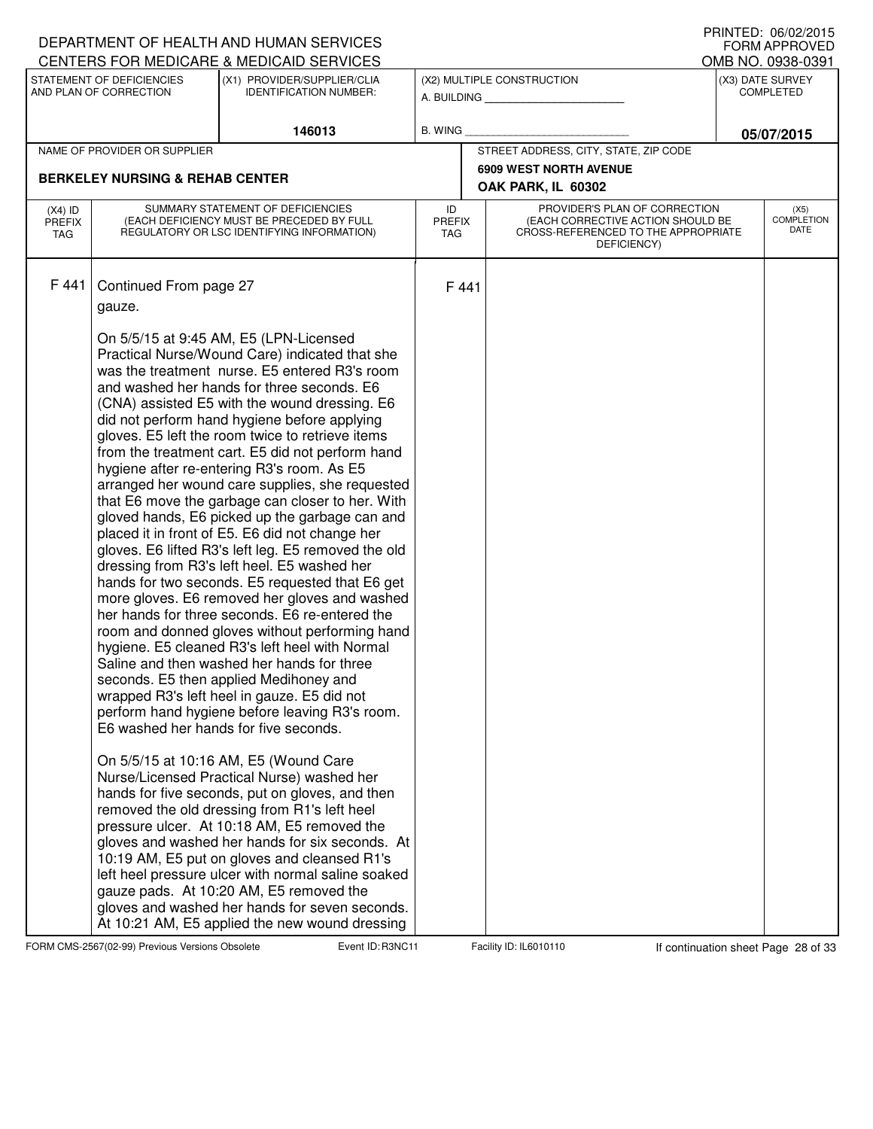|                                                                                                                                                                 |                                                                                                                              | DEPARTMENT OF HEALTH AND HUMAN SERVICES                                                                                                                                                                                                                                                                                                                                                                                                                                                                                                                                                                                                                                                                                                                                                                                                                                                                                                                                                                                                                                                                                                                                                                                                                                                                                                                                                                                                                                                                                                                                                                                                                                                                                                                     |                                   |             |                                                                                                                          |                                       | I INNILD. VOIVAAUIJ<br><b>FORM APPROVED</b> |
|-----------------------------------------------------------------------------------------------------------------------------------------------------------------|------------------------------------------------------------------------------------------------------------------------------|-------------------------------------------------------------------------------------------------------------------------------------------------------------------------------------------------------------------------------------------------------------------------------------------------------------------------------------------------------------------------------------------------------------------------------------------------------------------------------------------------------------------------------------------------------------------------------------------------------------------------------------------------------------------------------------------------------------------------------------------------------------------------------------------------------------------------------------------------------------------------------------------------------------------------------------------------------------------------------------------------------------------------------------------------------------------------------------------------------------------------------------------------------------------------------------------------------------------------------------------------------------------------------------------------------------------------------------------------------------------------------------------------------------------------------------------------------------------------------------------------------------------------------------------------------------------------------------------------------------------------------------------------------------------------------------------------------------------------------------------------------------|-----------------------------------|-------------|--------------------------------------------------------------------------------------------------------------------------|---------------------------------------|---------------------------------------------|
| CENTERS FOR MEDICARE & MEDICAID SERVICES<br>STATEMENT OF DEFICIENCIES<br>(X1) PROVIDER/SUPPLIER/CLIA<br>AND PLAN OF CORRECTION<br><b>IDENTIFICATION NUMBER:</b> |                                                                                                                              |                                                                                                                                                                                                                                                                                                                                                                                                                                                                                                                                                                                                                                                                                                                                                                                                                                                                                                                                                                                                                                                                                                                                                                                                                                                                                                                                                                                                                                                                                                                                                                                                                                                                                                                                                             |                                   |             | (X2) MULTIPLE CONSTRUCTION                                                                                               | OMB NO. 0938-0391<br>(X3) DATE SURVEY |                                             |
|                                                                                                                                                                 |                                                                                                                              |                                                                                                                                                                                                                                                                                                                                                                                                                                                                                                                                                                                                                                                                                                                                                                                                                                                                                                                                                                                                                                                                                                                                                                                                                                                                                                                                                                                                                                                                                                                                                                                                                                                                                                                                                             |                                   | A. BUILDING |                                                                                                                          | <b>COMPLETED</b>                      |                                             |
|                                                                                                                                                                 |                                                                                                                              | 146013                                                                                                                                                                                                                                                                                                                                                                                                                                                                                                                                                                                                                                                                                                                                                                                                                                                                                                                                                                                                                                                                                                                                                                                                                                                                                                                                                                                                                                                                                                                                                                                                                                                                                                                                                      | B. WING                           |             |                                                                                                                          | 05/07/2015                            |                                             |
|                                                                                                                                                                 | NAME OF PROVIDER OR SUPPLIER                                                                                                 |                                                                                                                                                                                                                                                                                                                                                                                                                                                                                                                                                                                                                                                                                                                                                                                                                                                                                                                                                                                                                                                                                                                                                                                                                                                                                                                                                                                                                                                                                                                                                                                                                                                                                                                                                             |                                   |             | STREET ADDRESS, CITY, STATE, ZIP CODE                                                                                    |                                       |                                             |
| <b>BERKELEY NURSING &amp; REHAB CENTER</b>                                                                                                                      |                                                                                                                              |                                                                                                                                                                                                                                                                                                                                                                                                                                                                                                                                                                                                                                                                                                                                                                                                                                                                                                                                                                                                                                                                                                                                                                                                                                                                                                                                                                                                                                                                                                                                                                                                                                                                                                                                                             |                                   |             | <b>6909 WEST NORTH AVENUE</b><br>OAK PARK, IL 60302                                                                      |                                       |                                             |
| $(X4)$ ID<br><b>PREFIX</b><br>TAG                                                                                                                               | SUMMARY STATEMENT OF DEFICIENCIES<br>(EACH DEFICIENCY MUST BE PRECEDED BY FULL<br>REGULATORY OR LSC IDENTIFYING INFORMATION) |                                                                                                                                                                                                                                                                                                                                                                                                                                                                                                                                                                                                                                                                                                                                                                                                                                                                                                                                                                                                                                                                                                                                                                                                                                                                                                                                                                                                                                                                                                                                                                                                                                                                                                                                                             | ID<br><b>PREFIX</b><br><b>TAG</b> |             | PROVIDER'S PLAN OF CORRECTION<br>(EACH CORRECTIVE ACTION SHOULD BE<br>CROSS-REFERENCED TO THE APPROPRIATE<br>DEFICIENCY) |                                       | (X5)<br><b>COMPLETION</b><br>DATE           |
| F441                                                                                                                                                            | Continued From page 27<br>gauze.                                                                                             | On 5/5/15 at 9:45 AM, E5 (LPN-Licensed<br>Practical Nurse/Wound Care) indicated that she<br>was the treatment nurse. E5 entered R3's room<br>and washed her hands for three seconds. E6<br>(CNA) assisted E5 with the wound dressing. E6<br>did not perform hand hygiene before applying<br>gloves. E5 left the room twice to retrieve items<br>from the treatment cart. E5 did not perform hand<br>hygiene after re-entering R3's room. As E5<br>arranged her wound care supplies, she requested<br>that E6 move the garbage can closer to her. With<br>gloved hands, E6 picked up the garbage can and<br>placed it in front of E5. E6 did not change her<br>gloves. E6 lifted R3's left leg. E5 removed the old<br>dressing from R3's left heel. E5 washed her<br>hands for two seconds. E5 requested that E6 get<br>more gloves. E6 removed her gloves and washed<br>her hands for three seconds. E6 re-entered the<br>room and donned gloves without performing hand<br>hygiene. E5 cleaned R3's left heel with Normal<br>Saline and then washed her hands for three<br>seconds. E5 then applied Medihoney and<br>wrapped R3's left heel in gauze. E5 did not<br>perform hand hygiene before leaving R3's room.<br>E6 washed her hands for five seconds.<br>On 5/5/15 at 10:16 AM, E5 (Wound Care<br>Nurse/Licensed Practical Nurse) washed her<br>hands for five seconds, put on gloves, and then<br>removed the old dressing from R1's left heel<br>pressure ulcer. At 10:18 AM, E5 removed the<br>gloves and washed her hands for six seconds. At<br>10:19 AM, E5 put on gloves and cleansed R1's<br>left heel pressure ulcer with normal saline soaked<br>gauze pads. At 10:20 AM, E5 removed the<br>gloves and washed her hands for seven seconds. | F 441                             |             |                                                                                                                          |                                       |                                             |
|                                                                                                                                                                 |                                                                                                                              | At 10:21 AM, E5 applied the new wound dressing                                                                                                                                                                                                                                                                                                                                                                                                                                                                                                                                                                                                                                                                                                                                                                                                                                                                                                                                                                                                                                                                                                                                                                                                                                                                                                                                                                                                                                                                                                                                                                                                                                                                                                              |                                   |             |                                                                                                                          |                                       |                                             |

FORM CMS-2567(02-99) Previous Versions Obsolete Event ID: R3NC11 Facility ID: IL6010110 If continuation sheet Page 28 of 33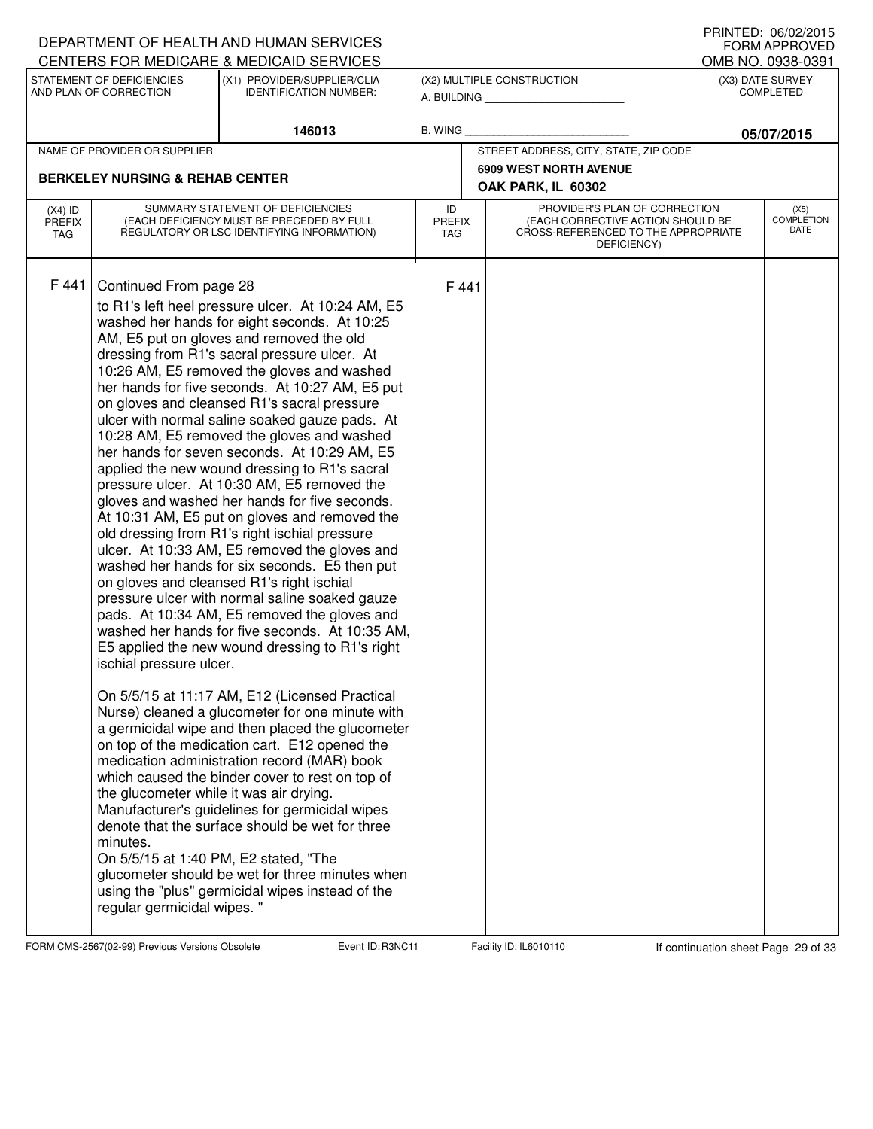|                                   |                                                                                                                                                                                 | DEPARTMENT OF HEALTH AND HUMAN SERVICES                                                                                                                                                                                                                                                                                                                                                                                                                                                                                                                                                                                                                                                                                                                                                                                                                                                                                                                                                                                                                                                                                                                                                                                                                                                                                                                                                                                                                                                                                                                                                                                         |                            |       |                                                                                                                          | <b>FORM APPROVED</b>                  |
|-----------------------------------|---------------------------------------------------------------------------------------------------------------------------------------------------------------------------------|---------------------------------------------------------------------------------------------------------------------------------------------------------------------------------------------------------------------------------------------------------------------------------------------------------------------------------------------------------------------------------------------------------------------------------------------------------------------------------------------------------------------------------------------------------------------------------------------------------------------------------------------------------------------------------------------------------------------------------------------------------------------------------------------------------------------------------------------------------------------------------------------------------------------------------------------------------------------------------------------------------------------------------------------------------------------------------------------------------------------------------------------------------------------------------------------------------------------------------------------------------------------------------------------------------------------------------------------------------------------------------------------------------------------------------------------------------------------------------------------------------------------------------------------------------------------------------------------------------------------------------|----------------------------|-------|--------------------------------------------------------------------------------------------------------------------------|---------------------------------------|
|                                   | STATEMENT OF DEFICIENCIES                                                                                                                                                       | CENTERS FOR MEDICARE & MEDICAID SERVICES<br>(X1) PROVIDER/SUPPLIER/CLIA                                                                                                                                                                                                                                                                                                                                                                                                                                                                                                                                                                                                                                                                                                                                                                                                                                                                                                                                                                                                                                                                                                                                                                                                                                                                                                                                                                                                                                                                                                                                                         |                            |       |                                                                                                                          | OMB NO. 0938-0391<br>(X3) DATE SURVEY |
|                                   | AND PLAN OF CORRECTION                                                                                                                                                          | <b>IDENTIFICATION NUMBER:</b>                                                                                                                                                                                                                                                                                                                                                                                                                                                                                                                                                                                                                                                                                                                                                                                                                                                                                                                                                                                                                                                                                                                                                                                                                                                                                                                                                                                                                                                                                                                                                                                                   |                            |       | (X2) MULTIPLE CONSTRUCTION<br>A. BUILDING                                                                                | <b>COMPLETED</b>                      |
|                                   |                                                                                                                                                                                 | 146013                                                                                                                                                                                                                                                                                                                                                                                                                                                                                                                                                                                                                                                                                                                                                                                                                                                                                                                                                                                                                                                                                                                                                                                                                                                                                                                                                                                                                                                                                                                                                                                                                          | B. WING                    |       |                                                                                                                          | 05/07/2015                            |
|                                   | NAME OF PROVIDER OR SUPPLIER                                                                                                                                                    |                                                                                                                                                                                                                                                                                                                                                                                                                                                                                                                                                                                                                                                                                                                                                                                                                                                                                                                                                                                                                                                                                                                                                                                                                                                                                                                                                                                                                                                                                                                                                                                                                                 |                            |       | STREET ADDRESS, CITY, STATE, ZIP CODE                                                                                    |                                       |
|                                   | <b>BERKELEY NURSING &amp; REHAB CENTER</b>                                                                                                                                      |                                                                                                                                                                                                                                                                                                                                                                                                                                                                                                                                                                                                                                                                                                                                                                                                                                                                                                                                                                                                                                                                                                                                                                                                                                                                                                                                                                                                                                                                                                                                                                                                                                 |                            |       | <b>6909 WEST NORTH AVENUE</b><br>OAK PARK, IL 60302                                                                      |                                       |
| $(X4)$ ID<br><b>PREFIX</b><br>TAG |                                                                                                                                                                                 | SUMMARY STATEMENT OF DEFICIENCIES<br>(EACH DEFICIENCY MUST BE PRECEDED BY FULL<br>REGULATORY OR LSC IDENTIFYING INFORMATION)                                                                                                                                                                                                                                                                                                                                                                                                                                                                                                                                                                                                                                                                                                                                                                                                                                                                                                                                                                                                                                                                                                                                                                                                                                                                                                                                                                                                                                                                                                    | ID<br><b>PREFIX</b><br>TAG |       | PROVIDER'S PLAN OF CORRECTION<br>(EACH CORRECTIVE ACTION SHOULD BE<br>CROSS-REFERENCED TO THE APPROPRIATE<br>DEFICIENCY) | (X5)<br><b>COMPLETION</b><br>DATE     |
| F 441                             | Continued From page 28<br>ischial pressure ulcer.<br>the glucometer while it was air drying.<br>minutes.<br>On 5/5/15 at 1:40 PM, E2 stated, "The<br>regular germicidal wipes." | to R1's left heel pressure ulcer. At 10:24 AM, E5<br>washed her hands for eight seconds. At 10:25<br>AM, E5 put on gloves and removed the old<br>dressing from R1's sacral pressure ulcer. At<br>10:26 AM, E5 removed the gloves and washed<br>her hands for five seconds. At 10:27 AM, E5 put<br>on gloves and cleansed R1's sacral pressure<br>ulcer with normal saline soaked gauze pads. At<br>10:28 AM, E5 removed the gloves and washed<br>her hands for seven seconds. At 10:29 AM, E5<br>applied the new wound dressing to R1's sacral<br>pressure ulcer. At 10:30 AM, E5 removed the<br>gloves and washed her hands for five seconds.<br>At 10:31 AM, E5 put on gloves and removed the<br>old dressing from R1's right ischial pressure<br>ulcer. At 10:33 AM, E5 removed the gloves and<br>washed her hands for six seconds. E5 then put<br>on gloves and cleansed R1's right ischial<br>pressure ulcer with normal saline soaked gauze<br>pads. At 10:34 AM, E5 removed the gloves and<br>washed her hands for five seconds. At 10:35 AM,<br>E5 applied the new wound dressing to R1's right<br>On 5/5/15 at 11:17 AM, E12 (Licensed Practical<br>Nurse) cleaned a glucometer for one minute with<br>a germicidal wipe and then placed the glucometer<br>on top of the medication cart. E12 opened the<br>medication administration record (MAR) book<br>which caused the binder cover to rest on top of<br>Manufacturer's guidelines for germicidal wipes<br>denote that the surface should be wet for three<br>glucometer should be wet for three minutes when<br>using the "plus" germicidal wipes instead of the |                            | F 441 |                                                                                                                          |                                       |

FORM CMS-2567(02-99) Previous Versions Obsolete Event ID: R3NC11 Facility ID: IL6010110 If continuation sheet Page 29 of 33

DEPARTMENT OF HEALTH AND HUMAN SERVICES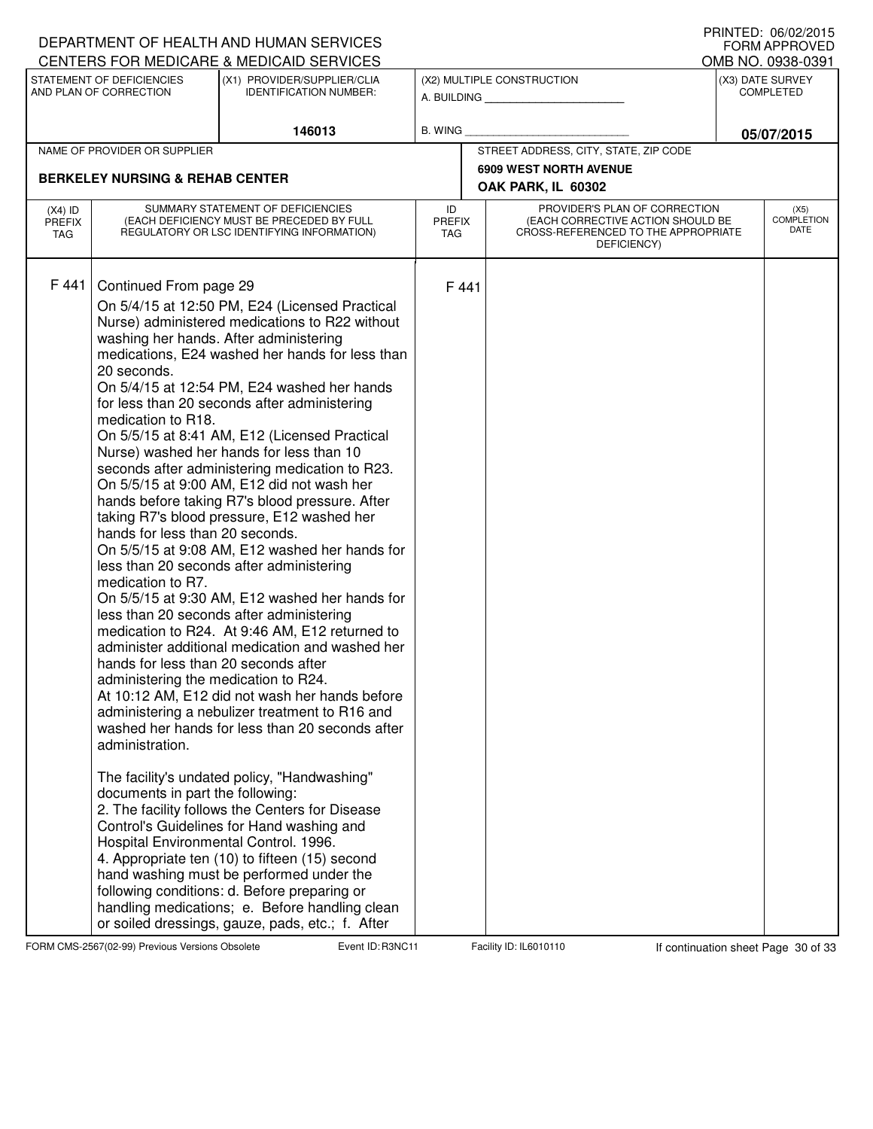|                                                                                                      |                                                                                                                                                                                                                                                                                                     | DEPARTMENT OF HEALTH AND HUMAN SERVICES                                                                                                                                                                                                                                                                                                                                                                                                                                                                                                                                                                                                                                                                                                                                                                                                                                                                                                                                                                                                                                                                                                                                                                                                                                                                                                                                                                                                               |                |                             |                                                                                                                          |                                      | I IUINILLI. VUIVLILUIJ<br><b>FORM APPROVED</b> |
|------------------------------------------------------------------------------------------------------|-----------------------------------------------------------------------------------------------------------------------------------------------------------------------------------------------------------------------------------------------------------------------------------------------------|-------------------------------------------------------------------------------------------------------------------------------------------------------------------------------------------------------------------------------------------------------------------------------------------------------------------------------------------------------------------------------------------------------------------------------------------------------------------------------------------------------------------------------------------------------------------------------------------------------------------------------------------------------------------------------------------------------------------------------------------------------------------------------------------------------------------------------------------------------------------------------------------------------------------------------------------------------------------------------------------------------------------------------------------------------------------------------------------------------------------------------------------------------------------------------------------------------------------------------------------------------------------------------------------------------------------------------------------------------------------------------------------------------------------------------------------------------|----------------|-----------------------------|--------------------------------------------------------------------------------------------------------------------------|--------------------------------------|------------------------------------------------|
| CENTERS FOR MEDICARE & MEDICAID SERVICES<br>STATEMENT OF DEFICIENCIES<br>(X1) PROVIDER/SUPPLIER/CLIA |                                                                                                                                                                                                                                                                                                     |                                                                                                                                                                                                                                                                                                                                                                                                                                                                                                                                                                                                                                                                                                                                                                                                                                                                                                                                                                                                                                                                                                                                                                                                                                                                                                                                                                                                                                                       |                |                             | (X2) MULTIPLE CONSTRUCTION                                                                                               |                                      | OMB NO. 0938-0391                              |
|                                                                                                      | AND PLAN OF CORRECTION<br><b>IDENTIFICATION NUMBER:</b>                                                                                                                                                                                                                                             |                                                                                                                                                                                                                                                                                                                                                                                                                                                                                                                                                                                                                                                                                                                                                                                                                                                                                                                                                                                                                                                                                                                                                                                                                                                                                                                                                                                                                                                       |                |                             | A. BUILDING                                                                                                              | (X3) DATE SURVEY<br><b>COMPLETED</b> |                                                |
|                                                                                                      |                                                                                                                                                                                                                                                                                                     | 146013                                                                                                                                                                                                                                                                                                                                                                                                                                                                                                                                                                                                                                                                                                                                                                                                                                                                                                                                                                                                                                                                                                                                                                                                                                                                                                                                                                                                                                                | <b>B. WING</b> |                             |                                                                                                                          |                                      | 05/07/2015                                     |
|                                                                                                      | NAME OF PROVIDER OR SUPPLIER                                                                                                                                                                                                                                                                        |                                                                                                                                                                                                                                                                                                                                                                                                                                                                                                                                                                                                                                                                                                                                                                                                                                                                                                                                                                                                                                                                                                                                                                                                                                                                                                                                                                                                                                                       |                |                             | STREET ADDRESS, CITY, STATE, ZIP CODE                                                                                    |                                      |                                                |
|                                                                                                      | <b>BERKELEY NURSING &amp; REHAB CENTER</b>                                                                                                                                                                                                                                                          |                                                                                                                                                                                                                                                                                                                                                                                                                                                                                                                                                                                                                                                                                                                                                                                                                                                                                                                                                                                                                                                                                                                                                                                                                                                                                                                                                                                                                                                       |                |                             | <b>6909 WEST NORTH AVENUE</b>                                                                                            |                                      |                                                |
|                                                                                                      |                                                                                                                                                                                                                                                                                                     |                                                                                                                                                                                                                                                                                                                                                                                                                                                                                                                                                                                                                                                                                                                                                                                                                                                                                                                                                                                                                                                                                                                                                                                                                                                                                                                                                                                                                                                       |                |                             | OAK PARK, IL 60302                                                                                                       |                                      |                                                |
| $(X4)$ ID<br><b>PREFIX</b><br><b>TAG</b>                                                             | SUMMARY STATEMENT OF DEFICIENCIES<br>(EACH DEFICIENCY MUST BE PRECEDED BY FULL<br>REGULATORY OR LSC IDENTIFYING INFORMATION)                                                                                                                                                                        |                                                                                                                                                                                                                                                                                                                                                                                                                                                                                                                                                                                                                                                                                                                                                                                                                                                                                                                                                                                                                                                                                                                                                                                                                                                                                                                                                                                                                                                       |                | <b>PREFIX</b><br><b>TAG</b> | PROVIDER'S PLAN OF CORRECTION<br>(EACH CORRECTIVE ACTION SHOULD BE<br>CROSS-REFERENCED TO THE APPROPRIATE<br>DEFICIENCY) |                                      | (X5)<br><b>COMPLETION</b><br>DATE              |
| F 441                                                                                                | Continued From page 29<br>20 seconds.<br>medication to R18.<br>hands for less than 20 seconds.<br>medication to R7.<br>hands for less than 20 seconds after<br>administering the medication to R24.<br>administration.<br>documents in part the following:<br>Hospital Environmental Control. 1996. | On 5/4/15 at 12:50 PM, E24 (Licensed Practical<br>Nurse) administered medications to R22 without<br>washing her hands. After administering<br>medications, E24 washed her hands for less than<br>On 5/4/15 at 12:54 PM, E24 washed her hands<br>for less than 20 seconds after administering<br>On 5/5/15 at 8:41 AM, E12 (Licensed Practical<br>Nurse) washed her hands for less than 10<br>seconds after administering medication to R23.<br>On 5/5/15 at 9:00 AM, E12 did not wash her<br>hands before taking R7's blood pressure. After<br>taking R7's blood pressure, E12 washed her<br>On 5/5/15 at 9:08 AM, E12 washed her hands for<br>less than 20 seconds after administering<br>On 5/5/15 at 9:30 AM, E12 washed her hands for<br>less than 20 seconds after administering<br>medication to R24. At 9:46 AM, E12 returned to<br>administer additional medication and washed her<br>At 10:12 AM, E12 did not wash her hands before<br>administering a nebulizer treatment to R16 and<br>washed her hands for less than 20 seconds after<br>The facility's undated policy, "Handwashing"<br>2. The facility follows the Centers for Disease<br>Control's Guidelines for Hand washing and<br>4. Appropriate ten (10) to fifteen (15) second<br>hand washing must be performed under the<br>following conditions: d. Before preparing or<br>handling medications; e. Before handling clean<br>or soiled dressings, gauze, pads, etc.; f. After |                | F441                        |                                                                                                                          |                                      |                                                |

FORM CMS-2567(02-99) Previous Versions Obsolete Event ID: R3NC11 Facility ID: IL6010110 If continuation sheet Page 30 of 33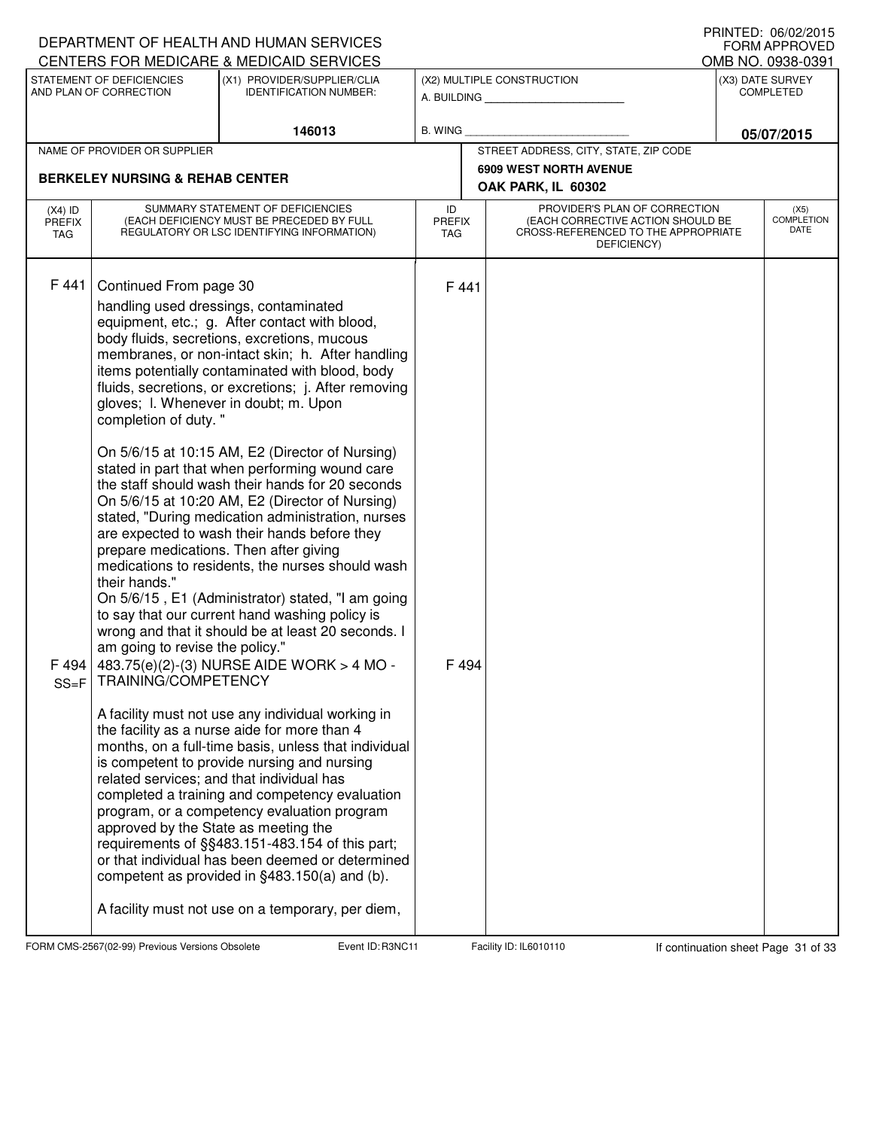|                                          |                                                                                                                                                                                                             | DEPARTMENT OF HEALTH AND HUMAN SERVICES<br>CENTERS FOR MEDICARE & MEDICAID SERVICES                                                                                                                                                                                                                                                                                                                                                                                                                                                                                                                                                                                                                                                                                                                                                                                                                                                                                                                                                                                                                                                                                                                                                                                                                                                                                                                                                                                                                 |                |               |                                                                                                                          |                                      | I INNILD. VOIVAAUIJ<br><b>FORM APPROVED</b><br>OMB NO. 0938-0391 |
|------------------------------------------|-------------------------------------------------------------------------------------------------------------------------------------------------------------------------------------------------------------|-----------------------------------------------------------------------------------------------------------------------------------------------------------------------------------------------------------------------------------------------------------------------------------------------------------------------------------------------------------------------------------------------------------------------------------------------------------------------------------------------------------------------------------------------------------------------------------------------------------------------------------------------------------------------------------------------------------------------------------------------------------------------------------------------------------------------------------------------------------------------------------------------------------------------------------------------------------------------------------------------------------------------------------------------------------------------------------------------------------------------------------------------------------------------------------------------------------------------------------------------------------------------------------------------------------------------------------------------------------------------------------------------------------------------------------------------------------------------------------------------------|----------------|---------------|--------------------------------------------------------------------------------------------------------------------------|--------------------------------------|------------------------------------------------------------------|
|                                          | STATEMENT OF DEFICIENCIES<br>AND PLAN OF CORRECTION                                                                                                                                                         | (X1) PROVIDER/SUPPLIER/CLIA<br><b>IDENTIFICATION NUMBER:</b>                                                                                                                                                                                                                                                                                                                                                                                                                                                                                                                                                                                                                                                                                                                                                                                                                                                                                                                                                                                                                                                                                                                                                                                                                                                                                                                                                                                                                                        |                |               | (X2) MULTIPLE CONSTRUCTION<br>A. BUILDING                                                                                | (X3) DATE SURVEY<br><b>COMPLETED</b> |                                                                  |
|                                          |                                                                                                                                                                                                             | 146013                                                                                                                                                                                                                                                                                                                                                                                                                                                                                                                                                                                                                                                                                                                                                                                                                                                                                                                                                                                                                                                                                                                                                                                                                                                                                                                                                                                                                                                                                              | <b>B. WING</b> |               |                                                                                                                          |                                      | 05/07/2015                                                       |
|                                          | NAME OF PROVIDER OR SUPPLIER                                                                                                                                                                                |                                                                                                                                                                                                                                                                                                                                                                                                                                                                                                                                                                                                                                                                                                                                                                                                                                                                                                                                                                                                                                                                                                                                                                                                                                                                                                                                                                                                                                                                                                     |                |               | STREET ADDRESS, CITY, STATE, ZIP CODE                                                                                    |                                      |                                                                  |
|                                          | <b>BERKELEY NURSING &amp; REHAB CENTER</b>                                                                                                                                                                  |                                                                                                                                                                                                                                                                                                                                                                                                                                                                                                                                                                                                                                                                                                                                                                                                                                                                                                                                                                                                                                                                                                                                                                                                                                                                                                                                                                                                                                                                                                     |                |               | <b>6909 WEST NORTH AVENUE</b><br>OAK PARK, IL 60302                                                                      |                                      |                                                                  |
| $(X4)$ ID<br><b>PREFIX</b><br><b>TAG</b> | SUMMARY STATEMENT OF DEFICIENCIES<br>(EACH DEFICIENCY MUST BE PRECEDED BY FULL<br>REGULATORY OR LSC IDENTIFYING INFORMATION)                                                                                |                                                                                                                                                                                                                                                                                                                                                                                                                                                                                                                                                                                                                                                                                                                                                                                                                                                                                                                                                                                                                                                                                                                                                                                                                                                                                                                                                                                                                                                                                                     |                | <b>PREFIX</b> | PROVIDER'S PLAN OF CORRECTION<br>(EACH CORRECTIVE ACTION SHOULD BE<br>CROSS-REFERENCED TO THE APPROPRIATE<br>DEFICIENCY) |                                      | (X5)<br><b>COMPLETION</b><br>DATE                                |
| F441<br>F 494<br>$SS = F$                | Continued From page 30<br>completion of duty."<br>prepare medications. Then after giving<br>their hands."<br>am going to revise the policy."<br>TRAINING/COMPETENCY<br>approved by the State as meeting the | handling used dressings, contaminated<br>equipment, etc.; g. After contact with blood,<br>body fluids, secretions, excretions, mucous<br>membranes, or non-intact skin; h. After handling<br>items potentially contaminated with blood, body<br>fluids, secretions, or excretions; j. After removing<br>gloves; I. Whenever in doubt; m. Upon<br>On 5/6/15 at 10:15 AM, E2 (Director of Nursing)<br>stated in part that when performing wound care<br>the staff should wash their hands for 20 seconds<br>On 5/6/15 at 10:20 AM, E2 (Director of Nursing)<br>stated, "During medication administration, nurses<br>are expected to wash their hands before they<br>medications to residents, the nurses should wash<br>On 5/6/15, E1 (Administrator) stated, "I am going<br>to say that our current hand washing policy is<br>wrong and that it should be at least 20 seconds. I<br>483.75(e)(2)-(3) NURSE AIDE WORK > 4 MO -<br>A facility must not use any individual working in<br>the facility as a nurse aide for more than 4<br>months, on a full-time basis, unless that individual<br>is competent to provide nursing and nursing<br>related services; and that individual has<br>completed a training and competency evaluation<br>program, or a competency evaluation program<br>requirements of §§483.151-483.154 of this part;<br>or that individual has been deemed or determined<br>competent as provided in §483.150(a) and (b).<br>A facility must not use on a temporary, per diem, | F 441<br>F494  |               |                                                                                                                          |                                      |                                                                  |

FORM CMS-2567(02-99) Previous Versions Obsolete Event ID: R3NC11 Facility ID: IL6010110 If continuation sheet Page 31 of 33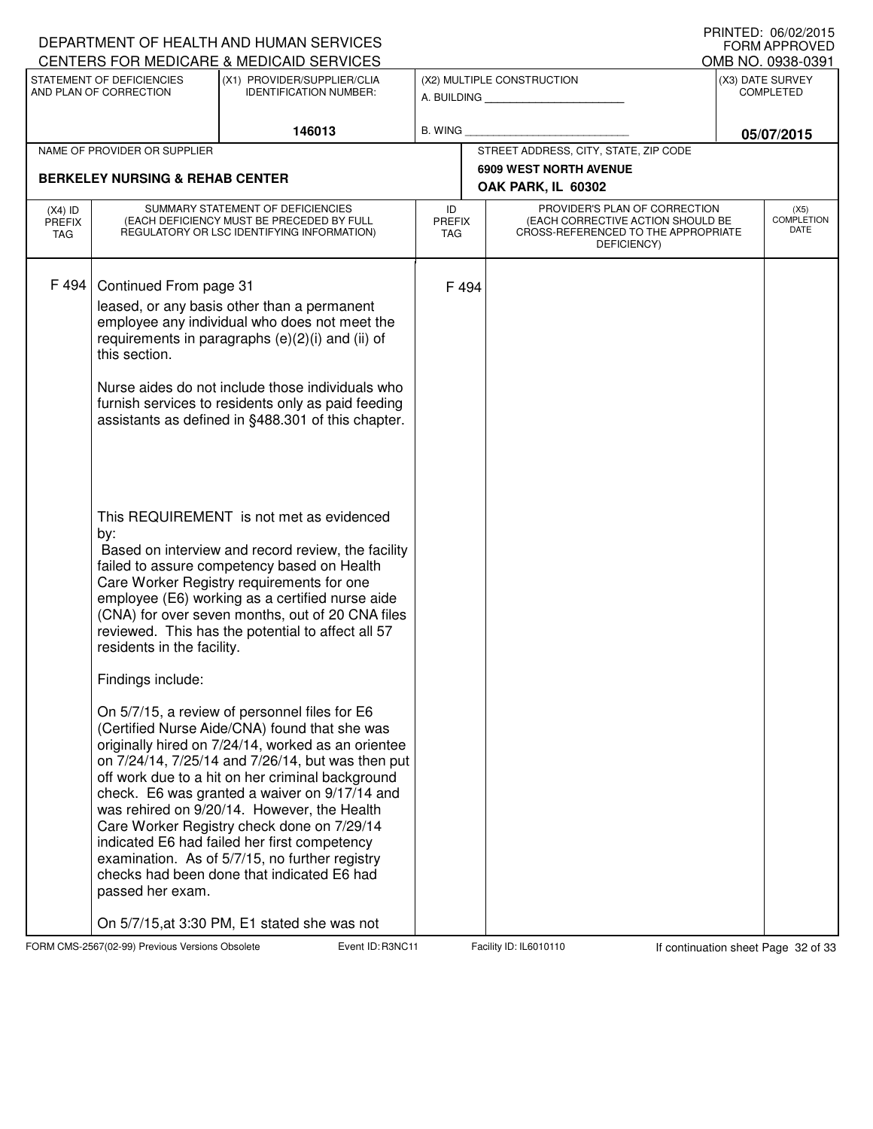|                                   |                                                 | DEPARTMENT OF HEALTH AND HUMAN SERVICES                                                                                                                                                                                                                                                                                                                                                                                                                                                                                                                                                                                                                                                                                   |                                   |                                                                                                                          | FORM APPROVED<br>OMB NO. 0938-0391 |
|-----------------------------------|-------------------------------------------------|---------------------------------------------------------------------------------------------------------------------------------------------------------------------------------------------------------------------------------------------------------------------------------------------------------------------------------------------------------------------------------------------------------------------------------------------------------------------------------------------------------------------------------------------------------------------------------------------------------------------------------------------------------------------------------------------------------------------------|-----------------------------------|--------------------------------------------------------------------------------------------------------------------------|------------------------------------|
|                                   | STATEMENT OF DEFICIENCIES                       | CENTERS FOR MEDICARE & MEDICAID SERVICES<br>(X1) PROVIDER/SUPPLIER/CLIA                                                                                                                                                                                                                                                                                                                                                                                                                                                                                                                                                                                                                                                   |                                   | (X2) MULTIPLE CONSTRUCTION                                                                                               | (X3) DATE SURVEY                   |
|                                   | AND PLAN OF CORRECTION                          | <b>IDENTIFICATION NUMBER:</b>                                                                                                                                                                                                                                                                                                                                                                                                                                                                                                                                                                                                                                                                                             |                                   | A. BUILDING                                                                                                              | <b>COMPLETED</b>                   |
|                                   |                                                 | 146013                                                                                                                                                                                                                                                                                                                                                                                                                                                                                                                                                                                                                                                                                                                    | <b>B. WING</b>                    |                                                                                                                          | 05/07/2015                         |
|                                   | NAME OF PROVIDER OR SUPPLIER                    |                                                                                                                                                                                                                                                                                                                                                                                                                                                                                                                                                                                                                                                                                                                           |                                   | STREET ADDRESS, CITY, STATE, ZIP CODE                                                                                    |                                    |
|                                   | <b>BERKELEY NURSING &amp; REHAB CENTER</b>      |                                                                                                                                                                                                                                                                                                                                                                                                                                                                                                                                                                                                                                                                                                                           |                                   | <b>6909 WEST NORTH AVENUE</b><br>OAK PARK, IL 60302                                                                      |                                    |
| $(X4)$ ID<br><b>PREFIX</b><br>TAG |                                                 | SUMMARY STATEMENT OF DEFICIENCIES<br>(EACH DEFICIENCY MUST BE PRECEDED BY FULL<br>REGULATORY OR LSC IDENTIFYING INFORMATION)                                                                                                                                                                                                                                                                                                                                                                                                                                                                                                                                                                                              | ID<br><b>PREFIX</b><br><b>TAG</b> | PROVIDER'S PLAN OF CORRECTION<br>(EACH CORRECTIVE ACTION SHOULD BE<br>CROSS-REFERENCED TO THE APPROPRIATE<br>DEFICIENCY) | (X5)<br><b>COMPLETION</b><br>DATE  |
| F 494                             | Continued From page 31<br>this section.<br>by:  | leased, or any basis other than a permanent<br>employee any individual who does not meet the<br>requirements in paragraphs (e)(2)(i) and (ii) of<br>Nurse aides do not include those individuals who<br>furnish services to residents only as paid feeding<br>assistants as defined in §488.301 of this chapter.<br>This REQUIREMENT is not met as evidenced                                                                                                                                                                                                                                                                                                                                                              | F 494                             |                                                                                                                          |                                    |
|                                   | residents in the facility.<br>Findings include: | Based on interview and record review, the facility<br>failed to assure competency based on Health<br>Care Worker Registry requirements for one<br>employee (E6) working as a certified nurse aide<br>(CNA) for over seven months, out of 20 CNA files<br>reviewed. This has the potential to affect all 57<br>On 5/7/15, a review of personnel files for E6<br>(Certified Nurse Aide/CNA) found that she was<br>originally hired on 7/24/14, worked as an orientee<br>on 7/24/14, 7/25/14 and 7/26/14, but was then put<br>off work due to a hit on her criminal background<br>check. E6 was granted a waiver on 9/17/14 and<br>was rehired on 9/20/14. However, the Health<br>Care Worker Registry check done on 7/29/14 |                                   |                                                                                                                          |                                    |
|                                   | passed her exam.                                | indicated E6 had failed her first competency<br>examination. As of 5/7/15, no further registry<br>checks had been done that indicated E6 had<br>On 5/7/15, at 3:30 PM, E1 stated she was not                                                                                                                                                                                                                                                                                                                                                                                                                                                                                                                              |                                   |                                                                                                                          |                                    |

FORM CMS-2567(02-99) Previous Versions Obsolete Event ID: R3NC11 Facility ID: IL6010110 If continuation sheet Page 32 of 33

DEPARTMENT OF HEALTH AND HUMAN SERVICES